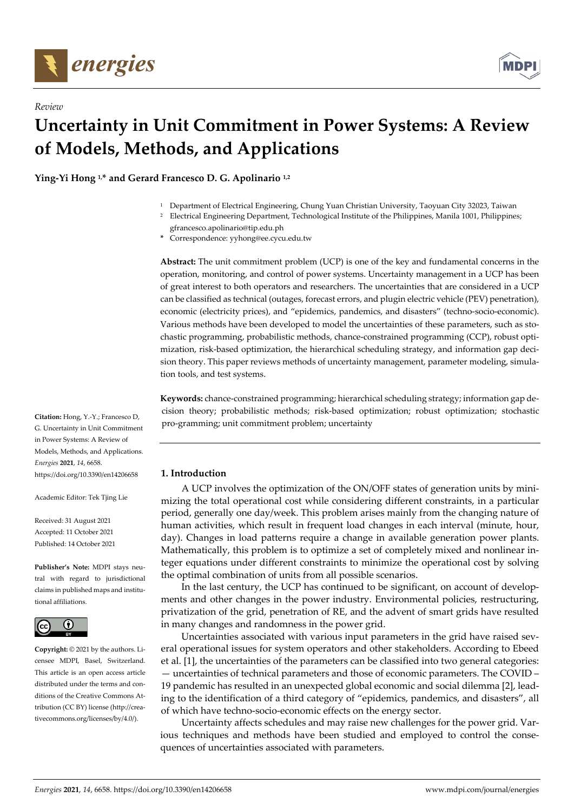

*Review*



# **Uncertainty in Unit Commitment in Power Systems: A Review of Models, Methods, and Applications**

**Ying-Yi Hong 1,\* and Gerard Francesco D. G. Apolinario 1,2** 

- <sup>1</sup> Department of Electrical Engineering, Chung Yuan Christian University, Taoyuan City 32023, Taiwan
- <sup>2</sup> Electrical Engineering Department, Technological Institute of the Philippines, Manila 1001, Philippines; gfrancesco.apolinario@tip.edu.ph
- **\*** Correspondence: yyhong@ee.cycu.edu.tw

**Abstract:** The unit commitment problem (UCP) is one of the key and fundamental concerns in the operation, monitoring, and control of power systems. Uncertainty management in a UCP has been of great interest to both operators and researchers. The uncertainties that are considered in a UCP can be classified as technical (outages, forecast errors, and plugin electric vehicle (PEV) penetration), economic (electricity prices), and "epidemics, pandemics, and disasters" (techno-socio-economic). Various methods have been developed to model the uncertainties of these parameters, such as stochastic programming, probabilistic methods, chance-constrained programming (CCP), robust optimization, risk-based optimization, the hierarchical scheduling strategy, and information gap decision theory. This paper reviews methods of uncertainty management, parameter modeling, simulation tools, and test systems.

**Keywords:** chance-constrained programming; hierarchical scheduling strategy; information gap decision theory; probabilistic methods; risk-based optimization; robust optimization; stochastic pro-gramming; unit commitment problem; uncertainty

# **1. Introduction**

A UCP involves the optimization of the ON/OFF states of generation units by minimizing the total operational cost while considering different constraints, in a particular period, generally one day/week. This problem arises mainly from the changing nature of human activities, which result in frequent load changes in each interval (minute, hour, day). Changes in load patterns require a change in available generation power plants. Mathematically, this problem is to optimize a set of completely mixed and nonlinear integer equations under different constraints to minimize the operational cost by solving the optimal combination of units from all possible scenarios.

In the last century, the UCP has continued to be significant, on account of developments and other changes in the power industry. Environmental policies, restructuring, privatization of the grid, penetration of RE, and the advent of smart grids have resulted in many changes and randomness in the power grid.

Uncertainties associated with various input parameters in the grid have raised several operational issues for system operators and other stakeholders. According to Ebeed et al. [1], the uncertainties of the parameters can be classified into two general categories: — uncertainties of technical parameters and those of economic parameters. The COVID – 19 pandemic has resulted in an unexpected global economic and social dilemma [2], leading to the identification of a third category of "epidemics, pandemics, and disasters", all of which have techno-socio-economic effects on the energy sector.

Uncertainty affects schedules and may raise new challenges for the power grid. Various techniques and methods have been studied and employed to control the consequences of uncertainties associated with parameters.

**Citation:** Hong, Y.-Y.; Francesco D, G. Uncertainty in Unit Commitment in Power Systems: A Review of Models, Methods, and Applications. *Energies* **2021**, *14*, 6658. https://doi.org/10.3390/en14206658

Academic Editor: Tek Tjing Lie

Received: 31 August 2021 Accepted: 11 October 2021 Published: 14 October 2021

**Publisher's Note:** MDPI stays neutral with regard to jurisdictional claims in published maps and institutional affiliations.



**Copyright:** © 2021 by the authors. Licensee MDPI, Basel, Switzerland. This article is an open access article distributed under the terms and conditions of the Creative Commons Attribution (CC BY) license (http://creativecommons.org/licenses/by/4.0/).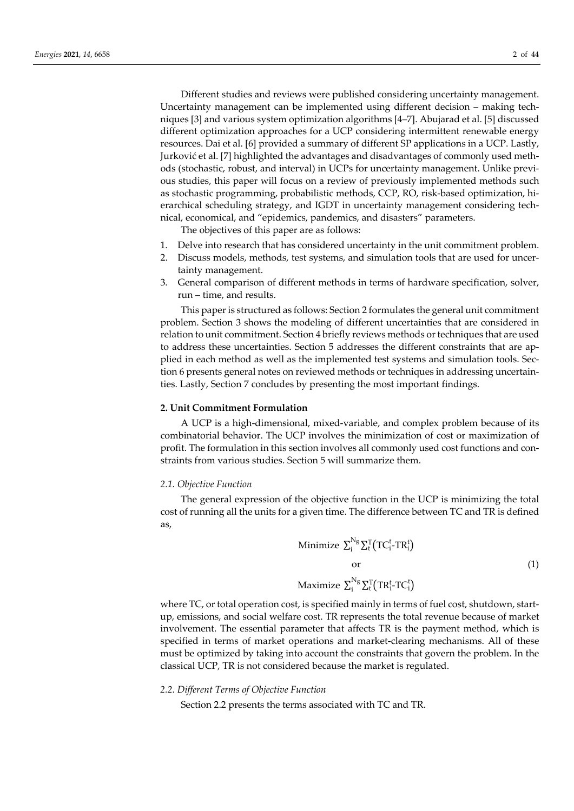Different studies and reviews were published considering uncertainty management. Uncertainty management can be implemented using different decision – making techniques [3] and various system optimization algorithms [4–7]. Abujarad et al. [5] discussed different optimization approaches for a UCP considering intermittent renewable energy resources. Dai et al. [6] provided a summary of different SP applications in a UCP. Lastly, Jurković et al. [7] highlighted the advantages and disadvantages of commonly used methods (stochastic, robust, and interval) in UCPs for uncertainty management. Unlike previous studies, this paper will focus on a review of previously implemented methods such as stochastic programming, probabilistic methods, CCP, RO, risk-based optimization, hierarchical scheduling strategy, and IGDT in uncertainty management considering technical, economical, and "epidemics, pandemics, and disasters" parameters.

The objectives of this paper are as follows:

- 1. Delve into research that has considered uncertainty in the unit commitment problem.
- 2. Discuss models, methods, test systems, and simulation tools that are used for uncertainty management.
- 3. General comparison of different methods in terms of hardware specification, solver, run – time, and results.

This paper is structured as follows: Section 2 formulates the general unit commitment problem. Section 3 shows the modeling of different uncertainties that are considered in relation to unit commitment. Section 4 briefly reviews methods or techniques that are used to address these uncertainties. Section 5 addresses the different constraints that are applied in each method as well as the implemented test systems and simulation tools. Section 6 presents general notes on reviewed methods or techniques in addressing uncertainties. Lastly, Section 7 concludes by presenting the most important findings.

#### **2. Unit Commitment Formulation**

A UCP is a high-dimensional, mixed-variable, and complex problem because of its combinatorial behavior. The UCP involves the minimization of cost or maximization of profit. The formulation in this section involves all commonly used cost functions and constraints from various studies. Section 5 will summarize them.

## *2.1. Objective Function*

The general expression of the objective function in the UCP is minimizing the total cost of running all the units for a given time. The difference between TC and TR is defined as,

Minimize 
$$
\sum_{i}^{N_g} \sum_{t}^{T} (TC_i^t - TR_i^t)
$$
  
or  
Maximize  $\sum_{i}^{N_g} \sum_{t}^{T} (TR_i^t - TC_i^t)$  (1)

where TC, or total operation cost, is specified mainly in terms of fuel cost, shutdown, startup, emissions, and social welfare cost. TR represents the total revenue because of market involvement. The essential parameter that affects TR is the payment method, which is specified in terms of market operations and market-clearing mechanisms. All of these must be optimized by taking into account the constraints that govern the problem. In the classical UCP, TR is not considered because the market is regulated.

#### *2.2. Different Terms of Objective Function*

Section 2.2 presents the terms associated with TC and TR.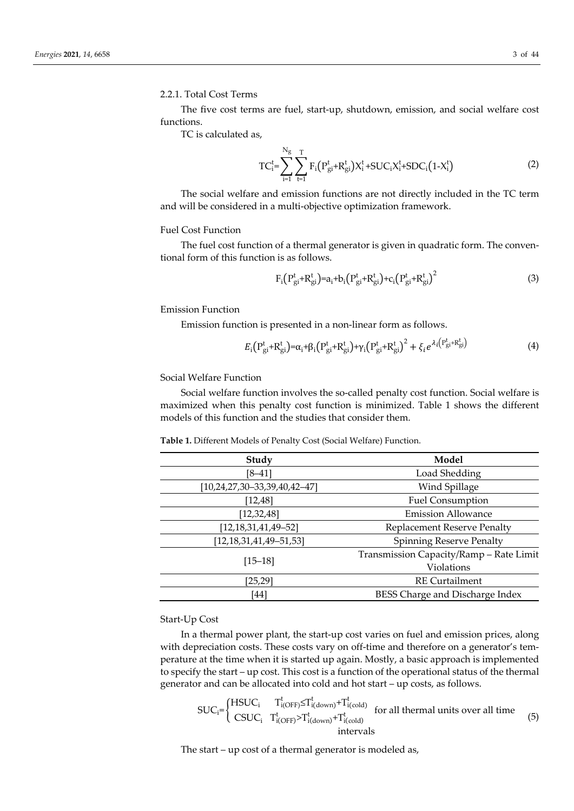#### 2.2.1. Total Cost Terms

The five cost terms are fuel, start-up, shutdown, emission, and social welfare cost functions.

TC is calculated as,

$$
TC_i^t = \sum_{i=1}^{N_g} \sum_{t=1}^{T} F_i (P_{gi}^t + R_{gi}^t) X_i^t + SUC_i X_i^t + SDC_i (1 - X_i^t)
$$
 (2)

The social welfare and emission functions are not directly included in the TC term and will be considered in a multi-objective optimization framework.

## Fuel Cost Function

The fuel cost function of a thermal generator is given in quadratic form. The conventional form of this function is as follows.

$$
F_i(P_{gi}^t + R_{gi}^t) = a_i + b_i(P_{gi}^t + R_{gi}^t) + c_i(P_{gi}^t + R_{gi}^t)^2
$$
\n(3)

Emission Function

Emission function is presented in a non-linear form as follows.

$$
E_{i}(P_{gi}^{t} + R_{gi}^{t}) = \alpha_{i} + \beta_{i}(P_{gi}^{t} + R_{gi}^{t}) + \gamma_{i}(P_{gi}^{t} + R_{gi}^{t})^{2} + \xi_{i}e^{\lambda_{i}(P_{gi}^{t} + R_{gi}^{t})}
$$
(4)

## Social Welfare Function

Social welfare function involves the so-called penalty cost function. Social welfare is maximized when this penalty cost function is minimized. Table 1 shows the different models of this function and the studies that consider them.

| <b>Table 1.</b> Different Models of Penalty Cost (Social Welfare) Function. |  |
|-----------------------------------------------------------------------------|--|
|-----------------------------------------------------------------------------|--|

| Study                           | Model                                   |
|---------------------------------|-----------------------------------------|
| $[8 - 41]$                      | Load Shedding                           |
| [10,24,27,30-33,39,40,42-47]    | Wind Spillage                           |
| [12, 48]                        | <b>Fuel Consumption</b>                 |
| [12, 32, 48]                    | <b>Emission Allowance</b>               |
| $[12, 18, 31, 41, 49 - 52]$     | Replacement Reserve Penalty             |
| $[12, 18, 31, 41, 49 - 51, 53]$ | <b>Spinning Reserve Penalty</b>         |
|                                 | Transmission Capacity/Ramp - Rate Limit |
| $[15 - 18]$                     | Violations                              |
| [25, 29]                        | <b>RE</b> Curtailment                   |
| [44]                            | BESS Charge and Discharge Index         |

# Start-Up Cost

In a thermal power plant, the start-up cost varies on fuel and emission prices, along with depreciation costs. These costs vary on off-time and therefore on a generator's temperature at the time when it is started up again. Mostly, a basic approach is implemented to specify the start – up cost. This cost is a function of the operational status of the thermal generator and can be allocated into cold and hot start – up costs, as follows.

$$
SUC_i = \begin{cases} HSUC_i & T_{i(OFF)}^t \leq T_{i(down)}^t + T_{i(cold)}^t \text{ for all thermal units over all time} \\ CSUC_i & T_{i(OFF)}^t > T_{i(down)}^t + T_{i(cold)}^t \text{ intervals} \end{cases} (5)
$$

The start – up cost of a thermal generator is modeled as,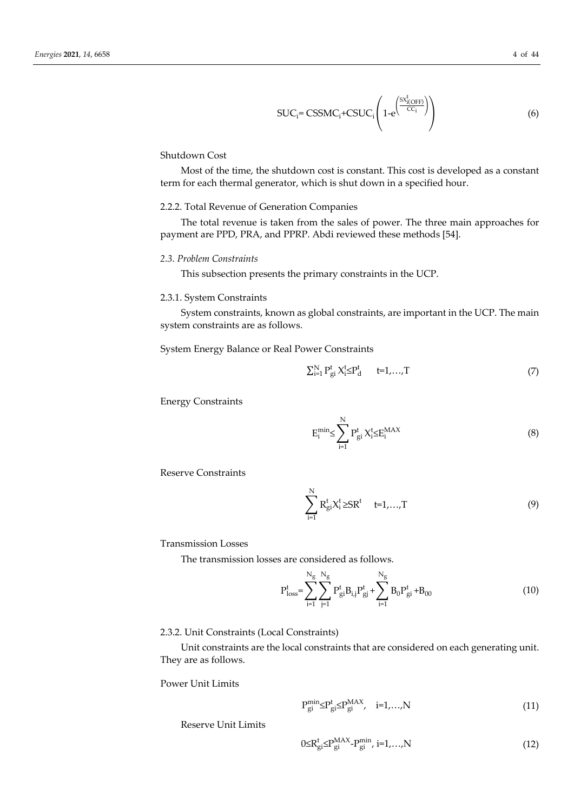$$
SUC_i = CSSMC_i + CSUC_i \left( 1 - e^{\left( \frac{S X_i^t (OFF)}{CC_i} \right)} \right)
$$
 (6)

# Shutdown Cost

Most of the time, the shutdown cost is constant. This cost is developed as a constant term for each thermal generator, which is shut down in a specified hour.

#### 2.2.2. Total Revenue of Generation Companies

The total revenue is taken from the sales of power. The three main approaches for payment are PPD, PRA, and PPRP. Abdi reviewed these methods [54].

# *2.3. Problem Constraints*

This subsection presents the primary constraints in the UCP.

#### 2.3.1. System Constraints

System constraints, known as global constraints, are important in the UCP. The main system constraints are as follows.

System Energy Balance or Real Power Constraints

$$
\sum_{i=1}^{N} P_{gi}^{t} X_{i}^{t} \leq P_{d}^{t} \qquad t=1,\ldots,T
$$
\n
$$
(7)
$$

Energy Constraints

$$
E_i^{\min} \le \sum_{i=1}^N P_{gi}^t X_i^t \le E_i^{\text{MAX}} \tag{8}
$$

Reserve Constraints

$$
\sum_{i=1}^{N} R_{gi}^{t} X_{i}^{t} \geq SR^{t} \quad t=1,...,T
$$
\n(9)

# Transmission Losses

The transmission losses are considered as follows.

$$
P_{loss}^{t} = \sum_{i=1}^{N_g} \sum_{j=1}^{N_g} P_{gi}^{t} B_{i,j} P_{gi}^{t} + \sum_{i=1}^{N_g} B_0 P_{gi}^{t} + B_{00}
$$
 (10)

## 2.3.2. Unit Constraints (Local Constraints)

Unit constraints are the local constraints that are considered on each generating unit. They are as follows.

Power Unit Limits

$$
P_{gi}^{min} \leq P_{gi}^{t} \leq P_{gi}^{MAX}, \quad i=1,...,N
$$
\n(11)

Reserve Unit Limits

$$
0 \le R_{gi}^{t} \le P_{gi}^{\text{MAX}} - P_{gi}^{\text{min}}, i=1,...,N
$$
\n(12)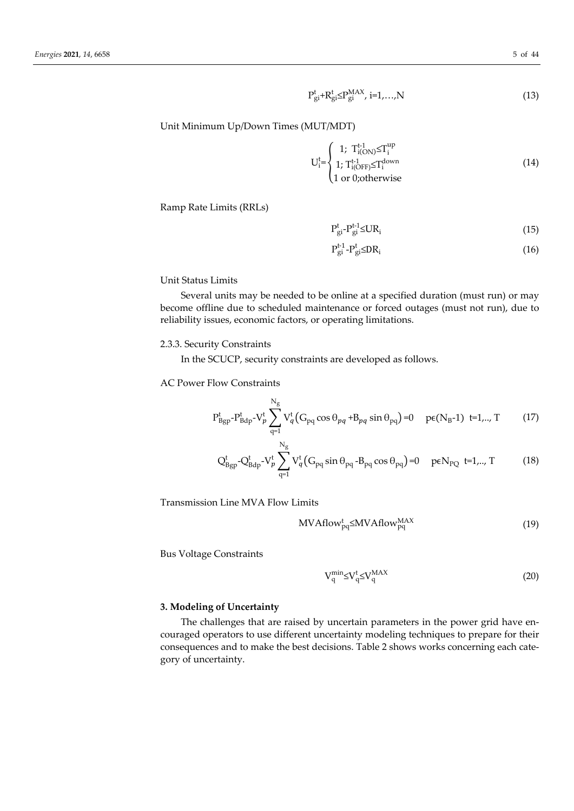$$
P_{gi}^t + R_{gi}^t \le P_{gi}^{MAX}, i=1,...,N
$$
\n(13)

Unit Minimum Up/Down Times (MUT/MDT)

$$
U_i^{t} = \begin{cases} 1; T_{i(ON)}^{t-1} \le T_i^{up} \\ 1; T_{i(OFF)}^{t-1} \le T_i^{down} \\ 1 \text{ or } 0; \text{otherwise} \end{cases}
$$
 (14)

Ramp Rate Limits (RRLs)

$$
P_{gi}^{t} - P_{gi}^{t-1} \leq U R_i
$$
 (15)

$$
P_{gi}^{t-1} - P_{gi}^t \leq DR_i \tag{16}
$$

Unit Status Limits

Several units may be needed to be online at a specified duration (must run) or may become offline due to scheduled maintenance or forced outages (must not run), due to reliability issues, economic factors, or operating limitations.

# 2.3.3. Security Constraints

In the SCUCP, security constraints are developed as follows.

 $\mathbf{v}$ 

AC Power Flow Constraints

$$
P_{Bgp}^t - P_{Bdp}^t - V_p^t \sum_{q=1}^{N_g} V_q^t (G_{pq} \cos \theta_{pq} + B_{pq} \sin \theta_{pq}) = 0 \quad p \in (N_B - 1) \quad t = 1, ..., T \tag{17}
$$

$$
Q_{Bgp}^t - Q_{Bdp}^t - V_p^t \sum_{q=1}^{N_g} V_q^t (G_{pq} \sin \theta_{pq} - B_{pq} \cos \theta_{pq}) = 0 \quad p \in N_{PQ} \quad t = 1, ..., T \tag{18}
$$

Transmission Line MVA Flow Limits

$$
MVA flow_{pq}^{t} \leq MVA flow_{pq}^{MAX}
$$
 (19)

Bus Voltage Constraints

$$
V_q^{\min} \leq V_q^t \leq V_q^{\text{MAX}} \tag{20}
$$

# **3. Modeling of Uncertainty**

The challenges that are raised by uncertain parameters in the power grid have encouraged operators to use different uncertainty modeling techniques to prepare for their consequences and to make the best decisions. Table 2 shows works concerning each category of uncertainty.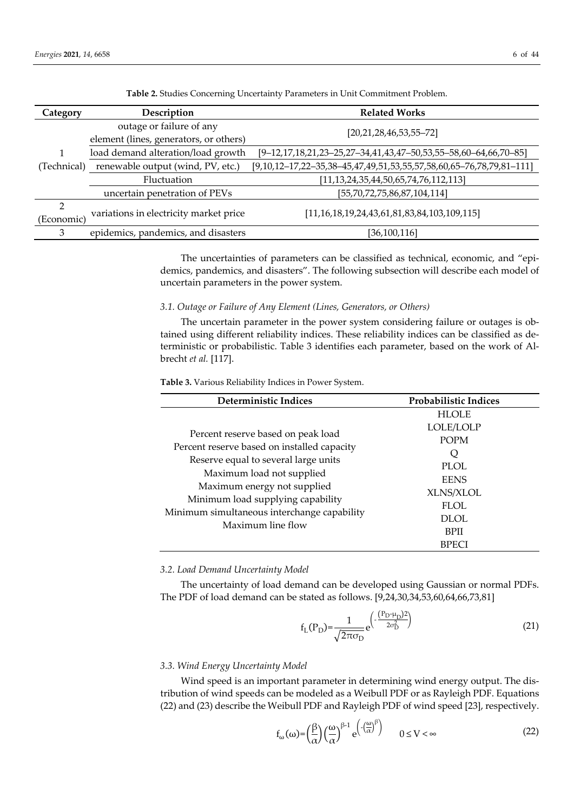| Category        | Description                            | <b>Related Works</b>                                                           |  |  |
|-----------------|----------------------------------------|--------------------------------------------------------------------------------|--|--|
|                 | outage or failure of any               |                                                                                |  |  |
|                 | element (lines, generators, or others) | $[20,21,28,46,53,55-72]$                                                       |  |  |
|                 | load demand alteration/load growth     | $[9-12, 17, 18, 21, 23-25, 27-34, 41, 43, 47-50, 53, 55-58, 60-64, 66, 70-85]$ |  |  |
| (Technical)     | renewable output (wind, PV, etc.)      | $[9,10,12-17,22-35,38-45,47,49,51,53,55,57,58,60,65-76,78,79,81-111]$          |  |  |
|                 | Fluctuation                            | $[11, 13, 24, 35, 44, 50, 65, 74, 76, 112, 113]$                               |  |  |
|                 | uncertain penetration of PEVs          | [55,70,72,75,86,87,104,114]                                                    |  |  |
| 2<br>(Economic) | variations in electricity market price | $[11, 16, 18, 19, 24, 43, 61, 81, 83, 84, 103, 109, 115]$                      |  |  |
| 3               | epidemics, pandemics, and disasters    | [36,100,116]                                                                   |  |  |

**Table 2.** Studies Concerning Uncertainty Parameters in Unit Commitment Problem.

The uncertainties of parameters can be classified as technical, economic, and "epidemics, pandemics, and disasters". The following subsection will describe each model of uncertain parameters in the power system.

#### *3.1. Outage or Failure of Any Element (Lines, Generators, or Others)*

The uncertain parameter in the power system considering failure or outages is obtained using different reliability indices. These reliability indices can be classified as deterministic or probabilistic. Table 3 identifies each parameter, based on the work of Albrecht *et al.* [117].

**Table 3.** Various Reliability Indices in Power System.

| Deterministic Indices                                                                                                                                  | Probabilistic Indices                                                  |  |
|--------------------------------------------------------------------------------------------------------------------------------------------------------|------------------------------------------------------------------------|--|
|                                                                                                                                                        | <b>HLOLE</b>                                                           |  |
| Percent reserve based on peak load<br>Percent reserve based on installed capacity<br>Reserve equal to several large units<br>Maximum load not supplied | LOLE/LOLP<br><b>POPM</b><br>Q<br><b>PLOL</b><br><b>EENS</b>            |  |
| Maximum energy not supplied<br>Minimum load supplying capability<br>Minimum simultaneous interchange capability<br>Maximum line flow                   | XLNS/XLOL<br><b>FLOL</b><br><b>DLOL</b><br><b>BPII</b><br><b>BPECI</b> |  |

#### *3.2. Load Demand Uncertainty Model*

The uncertainty of load demand can be developed using Gaussian or normal PDFs. The PDF of load demand can be stated as follows. [9,24,30,34,53,60,64,66,73,81]

$$
f_{L}(P_{D}) = \frac{1}{\sqrt{2\pi\sigma_{D}}} e^{\left(-\frac{(P_{D} - \mu_{D})^{2}}{2\sigma_{D}^{2}}\right)}
$$
(21)

#### *3.3. Wind Energy Uncertainty Model*

Wind speed is an important parameter in determining wind energy output. The distribution of wind speeds can be modeled as a Weibull PDF or as Rayleigh PDF. Equations (22) and (23) describe the Weibull PDF and Rayleigh PDF of wind speed [23], respectively.

$$
f_{\omega}(\omega) = \left(\frac{\beta}{\alpha}\right) \left(\frac{\omega}{\alpha}\right)^{\beta-1} e^{\left(-\left(\frac{\omega}{\alpha}\right)^{\beta}\right)} \qquad 0 \le V < \infty
$$
 (22)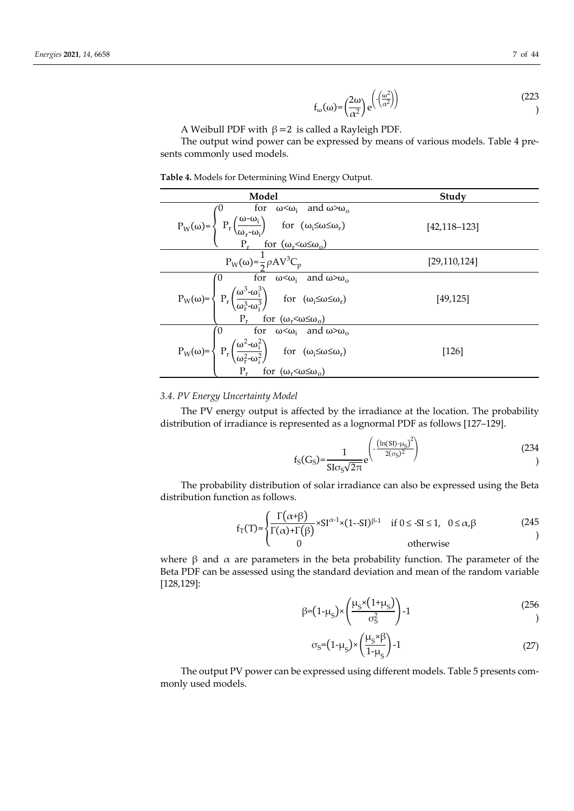$$
f_{\omega}(\omega) = \left(\frac{2\omega}{\alpha^2}\right) e^{\left(\frac{(\omega^2)}{\alpha^2}\right)}\tag{223}
$$

A Weibull PDF with  $β = 2$  is called a Rayleigh PDF.

The output wind power can be expressed by means of various models. Table 4 presents commonly used models.

| Model                                                                                                                                                                                                                                                                                                                                                                                                                                                                                                                                          | Study          |  |  |
|------------------------------------------------------------------------------------------------------------------------------------------------------------------------------------------------------------------------------------------------------------------------------------------------------------------------------------------------------------------------------------------------------------------------------------------------------------------------------------------------------------------------------------------------|----------------|--|--|
|                                                                                                                                                                                                                                                                                                                                                                                                                                                                                                                                                | [42,118–123]   |  |  |
|                                                                                                                                                                                                                                                                                                                                                                                                                                                                                                                                                | [29, 110, 124] |  |  |
|                                                                                                                                                                                                                                                                                                                                                                                                                                                                                                                                                | [49,125]       |  |  |
| <b>Model</b><br>$P_W(\omega) = \begin{cases} 0 & \text{for } \omega < \omega_i \text{ and } \omega > \omega_o \\ P_r\left(\frac{\omega - \omega_i}{\omega_r - \omega_i}\right) & \text{for } (\omega_i \leq \omega \leq \omega_r) \\ P_r & \text{for } (\omega_r < \omega \leq \omega_o) \end{cases}$<br>$P_W(\omega) = \frac{1}{2}\rho A V^3 C_p$<br>$P_W(\omega) = \begin{cases} 0 & \text{for } \omega < \omega_i \text{ and } \omega > \omega_o \\ P_r\left(\frac{\omega^3 - \omega_i^3}{\omega_r^2 - \omega_i^3}\right) & \text{for } (\$ | [126]          |  |  |

### *3.4. PV Energy Uncertainty Model*

The PV energy output is affected by the irradiance at the location. The probability distribution of irradiance is represented as a lognormal PDF as follows [127–129].

$$
f_{S}(G_{S}) = \frac{1}{\text{S}I\sigma_{S}\sqrt{2\pi}} e^{\left(-\frac{(\ln(SI) - \mu_{S})^{2}}{2(\sigma_{S})^{2}}\right)}
$$
(234)

The probability distribution of solar irradiance can also be expressed using the Beta distribution function as follows.

$$
f_T(T) = \begin{cases} \frac{\Gamma(\alpha+\beta)}{\Gamma(\alpha)+\Gamma(\beta)} \times SI^{\alpha-1} \times (1-SI)^{\beta-1} & \text{if } 0 \le S I \le 1, & 0 \le \alpha, \beta \\ 0 & \text{otherwise} \end{cases}
$$
 (245)

where  $β$  and  $α$  are parameters in the beta probability function. The parameter of the Beta PDF can be assessed using the standard deviation and mean of the random variable [128,129]:

$$
\beta = (1 - \mu_S) \times \left(\frac{\mu_S \times (1 + \mu_S)}{\sigma_S^2}\right) - 1
$$
\n(256)

$$
\sigma_{\rm S} = (1 - \mu_{\rm S}) \times \left(\frac{\mu_{\rm S} \times \beta}{1 - \mu_{\rm S}}\right) - 1 \tag{27}
$$

The output PV power can be expressed using different models. Table 5 presents commonly used models.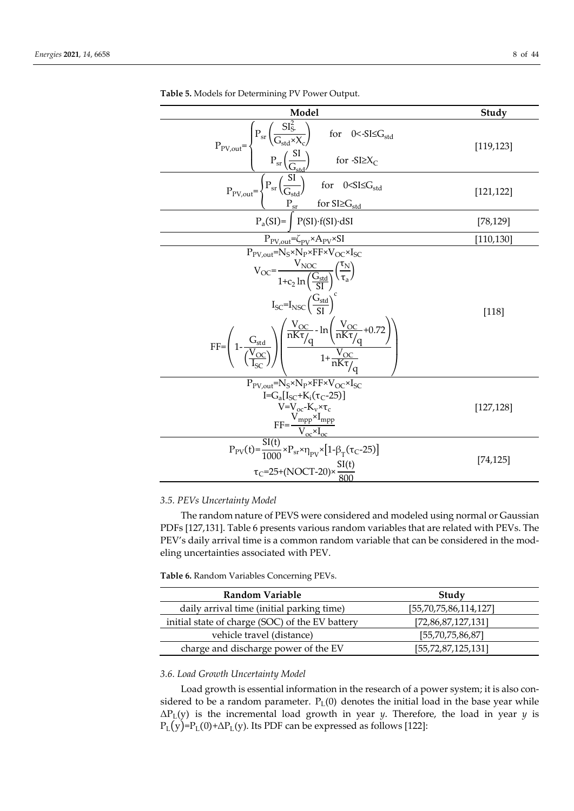| Model                                                                                                                                                                                                                                                                                                                                                                                                                                                                                              | Study      |
|----------------------------------------------------------------------------------------------------------------------------------------------------------------------------------------------------------------------------------------------------------------------------------------------------------------------------------------------------------------------------------------------------------------------------------------------------------------------------------------------------|------------|
| $\frac{P_{PV,out}=\frac{\left(P_{sr}\left(\frac{SI_{S}^{2}}{G_{std}\times X_{c}}\right)\right)}{P_{sr}\left(\frac{SI}{G_{std}}\right)}\text{ for } 0<-SI\leq G_{std}}}{P_{PV,out}=\frac{\left(P_{sr}\left(\frac{SI}{G_{std}}\right)\right)\text{ for } 0<SI\leq G_{std}}{P_{sr}\left(\frac{SI}{G_{std}}\right)\text{ for } 0<SI\leq G_{std}}}{P_{a}(SI)=\int_{R}(SI)\cdot f(SI)\cdot dSI}$                                                                                                         | [119, 123] |
|                                                                                                                                                                                                                                                                                                                                                                                                                                                                                                    | [121, 122] |
|                                                                                                                                                                                                                                                                                                                                                                                                                                                                                                    | [78, 129]  |
| $P_{PV,out} = \zeta_{PV} \times A_{PV} \times SI$                                                                                                                                                                                                                                                                                                                                                                                                                                                  | [110, 130] |
| $P_{PV,out} = N_S \times N_P \times FF \times V_{OC} \times I_{SC}$<br>$V_{OC} = \frac{V_{NOC}}{1 + c_2 \ln\left(\frac{G_{std}}{SI}\right)} \left(\frac{\tau_N}{\tau_a}\right)$<br>$I_{SC} = I_{NSC} \left(\frac{G_{std}}{SI}\right)^{c}$<br>$\text{FF} = \left(1 - \frac{G_{\text{std}}}{\left(\frac{V_{\text{OC}}}{I_{\text{SC}}}\right)}\right) \left(\frac{\frac{V_{\text{OC}}}{nK\tau/q} - \ln\left(\frac{V_{\text{OC}}}{nK\tau/q} + 0.72\right)}{1 + \frac{V_{\text{OC}}}{nK\tau/q}}\right)$ | $[118]$    |
| $P_{PV,out} = N_S \times N_P \times FF \times V_{OC} \times I_{SC}$<br>I=G <sub>a</sub> [I <sub>SC</sub> +K <sub>i</sub> (τ <sub>C</sub> -25)]<br>$V = V_{oc} - K_v \times \tau_c$<br>$\frac{FF=\frac{V_{\rm mpp} \times I_{\rm mpp}}{V_{\rm oc} \times I_{\rm oc}}}{P_{\rm PV}(t)=\frac{SI(t)}{1000} \times P_{\rm sr} \times \eta_{\rm PV} \times [1-\beta_{\rm T}(\tau_{\rm C} - 25)]}$                                                                                                         | [127, 128] |
| $\tau_{C}$ =25+(NOCT-20)× $\frac{SI(t)}{800}$                                                                                                                                                                                                                                                                                                                                                                                                                                                      | [74, 125]  |

**Table 5.** Models for Determining PV Power Output.

# *3.5. PEVs Uncertainty Model*

The random nature of PEVS were considered and modeled using normal or Gaussian PDFs [127,131]. Table 6 presents various random variables that are related with PEVs. The PEV's daily arrival time is a common random variable that can be considered in the modeling uncertainties associated with PEV.

| Table 6. Random Variables Concerning PEVs. |  |  |  |
|--------------------------------------------|--|--|--|
|--------------------------------------------|--|--|--|

| Study                  |
|------------------------|
| [55,70,75,86,114,127]  |
| [72,86,87,127,131]     |
| [55, 70, 75, 86, 87]   |
| [55, 72, 87, 125, 131] |
|                        |

# *3.6. Load Growth Uncertainty Model*

Load growth is essential information in the research of a power system; it is also considered to be a random parameter.  $P_L(0)$  denotes the initial load in the base year while ΔPL(y) is the incremental load growth in year *y*. Therefore, the load in year *y* is  $P_L(y)=P_L(0)+\Delta P_L(y)$ . Its PDF can be expressed as follows [122]: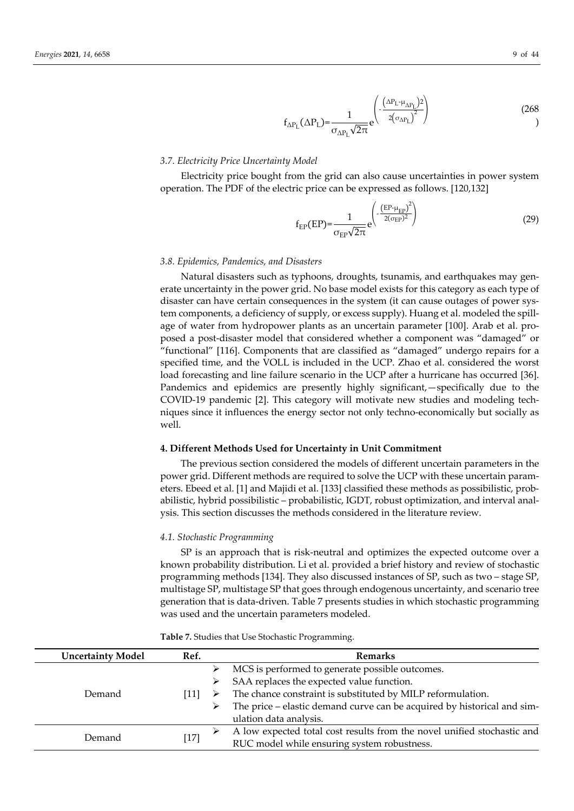$$
f_{\Delta P_{\rm L}}(\Delta P_{\rm L}) = \frac{1}{\sigma_{\Delta P_{\rm L}}\sqrt{2\pi}} e^{-\frac{\left(\Delta P_{\rm L} + \mu_{\Delta P_{\rm L}}\right)^2}{2\left(\sigma_{\Delta P_{\rm L}}\right)^2}}
$$
(268)

#### *3.7. Electricity Price Uncertainty Model*

Electricity price bought from the grid can also cause uncertainties in power system operation. The PDF of the electric price can be expressed as follows. [120,132]

$$
f_{EP}(EP) = \frac{1}{\sigma_{EP}\sqrt{2\pi}} e^{\left(-\frac{\left(EP - \mu_{EP}\right)^2}{2(\sigma_{EP})^2}\right)}
$$
(29)

#### *3.8. Epidemics, Pandemics, and Disasters*

Natural disasters such as typhoons, droughts, tsunamis, and earthquakes may generate uncertainty in the power grid. No base model exists for this category as each type of disaster can have certain consequences in the system (it can cause outages of power system components, a deficiency of supply, or excess supply). Huang et al. modeled the spillage of water from hydropower plants as an uncertain parameter [100]. Arab et al. proposed a post-disaster model that considered whether a component was "damaged" or "functional" [116]. Components that are classified as "damaged" undergo repairs for a specified time, and the VOLL is included in the UCP. Zhao et al. considered the worst load forecasting and line failure scenario in the UCP after a hurricane has occurred [36]. Pandemics and epidemics are presently highly significant,—specifically due to the COVID-19 pandemic [2]. This category will motivate new studies and modeling techniques since it influences the energy sector not only techno-economically but socially as well.

#### **4. Different Methods Used for Uncertainty in Unit Commitment**

The previous section considered the models of different uncertain parameters in the power grid. Different methods are required to solve the UCP with these uncertain parameters. Ebeed et al. [1] and Majidi et al. [133] classified these methods as possibilistic, probabilistic, hybrid possibilistic – probabilistic, IGDT, robust optimization, and interval analysis. This section discusses the methods considered in the literature review.

#### *4.1. Stochastic Programming*

SP is an approach that is risk-neutral and optimizes the expected outcome over a known probability distribution. Li et al. provided a brief history and review of stochastic programming methods [134]. They also discussed instances of SP, such as two – stage SP, multistage SP, multistage SP that goes through endogenous uncertainty, and scenario tree generation that is data-driven. Table 7 presents studies in which stochastic programming was used and the uncertain parameters modeled.

| <b>Uncertainty Model</b> | Ref.                   | Remarks                                                                 |
|--------------------------|------------------------|-------------------------------------------------------------------------|
|                          |                        | MCS is performed to generate possible outcomes.                         |
|                          |                        | SAA replaces the expected value function.                               |
| Demand                   | 1 1                    | The chance constraint is substituted by MILP reformulation.<br>➤        |
|                          |                        | The price – elastic demand curve can be acquired by historical and sim- |
|                          | ulation data analysis. |                                                                         |
| Demand                   |                        | A low expected total cost results from the novel unified stochastic and |
|                          | $[17]$                 | RUC model while ensuring system robustness.                             |

**Table 7.** Studies that Use Stochastic Programming.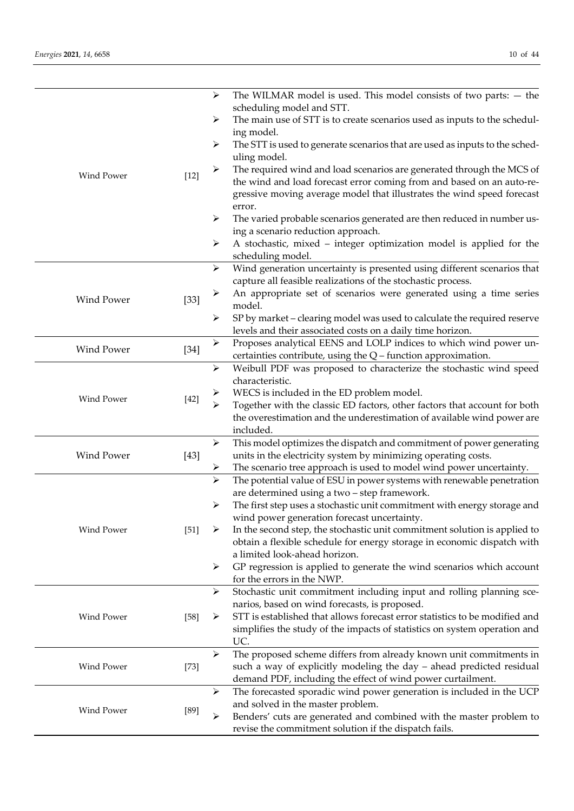|                      |        | ➤                     | The WILMAR model is used. This model consists of two parts: $-$ the                                                                 |
|----------------------|--------|-----------------------|-------------------------------------------------------------------------------------------------------------------------------------|
|                      |        | ➤                     | scheduling model and STT.<br>The main use of STT is to create scenarios used as inputs to the schedul-                              |
|                      |        |                       | ing model.                                                                                                                          |
|                      |        | ➤                     | The STT is used to generate scenarios that are used as inputs to the sched-<br>uling model.                                         |
| Wind Power           | $[12]$ | ➤                     | The required wind and load scenarios are generated through the MCS of                                                               |
|                      |        |                       | the wind and load forecast error coming from and based on an auto-re-                                                               |
|                      |        |                       | gressive moving average model that illustrates the wind speed forecast                                                              |
|                      |        | ➤                     | error.<br>The varied probable scenarios generated are then reduced in number us-                                                    |
|                      |        |                       | ing a scenario reduction approach.                                                                                                  |
|                      |        | ➤                     | A stochastic, mixed - integer optimization model is applied for the                                                                 |
|                      |        |                       | scheduling model.                                                                                                                   |
|                      |        | ➤                     | Wind generation uncertainty is presented using different scenarios that                                                             |
|                      |        |                       | capture all feasible realizations of the stochastic process.                                                                        |
| <b>Wind Power</b>    | $[33]$ | ➤                     | An appropriate set of scenarios were generated using a time series<br>model.                                                        |
|                      |        | ➤                     | SP by market - clearing model was used to calculate the required reserve                                                            |
|                      |        |                       | levels and their associated costs on a daily time horizon.                                                                          |
|                      |        | ➤                     | Proposes analytical EENS and LOLP indices to which wind power un-                                                                   |
| <b>Wind Power</b>    | $[34]$ |                       | certainties contribute, using the Q - function approximation.                                                                       |
|                      |        | $\blacktriangleright$ | Weibull PDF was proposed to characterize the stochastic wind speed                                                                  |
| Wind Power<br>$[42]$ |        |                       | characteristic.                                                                                                                     |
|                      |        | $\blacktriangleright$ | WECS is included in the ED problem model.<br>Together with the classic ED factors, other factors that account for both              |
|                      |        |                       | the overestimation and the underestimation of available wind power are                                                              |
|                      |        |                       | included.                                                                                                                           |
|                      |        | ➤                     | This model optimizes the dispatch and commitment of power generating                                                                |
| <b>Wind Power</b>    | $[43]$ |                       | units in the electricity system by minimizing operating costs.                                                                      |
|                      |        | ➤                     | The scenario tree approach is used to model wind power uncertainty.                                                                 |
|                      |        | $\blacktriangleright$ | The potential value of ESU in power systems with renewable penetration<br>are determined using a two - step framework.              |
|                      |        | ➤                     | The first step uses a stochastic unit commitment with energy storage and                                                            |
|                      |        |                       | wind power generation forecast uncertainty.                                                                                         |
| Wind Power           | $[51]$ | ➤                     | In the second step, the stochastic unit commitment solution is applied to                                                           |
|                      |        |                       | obtain a flexible schedule for energy storage in economic dispatch with                                                             |
|                      |        |                       | a limited look-ahead horizon.                                                                                                       |
|                      |        | ➤                     | GP regression is applied to generate the wind scenarios which account                                                               |
|                      |        | ➤                     | for the errors in the NWP.<br>Stochastic unit commitment including input and rolling planning sce-                                  |
|                      |        |                       | narios, based on wind forecasts, is proposed.                                                                                       |
| Wind Power           | $[58]$ | ➤                     | STT is established that allows forecast error statistics to be modified and                                                         |
|                      |        |                       | simplifies the study of the impacts of statistics on system operation and                                                           |
|                      |        |                       | UC.                                                                                                                                 |
| Wind Power           |        | ➤                     | The proposed scheme differs from already known unit commitments in                                                                  |
|                      | $[73]$ |                       | such a way of explicitly modeling the day - ahead predicted residual                                                                |
|                      |        | $\blacktriangleright$ | demand PDF, including the effect of wind power curtailment.<br>The forecasted sporadic wind power generation is included in the UCP |
|                      |        |                       | and solved in the master problem.                                                                                                   |
| Wind Power           | $[89]$ | ⋗                     | Benders' cuts are generated and combined with the master problem to                                                                 |
|                      |        |                       | revise the commitment solution if the dispatch fails.                                                                               |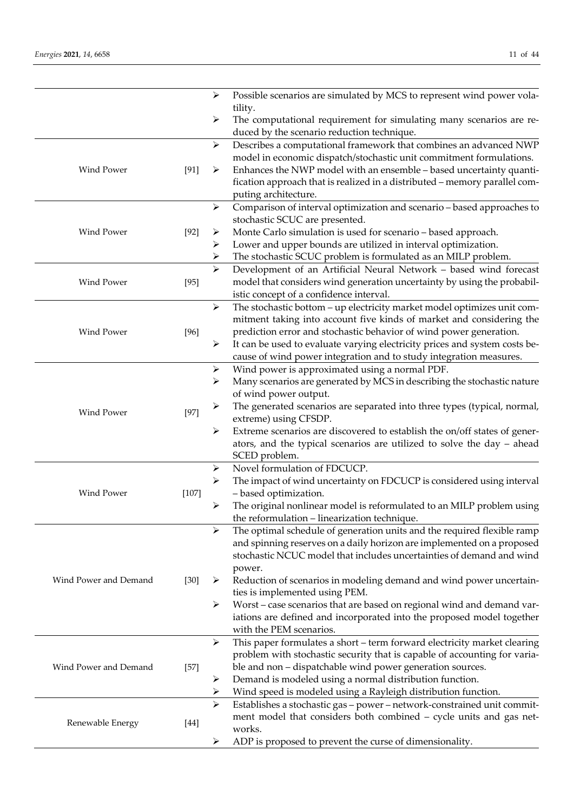|                       |         | ➤                     | Possible scenarios are simulated by MCS to represent wind power vola-                                                                            |
|-----------------------|---------|-----------------------|--------------------------------------------------------------------------------------------------------------------------------------------------|
|                       |         |                       | tility.                                                                                                                                          |
|                       |         | ➤                     | The computational requirement for simulating many scenarios are re-<br>duced by the scenario reduction technique.                                |
|                       |         | $\blacktriangleright$ | Describes a computational framework that combines an advanced NWP                                                                                |
|                       |         |                       | model in economic dispatch/stochastic unit commitment formulations.                                                                              |
| Wind Power            | [91]    | ➤                     | Enhances the NWP model with an ensemble - based uncertainty quanti-                                                                              |
|                       |         |                       | fication approach that is realized in a distributed - memory parallel com-                                                                       |
|                       |         |                       | puting architecture.                                                                                                                             |
|                       |         | $\blacktriangleright$ | Comparison of interval optimization and scenario - based approaches to                                                                           |
|                       |         |                       | stochastic SCUC are presented.                                                                                                                   |
| Wind Power            | $[92]$  | ➤                     | Monte Carlo simulation is used for scenario - based approach.                                                                                    |
|                       |         | ➤                     | Lower and upper bounds are utilized in interval optimization.                                                                                    |
|                       |         | ➤                     | The stochastic SCUC problem is formulated as an MILP problem.                                                                                    |
|                       |         | $\blacktriangleright$ | Development of an Artificial Neural Network - based wind forecast                                                                                |
| Wind Power            | $[95]$  |                       | model that considers wind generation uncertainty by using the probabil-                                                                          |
|                       |         |                       | istic concept of a confidence interval.                                                                                                          |
|                       |         | $\blacktriangleright$ | The stochastic bottom - up electricity market model optimizes unit com-                                                                          |
| Wind Power            |         |                       | mitment taking into account five kinds of market and considering the                                                                             |
|                       | $[96]$  |                       | prediction error and stochastic behavior of wind power generation.<br>It can be used to evaluate varying electricity prices and system costs be- |
|                       |         | ➤                     | cause of wind power integration and to study integration measures.                                                                               |
|                       |         | ➤                     | Wind power is approximated using a normal PDF.                                                                                                   |
|                       |         | ➤                     | Many scenarios are generated by MCS in describing the stochastic nature                                                                          |
|                       |         |                       | of wind power output.                                                                                                                            |
|                       |         | ➤                     | The generated scenarios are separated into three types (typical, normal,                                                                         |
| Wind Power            | $[97]$  |                       | extreme) using CFSDP.                                                                                                                            |
|                       |         | ➤                     | Extreme scenarios are discovered to establish the on/off states of gener-                                                                        |
|                       |         |                       | ators, and the typical scenarios are utilized to solve the day $-$ ahead                                                                         |
|                       |         |                       | SCED problem.                                                                                                                                    |
|                       |         | ➤                     | Novel formulation of FDCUCP.                                                                                                                     |
|                       |         | ➤                     | The impact of wind uncertainty on FDCUCP is considered using interval                                                                            |
| Wind Power            | $[107]$ |                       | - based optimization.                                                                                                                            |
|                       |         | ➤                     | The original nonlinear model is reformulated to an MILP problem using                                                                            |
|                       |         |                       | the reformulation - linearization technique.                                                                                                     |
|                       |         | $\blacktriangleright$ | The optimal schedule of generation units and the required flexible ramp                                                                          |
|                       |         |                       | and spinning reserves on a daily horizon are implemented on a proposed<br>stochastic NCUC model that includes uncertainties of demand and wind   |
|                       |         |                       | power.                                                                                                                                           |
| Wind Power and Demand | $[30]$  | ➤                     | Reduction of scenarios in modeling demand and wind power uncertain-                                                                              |
|                       |         |                       | ties is implemented using PEM.                                                                                                                   |
|                       |         | $\blacktriangleright$ | Worst - case scenarios that are based on regional wind and demand var-                                                                           |
|                       |         |                       | iations are defined and incorporated into the proposed model together                                                                            |
|                       |         |                       | with the PEM scenarios.                                                                                                                          |
|                       |         | $\blacktriangleright$ | This paper formulates a short - term forward electricity market clearing                                                                         |
|                       |         |                       | problem with stochastic security that is capable of accounting for varia-                                                                        |
| Wind Power and Demand | $[57]$  |                       | ble and non - dispatchable wind power generation sources.                                                                                        |
|                       |         | ➤                     | Demand is modeled using a normal distribution function.                                                                                          |
|                       |         | ➤                     | Wind speed is modeled using a Rayleigh distribution function.                                                                                    |
|                       |         | $\blacktriangleright$ | Establishes a stochastic gas - power - network-constrained unit commit-                                                                          |
| Renewable Energy      | $[44]$  |                       | ment model that considers both combined - cycle units and gas net-                                                                               |
|                       |         |                       | works.                                                                                                                                           |
|                       |         | ➤                     | ADP is proposed to prevent the curse of dimensionality.                                                                                          |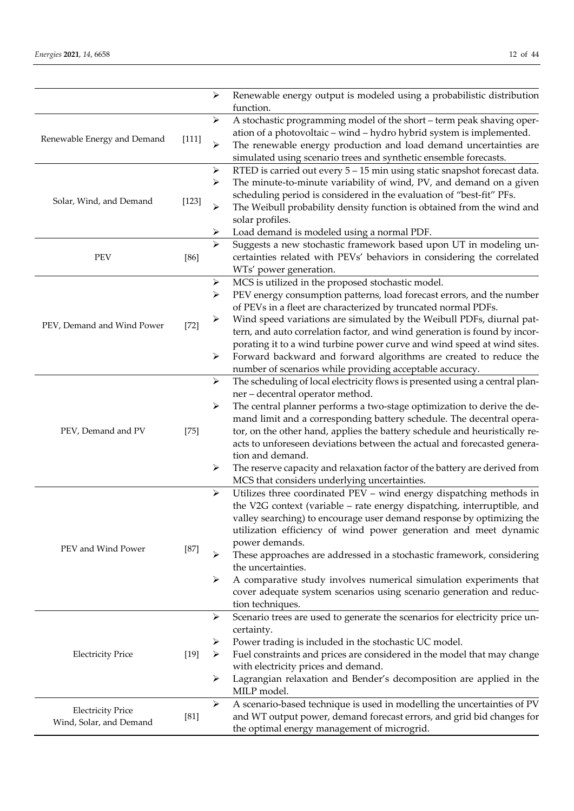|                             |         | ➤                     | Renewable energy output is modeled using a probabilistic distribution<br>function.                                                             |
|-----------------------------|---------|-----------------------|------------------------------------------------------------------------------------------------------------------------------------------------|
|                             |         | ➤                     | A stochastic programming model of the short - term peak shaving oper-                                                                          |
|                             |         |                       | ation of a photovoltaic - wind - hydro hybrid system is implemented.                                                                           |
| Renewable Energy and Demand | $[111]$ | $\blacktriangleright$ | The renewable energy production and load demand uncertainties are                                                                              |
|                             |         |                       | simulated using scenario trees and synthetic ensemble forecasts.                                                                               |
|                             |         | $\blacktriangleright$ | RTED is carried out every 5 - 15 min using static snapshot forecast data.                                                                      |
|                             |         | ➤                     | The minute-to-minute variability of wind, PV, and demand on a given                                                                            |
| Solar, Wind, and Demand     | [123]   |                       | scheduling period is considered in the evaluation of "best-fit" PFs.                                                                           |
|                             |         | ⋗                     | The Weibull probability density function is obtained from the wind and                                                                         |
|                             |         |                       | solar profiles.                                                                                                                                |
|                             |         |                       | Load demand is modeled using a normal PDF.                                                                                                     |
|                             |         | $\blacktriangleright$ | Suggests a new stochastic framework based upon UT in modeling un-                                                                              |
| <b>PEV</b>                  | $[86]$  |                       | certainties related with PEVs' behaviors in considering the correlated                                                                         |
|                             |         |                       | WTs' power generation.                                                                                                                         |
|                             |         | ➤                     | MCS is utilized in the proposed stochastic model.                                                                                              |
|                             |         | ➤                     | PEV energy consumption patterns, load forecast errors, and the number<br>of PEVs in a fleet are characterized by truncated normal PDFs.        |
|                             |         | ➤                     | Wind speed variations are simulated by the Weibull PDFs, diurnal pat-                                                                          |
| PEV, Demand and Wind Power  | $[72]$  |                       | tern, and auto correlation factor, and wind generation is found by incor-                                                                      |
|                             |         |                       | porating it to a wind turbine power curve and wind speed at wind sites.                                                                        |
|                             |         | $\blacktriangleright$ | Forward backward and forward algorithms are created to reduce the                                                                              |
|                             |         |                       | number of scenarios while providing acceptable accuracy.                                                                                       |
|                             |         | $\blacktriangleright$ | The scheduling of local electricity flows is presented using a central plan-                                                                   |
|                             |         |                       | ner - decentral operator method.                                                                                                               |
|                             |         | ➤                     | The central planner performs a two-stage optimization to derive the de-                                                                        |
|                             |         |                       | mand limit and a corresponding battery schedule. The decentral opera-                                                                          |
| PEV, Demand and PV          | $[75]$  |                       | tor, on the other hand, applies the battery schedule and heuristically re-                                                                     |
|                             |         |                       | acts to unforeseen deviations between the actual and forecasted genera-                                                                        |
|                             |         |                       | tion and demand.                                                                                                                               |
|                             |         | ➤                     | The reserve capacity and relaxation factor of the battery are derived from                                                                     |
|                             |         |                       | MCS that considers underlying uncertainties.                                                                                                   |
|                             |         | $\blacktriangleright$ | Utilizes three coordinated PEV - wind energy dispatching methods in<br>the V2G context (variable - rate energy dispatching, interruptible, and |
|                             |         |                       | valley searching) to encourage user demand response by optimizing the                                                                          |
|                             |         |                       | utilization efficiency of wind power generation and meet dynamic                                                                               |
|                             |         |                       | power demands.                                                                                                                                 |
| PEV and Wind Power          | $[87]$  | ≻                     | These approaches are addressed in a stochastic framework, considering                                                                          |
|                             |         |                       | the uncertainties.                                                                                                                             |
|                             |         | ➤                     | A comparative study involves numerical simulation experiments that                                                                             |
|                             |         |                       | cover adequate system scenarios using scenario generation and reduc-                                                                           |
|                             |         |                       | tion techniques.                                                                                                                               |
|                             |         | ➤                     | Scenario trees are used to generate the scenarios for electricity price un-                                                                    |
|                             |         |                       | certainty.                                                                                                                                     |
|                             |         | ➤                     | Power trading is included in the stochastic UC model.                                                                                          |
| <b>Electricity Price</b>    | $[19]$  | ➤                     | Fuel constraints and prices are considered in the model that may change                                                                        |
|                             |         | ➤                     | with electricity prices and demand.<br>Lagrangian relaxation and Bender's decomposition are applied in the                                     |
|                             |         |                       | MILP model.                                                                                                                                    |
|                             |         | ➤                     | A scenario-based technique is used in modelling the uncertainties of PV                                                                        |
| <b>Electricity Price</b>    | [81]    |                       | and WT output power, demand forecast errors, and grid bid changes for                                                                          |
| Wind, Solar, and Demand     |         |                       | the optimal energy management of microgrid.                                                                                                    |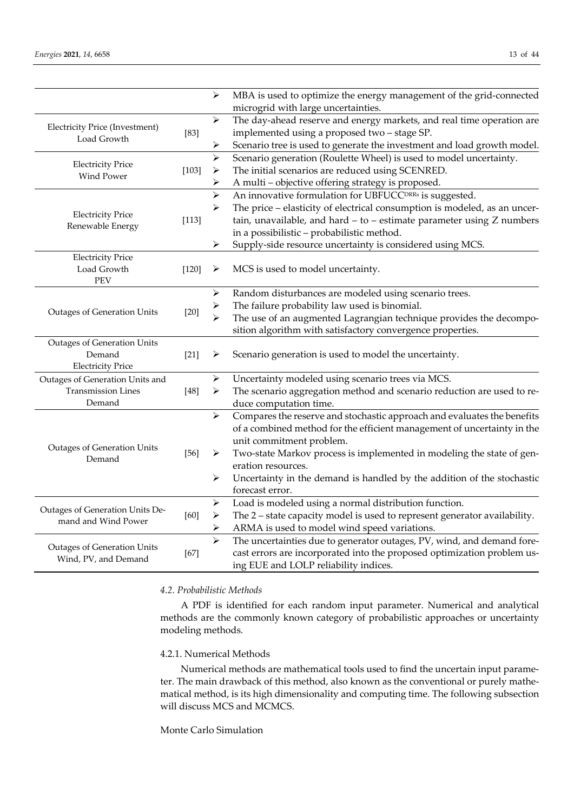|                                       |         | ➤                     | MBA is used to optimize the energy management of the grid-connected         |
|---------------------------------------|---------|-----------------------|-----------------------------------------------------------------------------|
|                                       |         |                       | microgrid with large uncertainties.                                         |
| <b>Electricity Price (Investment)</b> |         | ➤                     | The day-ahead reserve and energy markets, and real time operation are       |
| Load Growth                           | $[83]$  |                       | implemented using a proposed two - stage SP.                                |
|                                       |         | ➤                     | Scenario tree is used to generate the investment and load growth model.     |
| <b>Electricity Price</b>              |         | $\blacktriangleright$ | Scenario generation (Roulette Wheel) is used to model uncertainty.          |
| Wind Power                            | $[103]$ | $\blacktriangleright$ | The initial scenarios are reduced using SCENRED.                            |
|                                       |         | ➤                     | A multi - objective offering strategy is proposed.                          |
|                                       |         | $\blacktriangleright$ | An innovative formulation for UBFUCC <sup>DRRs</sup> is suggested.          |
|                                       |         | ➤                     | The price - elasticity of electrical consumption is modeled, as an uncer-   |
| <b>Electricity Price</b>              | [113]   |                       | tain, unavailable, and hard $-$ to $-$ estimate parameter using $Z$ numbers |
| Renewable Energy                      |         |                       | in a possibilistic - probabilistic method.                                  |
|                                       |         | ⋗                     | Supply-side resource uncertainty is considered using MCS.                   |
| <b>Electricity Price</b>              |         |                       |                                                                             |
| Load Growth                           | $[120]$ | ➤                     | MCS is used to model uncertainty.                                           |
| <b>PEV</b>                            |         |                       |                                                                             |
|                                       | $[20]$  | ➤                     | Random disturbances are modeled using scenario trees.                       |
|                                       |         | ➤                     | The failure probability law used is binomial.                               |
| Outages of Generation Units           |         | $\blacktriangleright$ | The use of an augmented Lagrangian technique provides the decompo-          |
|                                       |         |                       | sition algorithm with satisfactory convergence properties.                  |
| <b>Outages of Generation Units</b>    |         |                       |                                                                             |
| Demand                                | $[21]$  | ➤                     | Scenario generation is used to model the uncertainty.                       |
| <b>Electricity Price</b>              |         |                       |                                                                             |
| Outages of Generation Units and       |         | ➤                     | Uncertainty modeled using scenario trees via MCS.                           |
| <b>Transmission Lines</b>             | $[48]$  | ➤                     | The scenario aggregation method and scenario reduction are used to re-      |
| Demand                                |         |                       | duce computation time.                                                      |
|                                       |         | ➤                     | Compares the reserve and stochastic approach and evaluates the benefits     |
|                                       |         |                       | of a combined method for the efficient management of uncertainty in the     |
|                                       |         |                       | unit commitment problem.                                                    |
| <b>Outages of Generation Units</b>    | $[56]$  | ➤                     | Two-state Markov process is implemented in modeling the state of gen-       |
| Demand                                |         |                       | eration resources.                                                          |
|                                       |         | $\blacktriangleright$ | Uncertainty in the demand is handled by the addition of the stochastic      |
|                                       |         |                       | forecast error.                                                             |
|                                       |         | ➤                     | Load is modeled using a normal distribution function.                       |
| Outages of Generation Units De-       | [60]    | $\blacktriangleright$ | The 2 - state capacity model is used to represent generator availability.   |
| mand and Wind Power                   |         | ➤                     | ARMA is used to model wind speed variations.                                |
|                                       |         | $\blacktriangleright$ | The uncertainties due to generator outages, PV, wind, and demand fore-      |
| <b>Outages of Generation Units</b>    | $[67]$  |                       | cast errors are incorporated into the proposed optimization problem us-     |
| Wind, PV, and Demand                  |         |                       | ing EUE and LOLP reliability indices.                                       |
|                                       |         |                       |                                                                             |

# *4.2. Probabilistic Methods*

A PDF is identified for each random input parameter. Numerical and analytical methods are the commonly known category of probabilistic approaches or uncertainty modeling methods.

# 4.2.1. Numerical Methods

Numerical methods are mathematical tools used to find the uncertain input parameter. The main drawback of this method, also known as the conventional or purely mathematical method, is its high dimensionality and computing time. The following subsection will discuss MCS and MCMCS.

Monte Carlo Simulation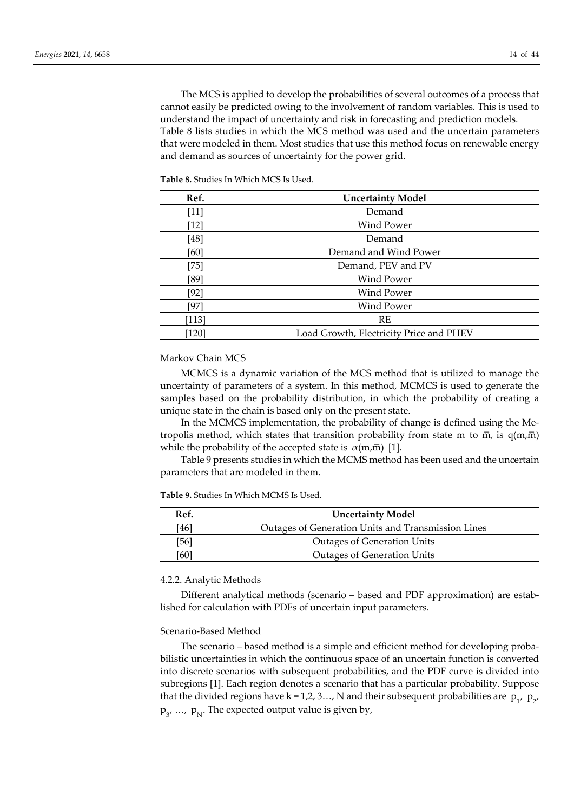The MCS is applied to develop the probabilities of several outcomes of a process that cannot easily be predicted owing to the involvement of random variables. This is used to understand the impact of uncertainty and risk in forecasting and prediction models. Table 8 lists studies in which the MCS method was used and the uncertain parameters that were modeled in them. Most studies that use this method focus on renewable energy and demand as sources of uncertainty for the power grid.

| Ref.   | <b>Uncertainty Model</b>                |
|--------|-----------------------------------------|
| [11]   | Demand                                  |
| [12]   | Wind Power                              |
| [48]   | Demand                                  |
| [60]   | Demand and Wind Power                   |
| $[75]$ | Demand, PEV and PV                      |
| [89]   | <b>Wind Power</b>                       |
| $[92]$ | Wind Power                              |
| [97]   | Wind Power                              |
| [113]  | RE                                      |
| 120    | Load Growth, Electricity Price and PHEV |

**Table 8.** Studies In Which MCS Is Used.

# Markov Chain MCS

MCMCS is a dynamic variation of the MCS method that is utilized to manage the uncertainty of parameters of a system. In this method, MCMCS is used to generate the samples based on the probability distribution, in which the probability of creating a unique state in the chain is based only on the present state.

In the MCMCS implementation, the probability of change is defined using the Metropolis method, which states that transition probability from state m to  $\overline{m}$ , is  $q(m,\overline{m})$ while the probability of the accepted state is  $\alpha(m,\bar{m})$  [1].

Table 9 presents studies in which the MCMS method has been used and the uncertain parameters that are modeled in them.

**Table 9.** Studies In Which MCMS Is Used.

| Ref. | <b>Uncertainty Model</b>                           |
|------|----------------------------------------------------|
| [46] | Outages of Generation Units and Transmission Lines |
| [56] | <b>Outages of Generation Units</b>                 |
| (60) | <b>Outages of Generation Units</b>                 |

#### 4.2.2. Analytic Methods

Different analytical methods (scenario – based and PDF approximation) are established for calculation with PDFs of uncertain input parameters.

#### Scenario-Based Method

The scenario – based method is a simple and efficient method for developing probabilistic uncertainties in which the continuous space of an uncertain function is converted into discrete scenarios with subsequent probabilities, and the PDF curve is divided into subregions [1]. Each region denotes a scenario that has a particular probability. Suppose that the divided regions have k = 1,2, 3..., N and their subsequent probabilities are  $p_{1'}$ ,  $p_{2'}$  $\mathrm{p}_{\mathrm{3'}}\, ...\, \mathrm{p}_{\mathrm{N}}.$  The expected output value is given by,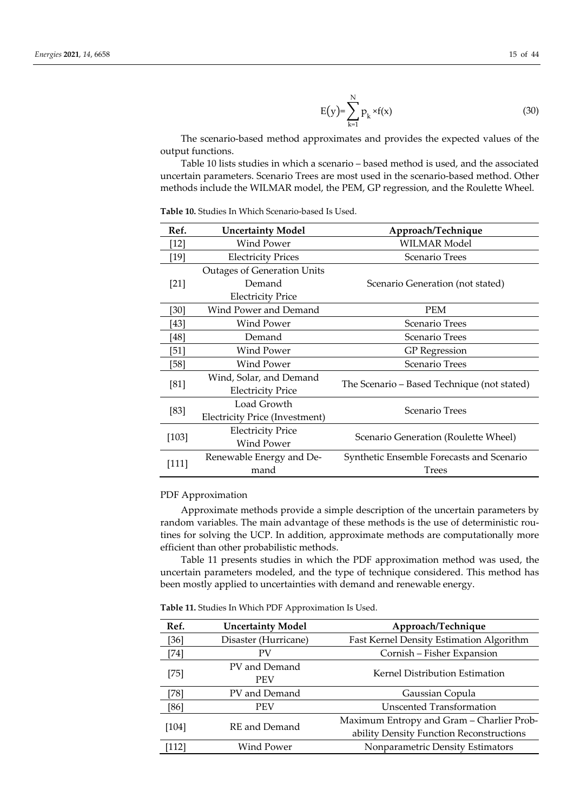$$
E(y) = \sum_{k=1}^{N} p_k * f(x)
$$
 (30)

The scenario-based method approximates and provides the expected values of the output functions.

Table 10 lists studies in which a scenario – based method is used, and the associated uncertain parameters. Scenario Trees are most used in the scenario-based method. Other methods include the WILMAR model, the PEM, GP regression, and the Roulette Wheel.

**Table 10.** Studies In Which Scenario-based Is Used.

| Ref.    | <b>Uncertainty Model</b>              | Approach/Technique                          |  |
|---------|---------------------------------------|---------------------------------------------|--|
| $[12]$  | <b>Wind Power</b>                     | <b>WILMAR Model</b>                         |  |
| $[19]$  | <b>Electricity Prices</b>             | Scenario Trees                              |  |
|         | <b>Outages of Generation Units</b>    |                                             |  |
| $[21]$  | Demand                                | Scenario Generation (not stated)            |  |
|         | <b>Electricity Price</b>              |                                             |  |
| [30]    | Wind Power and Demand                 | <b>PEM</b>                                  |  |
| [43]    | Wind Power                            | Scenario Trees                              |  |
| [48]    | Demand                                | Scenario Trees                              |  |
| [51]    | Wind Power                            | <b>GP</b> Regression                        |  |
| [58]    | <b>Wind Power</b>                     | Scenario Trees                              |  |
|         | Wind, Solar, and Demand               | The Scenario – Based Technique (not stated) |  |
| [81]    | <b>Electricity Price</b>              |                                             |  |
|         | Load Growth                           | Scenario Trees                              |  |
| [83]    | <b>Electricity Price (Investment)</b> |                                             |  |
| $[103]$ | <b>Electricity Price</b>              | Scenario Generation (Roulette Wheel)        |  |
|         | Wind Power                            |                                             |  |
| [111]   | Renewable Energy and De-              | Synthetic Ensemble Forecasts and Scenario   |  |
|         | mand                                  | Trees                                       |  |

#### PDF Approximation

Approximate methods provide a simple description of the uncertain parameters by random variables. The main advantage of these methods is the use of deterministic routines for solving the UCP. In addition, approximate methods are computationally more efficient than other probabilistic methods.

Table 11 presents studies in which the PDF approximation method was used, the uncertain parameters modeled, and the type of technique considered. This method has been mostly applied to uncertainties with demand and renewable energy.

**Table 11.** Studies In Which PDF Approximation Is Used.

| Ref.    | <b>Uncertainty Model</b>    | Approach/Technique                        |
|---------|-----------------------------|-------------------------------------------|
| $[36]$  | Disaster (Hurricane)        | Fast Kernel Density Estimation Algorithm  |
| $[74]$  | PV                          | Cornish - Fisher Expansion                |
| [75]    | PV and Demand<br><b>PEV</b> | Kernel Distribution Estimation            |
| [78]    | PV and Demand               | Gaussian Copula                           |
| [86]    | <b>PEV</b>                  | Unscented Transformation                  |
| $[104]$ | RE and Demand               | Maximum Entropy and Gram – Charlier Prob- |
|         |                             | ability Density Function Reconstructions  |
| 1121    | Wind Power                  | Nonparametric Density Estimators          |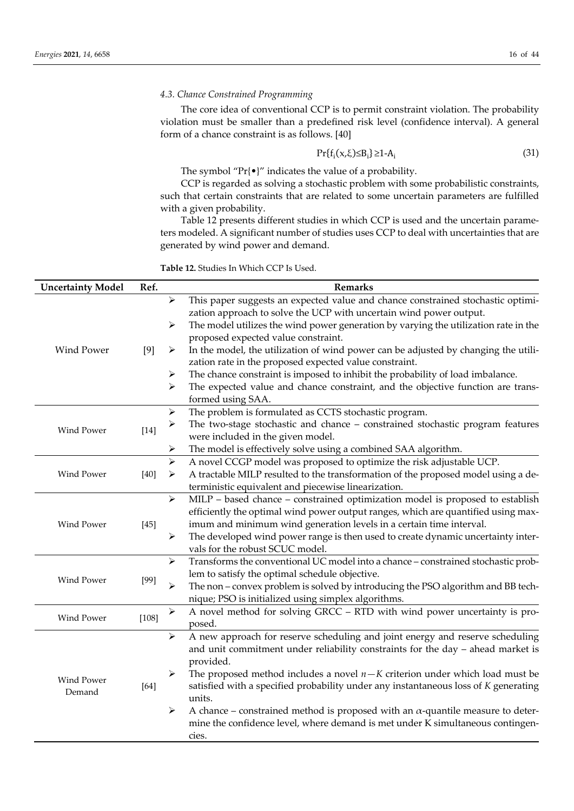## *4.3. Chance Constrained Programming*

The core idea of conventional CCP is to permit constraint violation. The probability violation must be smaller than a predefined risk level (confidence interval). A general form of a chance constraint is as follows. [40]

$$
Pr{f_i(x,\xi) \leq B_i} \geq 1-A_i
$$
\n(31)

The symbol "Pr{•}" indicates the value of a probability.

CCP is regarded as solving a stochastic problem with some probabilistic constraints, such that certain constraints that are related to some uncertain parameters are fulfilled with a given probability.

Table 12 presents different studies in which CCP is used and the uncertain parameters modeled. A significant number of studies uses CCP to deal with uncertainties that are generated by wind power and demand.

**Table 12.** Studies In Which CCP Is Used.

| <b>Uncertainty Model</b> | Ref.    | Remarks               |                                                                                        |  |
|--------------------------|---------|-----------------------|----------------------------------------------------------------------------------------|--|
|                          |         | $\blacktriangleright$ | This paper suggests an expected value and chance constrained stochastic optimi-        |  |
|                          |         |                       | zation approach to solve the UCP with uncertain wind power output.                     |  |
|                          |         | $\blacktriangleright$ | The model utilizes the wind power generation by varying the utilization rate in the    |  |
|                          |         |                       | proposed expected value constraint.                                                    |  |
| Wind Power               | [9]     | ➤                     | In the model, the utilization of wind power can be adjusted by changing the utili-     |  |
|                          |         |                       | zation rate in the proposed expected value constraint.                                 |  |
|                          |         | ➤                     | The chance constraint is imposed to inhibit the probability of load imbalance.         |  |
|                          |         | ➤                     | The expected value and chance constraint, and the objective function are trans-        |  |
|                          |         |                       | formed using SAA.                                                                      |  |
|                          |         | $\blacktriangleright$ | The problem is formulated as CCTS stochastic program.                                  |  |
| Wind Power               |         | $\blacktriangleright$ | The two-stage stochastic and chance - constrained stochastic program features          |  |
|                          | $[14]$  |                       | were included in the given model.                                                      |  |
|                          |         | ➤                     | The model is effectively solve using a combined SAA algorithm.                         |  |
|                          |         | $\blacktriangleright$ | A novel CCGP model was proposed to optimize the risk adjustable UCP.                   |  |
| Wind Power               | $[40]$  | ➤                     | A tractable MILP resulted to the transformation of the proposed model using a de-      |  |
|                          |         |                       | terministic equivalent and piecewise linearization.                                    |  |
|                          |         | $\blacktriangleright$ | MILP - based chance - constrained optimization model is proposed to establish          |  |
|                          | $[45]$  |                       | efficiently the optimal wind power output ranges, which are quantified using max-      |  |
| Wind Power               |         |                       | imum and minimum wind generation levels in a certain time interval.                    |  |
|                          |         | $\blacktriangleright$ | The developed wind power range is then used to create dynamic uncertainty inter-       |  |
|                          |         |                       | vals for the robust SCUC model.                                                        |  |
|                          |         | $\blacktriangleright$ | Transforms the conventional UC model into a chance - constrained stochastic prob-      |  |
|                          |         |                       | lem to satisfy the optimal schedule objective.                                         |  |
| <b>Wind Power</b>        | $[99]$  | ➤                     | The non – convex problem is solved by introducing the PSO algorithm and BB tech-       |  |
|                          |         |                       | nique; PSO is initialized using simplex algorithms.                                    |  |
|                          |         | $\blacktriangleright$ | A novel method for solving GRCC - RTD with wind power uncertainty is pro-              |  |
| Wind Power               | $[108]$ |                       | posed.                                                                                 |  |
|                          |         | $\blacktriangleright$ | A new approach for reserve scheduling and joint energy and reserve scheduling          |  |
|                          |         |                       | and unit commitment under reliability constraints for the day - ahead market is        |  |
|                          |         |                       | provided.                                                                              |  |
|                          |         | ➤                     | The proposed method includes a novel $n - K$ criterion under which load must be        |  |
| Wind Power               | $[64]$  |                       | satisfied with a specified probability under any instantaneous loss of K generating    |  |
| Demand                   |         |                       | units.                                                                                 |  |
|                          |         | ➤                     | A chance – constrained method is proposed with an $\alpha$ -quantile measure to deter- |  |
|                          |         |                       | mine the confidence level, where demand is met under K simultaneous contingen-         |  |
|                          |         |                       | cies.                                                                                  |  |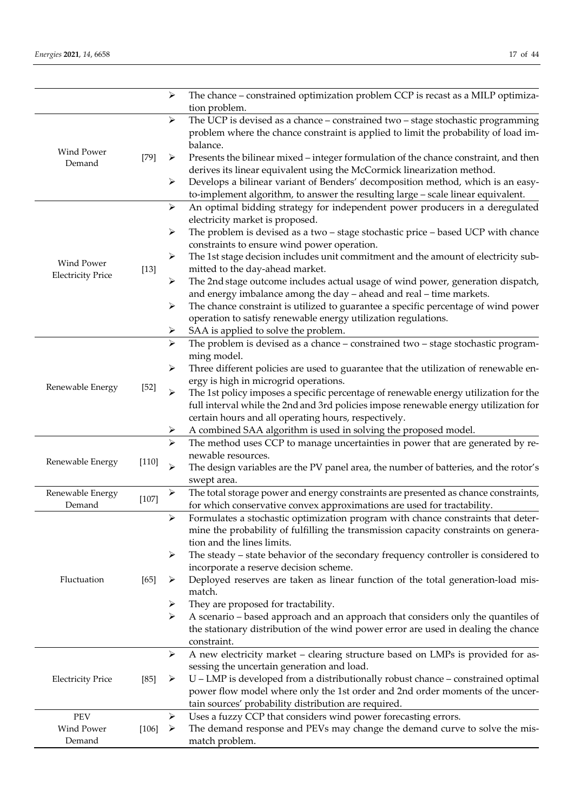|                            |         | ➤                     | The chance - constrained optimization problem CCP is recast as a MILP optimiza-<br>tion problem.                                                            |
|----------------------------|---------|-----------------------|-------------------------------------------------------------------------------------------------------------------------------------------------------------|
|                            |         | $\blacktriangleright$ | The UCP is devised as a chance - constrained two - stage stochastic programming                                                                             |
|                            |         |                       | problem where the chance constraint is applied to limit the probability of load im-<br>balance.                                                             |
| Wind Power                 | $[79]$  | ➤                     | Presents the bilinear mixed – integer formulation of the chance constraint, and then                                                                        |
| Demand                     |         |                       | derives its linear equivalent using the McCormick linearization method.                                                                                     |
|                            |         | ➤                     | Develops a bilinear variant of Benders' decomposition method, which is an easy-                                                                             |
|                            |         |                       | to-implement algorithm, to answer the resulting large - scale linear equivalent.                                                                            |
|                            |         | $\blacktriangleright$ | An optimal bidding strategy for independent power producers in a deregulated                                                                                |
|                            |         |                       | electricity market is proposed.                                                                                                                             |
|                            |         | ➤                     | The problem is devised as a two - stage stochastic price - based UCP with chance                                                                            |
|                            |         |                       | constraints to ensure wind power operation.                                                                                                                 |
|                            |         | ➤                     | The 1st stage decision includes unit commitment and the amount of electricity sub-                                                                          |
| Wind Power                 | $[13]$  |                       | mitted to the day-ahead market.                                                                                                                             |
| <b>Electricity Price</b>   |         | ➤                     | The 2nd stage outcome includes actual usage of wind power, generation dispatch,                                                                             |
|                            |         |                       | and energy imbalance among the day - ahead and real - time markets.                                                                                         |
|                            |         | ➤                     | The chance constraint is utilized to guarantee a specific percentage of wind power                                                                          |
|                            |         |                       | operation to satisfy renewable energy utilization regulations.                                                                                              |
|                            |         | ➤                     | SAA is applied to solve the problem.                                                                                                                        |
|                            |         | $\blacktriangleright$ | The problem is devised as a chance - constrained two - stage stochastic program-                                                                            |
|                            |         |                       | ming model.                                                                                                                                                 |
|                            |         | $\blacktriangleright$ | Three different policies are used to guarantee that the utilization of renewable en-                                                                        |
| Renewable Energy           | $[52]$  |                       | ergy is high in microgrid operations.                                                                                                                       |
|                            |         | $\blacktriangleright$ | The 1st policy imposes a specific percentage of renewable energy utilization for the                                                                        |
|                            |         |                       | full interval while the 2nd and 3rd policies impose renewable energy utilization for                                                                        |
|                            |         |                       | certain hours and all operating hours, respectively.                                                                                                        |
|                            |         | ➤                     | A combined SAA algorithm is used in solving the proposed model.                                                                                             |
|                            |         | ➤                     | The method uses CCP to manage uncertainties in power that are generated by re-                                                                              |
| Renewable Energy           | $[110]$ |                       | newable resources.                                                                                                                                          |
|                            |         | ➤                     | The design variables are the PV panel area, the number of batteries, and the rotor's                                                                        |
|                            |         |                       | swept area.                                                                                                                                                 |
| Renewable Energy<br>Demand | $[107]$ | ➤                     | The total storage power and energy constraints are presented as chance constraints,                                                                         |
|                            |         |                       | for which conservative convex approximations are used for tractability.<br>Formulates a stochastic optimization program with chance constraints that deter- |
|                            |         |                       |                                                                                                                                                             |
|                            |         |                       | mine the probability of fulfilling the transmission capacity constraints on genera-<br>tion and the lines limits.                                           |
|                            |         | ➤                     | The steady - state behavior of the secondary frequency controller is considered to                                                                          |
|                            |         |                       | incorporate a reserve decision scheme.                                                                                                                      |
| Fluctuation                | $[65]$  | ➤                     | Deployed reserves are taken as linear function of the total generation-load mis-                                                                            |
|                            |         |                       | match.                                                                                                                                                      |
|                            |         | ➤                     | They are proposed for tractability.                                                                                                                         |
|                            |         | ➤                     | A scenario – based approach and an approach that considers only the quantiles of                                                                            |
|                            |         |                       | the stationary distribution of the wind power error are used in dealing the chance                                                                          |
|                            |         |                       | constraint.                                                                                                                                                 |
|                            |         | $\blacktriangleright$ | A new electricity market - clearing structure based on LMPs is provided for as-                                                                             |
|                            |         |                       | sessing the uncertain generation and load.                                                                                                                  |
| <b>Electricity Price</b>   | $[85]$  | ➤                     | U – LMP is developed from a distributionally robust chance – constrained optimal                                                                            |
|                            |         |                       | power flow model where only the 1st order and 2nd order moments of the uncer-                                                                               |
|                            |         |                       | tain sources' probability distribution are required.                                                                                                        |
| PEV                        |         | ➤                     | Uses a fuzzy CCP that considers wind power forecasting errors.                                                                                              |
| Wind Power                 | $[106]$ | ➤                     | The demand response and PEVs may change the demand curve to solve the mis-                                                                                  |
| Demand                     |         |                       | match problem.                                                                                                                                              |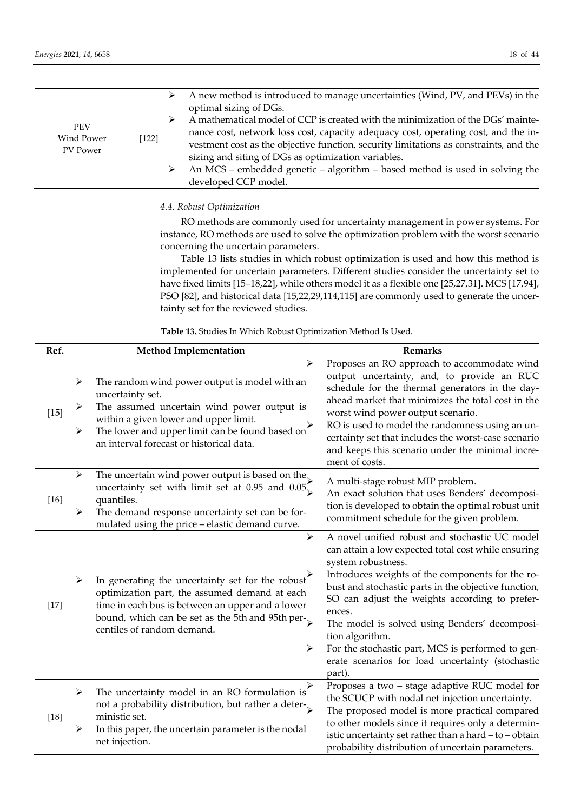|                                               | ➤      | A new method is introduced to manage uncertainties (Wind, PV, and PEVs) in the<br>optimal sizing of DGs.                                                                                                                                                                                                                                                                                                                      |
|-----------------------------------------------|--------|-------------------------------------------------------------------------------------------------------------------------------------------------------------------------------------------------------------------------------------------------------------------------------------------------------------------------------------------------------------------------------------------------------------------------------|
| <b>PEV</b><br>Wind Power<br>[122]<br>PV Power | ➤<br>➤ | A mathematical model of CCP is created with the minimization of the DGs' mainte-<br>nance cost, network loss cost, capacity adequacy cost, operating cost, and the in-<br>vestment cost as the objective function, security limitations as constraints, and the<br>sizing and siting of DGs as optimization variables.<br>An MCS – embedded genetic – algorithm – based method is used in solving the<br>developed CCP model. |

#### *4.4. Robust Optimization*

RO methods are commonly used for uncertainty management in power systems. For instance, RO methods are used to solve the optimization problem with the worst scenario concerning the uncertain parameters.

Table 13 lists studies in which robust optimization is used and how this method is implemented for uncertain parameters. Different studies consider the uncertainty set to have fixed limits [15–18,22], while others model it as a flexible one [25,27,31]. MCS [17,94], PSO [82], and historical data [15,22,29,114,115] are commonly used to generate the uncertainty set for the reviewed studies.

**Table 13.** Studies In Which Robust Optimization Method Is Used.

| Ref.   | <b>Method Implementation</b>                                                                                                                                                                                                                                                             | <b>Remarks</b>                                                                                                                                                                                                                                                                                                                                                                                                                                                                             |
|--------|------------------------------------------------------------------------------------------------------------------------------------------------------------------------------------------------------------------------------------------------------------------------------------------|--------------------------------------------------------------------------------------------------------------------------------------------------------------------------------------------------------------------------------------------------------------------------------------------------------------------------------------------------------------------------------------------------------------------------------------------------------------------------------------------|
| $[15]$ | ➤<br>The random wind power output is model with an<br>➤<br>uncertainty set.<br>The assumed uncertain wind power output is<br>➤<br>within a given lower and upper limit.<br>The lower and upper limit can be found based on<br>➤<br>an interval forecast or historical data.              | Proposes an RO approach to accommodate wind<br>output uncertainty, and, to provide an RUC<br>schedule for the thermal generators in the day-<br>ahead market that minimizes the total cost in the<br>worst wind power output scenario.<br>RO is used to model the randomness using an un-<br>certainty set that includes the worst-case scenario<br>and keeps this scenario under the minimal incre-<br>ment of costs.                                                                     |
| $[16]$ | The uncertain wind power output is based on the<br>➤<br>uncertainty set with limit set at 0.95 and $0.05\frac{1}{2}$<br>quantiles.<br>The demand response uncertainty set can be for-<br>➤<br>mulated using the price - elastic demand curve.                                            | A multi-stage robust MIP problem.<br>An exact solution that uses Benders' decomposi-<br>tion is developed to obtain the optimal robust unit<br>commitment schedule for the given problem.                                                                                                                                                                                                                                                                                                  |
| $[17]$ | $\blacktriangleright$<br>In generating the uncertainty set for the robust<br>➤<br>optimization part, the assumed demand at each<br>time in each bus is between an upper and a lower<br>bound, which can be set as the 5th and 95th per- $\mathcal{L}$<br>centiles of random demand.<br>➤ | A novel unified robust and stochastic UC model<br>can attain a low expected total cost while ensuring<br>system robustness.<br>Introduces weights of the components for the ro-<br>bust and stochastic parts in the objective function,<br>SO can adjust the weights according to prefer-<br>ences.<br>The model is solved using Benders' decomposi-<br>tion algorithm.<br>For the stochastic part, MCS is performed to gen-<br>erate scenarios for load uncertainty (stochastic<br>part). |
| $[18]$ | The uncertainty model in an RO formulation is<br>$\blacktriangleright$<br>not a probability distribution, but rather a deter-<br>ministic set.<br>In this paper, the uncertain parameter is the nodal<br>➤<br>net injection.                                                             | Proposes a two - stage adaptive RUC model for<br>the SCUCP with nodal net injection uncertainty.<br>The proposed model is more practical compared<br>to other models since it requires only a determin-<br>istic uncertainty set rather than a hard - to - obtain<br>probability distribution of uncertain parameters.                                                                                                                                                                     |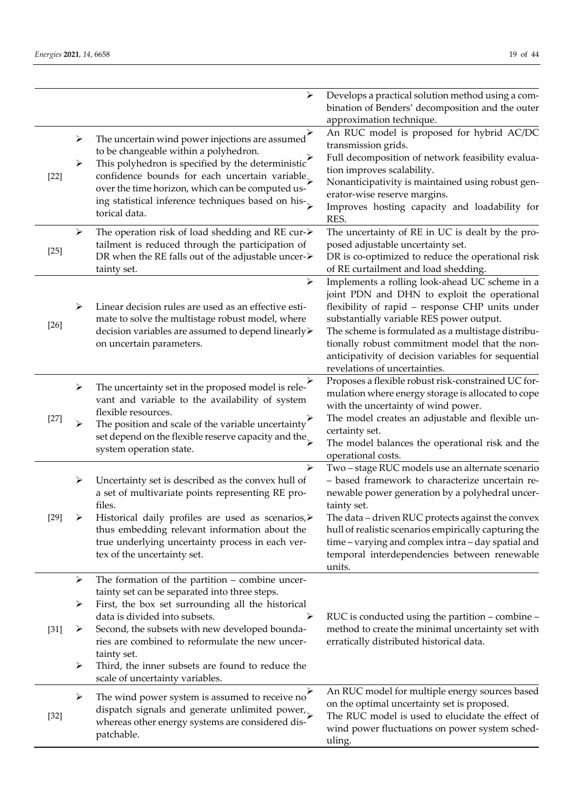|        |   | ➤                                                                       | Develops a practical solution method using a com-<br>bination of Benders' decomposition and the outer |
|--------|---|-------------------------------------------------------------------------|-------------------------------------------------------------------------------------------------------|
|        |   |                                                                         | approximation technique.                                                                              |
|        |   |                                                                         | An RUC model is proposed for hybrid AC/DC                                                             |
|        | ➤ | The uncertain wind power injections are assumed                         | transmission grids.                                                                                   |
|        |   | to be changeable within a polyhedron.                                   | Full decomposition of network feasibility evalua-                                                     |
|        | ➤ | This polyhedron is specified by the deterministic'                      | tion improves scalability.                                                                            |
| $[22]$ |   | confidence bounds for each uncertain variable                           | Nonanticipativity is maintained using robust gen-                                                     |
|        |   | over the time horizon, which can be computed us-                        |                                                                                                       |
|        |   | ing statistical inference techniques based on his-                      | erator-wise reserve margins.                                                                          |
|        |   | torical data.                                                           | Improves hosting capacity and loadability for<br>RES.                                                 |
|        | ➤ | The operation risk of load shedding and RE cur- $\triangleright$        | The uncertainty of RE in UC is dealt by the pro-                                                      |
|        |   | tailment is reduced through the participation of                        | posed adjustable uncertainty set.                                                                     |
| $[25]$ |   | DR when the RE falls out of the adjustable uncer->                      | DR is co-optimized to reduce the operational risk                                                     |
|        |   | tainty set.                                                             | of RE curtailment and load shedding.                                                                  |
|        |   | $\blacktriangleright$                                                   | Implements a rolling look-ahead UC scheme in a                                                        |
|        |   |                                                                         | joint PDN and DHN to exploit the operational                                                          |
|        | ➤ | Linear decision rules are used as an effective esti-                    | flexibility of rapid - response CHP units under                                                       |
|        |   | mate to solve the multistage robust model, where                        | substantially variable RES power output.                                                              |
| $[26]$ |   | decision variables are assumed to depend linearly>                      | The scheme is formulated as a multistage distribu-                                                    |
|        |   | on uncertain parameters.                                                | tionally robust commitment model that the non-                                                        |
|        |   |                                                                         | anticipativity of decision variables for sequential                                                   |
|        |   |                                                                         | revelations of uncertainties.                                                                         |
|        |   |                                                                         | Proposes a flexible robust risk-constrained UC for-                                                   |
|        | ➤ | The uncertainty set in the proposed model is rele-                      | mulation where energy storage is allocated to cope                                                    |
|        |   | vant and variable to the availability of system                         |                                                                                                       |
|        |   | flexible resources.                                                     | with the uncertainty of wind power.                                                                   |
| $[27]$ | ➤ | The position and scale of the variable uncertainty $\overrightarrow{B}$ | The model creates an adjustable and flexible un-                                                      |
|        |   | set depend on the flexible reserve capacity and the $\mathbb{R}$        | certainty set.                                                                                        |
|        |   | system operation state.                                                 | The model balances the operational risk and the                                                       |
|        |   |                                                                         | operational costs.                                                                                    |
|        |   | ⋗                                                                       | Two - stage RUC models use an alternate scenario                                                      |
|        | ➤ | Uncertainty set is described as the convex hull of                      | - based framework to characterize uncertain re-                                                       |
|        |   | a set of multivariate points representing RE pro-                       | newable power generation by a polyhedral uncer-                                                       |
|        |   | files.                                                                  | tainty set.                                                                                           |
| $[29]$ | ➤ | Historical daily profiles are used as scenarios,                        | The data - driven RUC protects against the convex                                                     |
|        |   | thus embedding relevant information about the                           | hull of realistic scenarios empirically capturing the                                                 |
|        |   | true underlying uncertainty process in each ver-                        | time - varying and complex intra - day spatial and                                                    |
|        |   | tex of the uncertainty set.                                             | temporal interdependencies between renewable                                                          |
|        |   |                                                                         | units.                                                                                                |
|        | ➤ | The formation of the partition $-$ combine uncer-                       |                                                                                                       |
|        |   | tainty set can be separated into three steps.                           |                                                                                                       |
|        | ➤ | First, the box set surrounding all the historical                       |                                                                                                       |
|        |   | data is divided into subsets.<br>➤                                      | RUC is conducted using the partition – combine –                                                      |
| $[31]$ | ➤ | Second, the subsets with new developed bounda-                          | method to create the minimal uncertainty set with                                                     |
|        |   | ries are combined to reformulate the new uncer-                         | erratically distributed historical data.                                                              |
|        |   | tainty set.                                                             |                                                                                                       |
|        | ➤ | Third, the inner subsets are found to reduce the                        |                                                                                                       |
|        |   | scale of uncertainty variables.                                         |                                                                                                       |
|        |   |                                                                         | An RUC model for multiple energy sources based                                                        |
|        | ➤ | The wind power system is assumed to receive no                          | on the optimal uncertainty set is proposed.                                                           |
| $[32]$ |   | dispatch signals and generate unlimited power, $_{\sim}$                | The RUC model is used to elucidate the effect of                                                      |
|        |   | whereas other energy systems are considered dis-                        | wind power fluctuations on power system sched-                                                        |
|        |   | patchable.                                                              | uling.                                                                                                |
|        |   |                                                                         |                                                                                                       |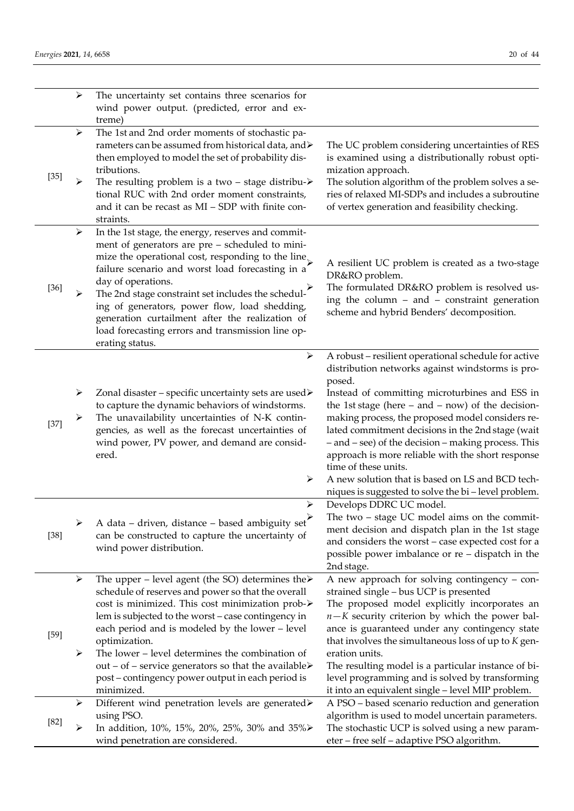|        | $\blacktriangleright$      | The uncertainty set contains three scenarios for<br>wind power output. (predicted, error and ex-<br>treme)                                                                                                                                                                                                                                                                                                                                                                                          |                                                                                                                                                                                                                                                                                                                                                                                                                                                                                                                                                                                      |
|--------|----------------------------|-----------------------------------------------------------------------------------------------------------------------------------------------------------------------------------------------------------------------------------------------------------------------------------------------------------------------------------------------------------------------------------------------------------------------------------------------------------------------------------------------------|--------------------------------------------------------------------------------------------------------------------------------------------------------------------------------------------------------------------------------------------------------------------------------------------------------------------------------------------------------------------------------------------------------------------------------------------------------------------------------------------------------------------------------------------------------------------------------------|
| $[35]$ | ➤<br>➤                     | The 1st and 2nd order moments of stochastic pa-<br>rameters can be assumed from historical data, and ><br>then employed to model the set of probability dis-<br>tributions.<br>The resulting problem is a two – stage distribu- $\triangleright$<br>tional RUC with 2nd order moment constraints,<br>and it can be recast as $MI - SDP$ with finite con-<br>straints.                                                                                                                               | The UC problem considering uncertainties of RES<br>is examined using a distributionally robust opti-<br>mization approach.<br>The solution algorithm of the problem solves a se-<br>ries of relaxed MI-SDPs and includes a subroutine<br>of vertex generation and feasibility checking.                                                                                                                                                                                                                                                                                              |
| $[36]$ | $\blacktriangleright$<br>➤ | In the 1st stage, the energy, reserves and commit-<br>ment of generators are pre - scheduled to mini-<br>mize the operational cost, responding to the line<br>failure scenario and worst load forecasting in a<br>day of operations.<br>The 2nd stage constraint set includes the schedul-<br>ing of generators, power flow, load shedding,<br>generation curtailment after the realization of<br>load forecasting errors and transmission line op-<br>erating status.                              | A resilient UC problem is created as a two-stage<br>DR&RO problem.<br>The formulated DR&RO problem is resolved us-<br>ing the column - and - constraint generation<br>scheme and hybrid Benders' decomposition.                                                                                                                                                                                                                                                                                                                                                                      |
| $[37]$ | ➤<br>➤                     | $\blacktriangleright$<br>Zonal disaster – specific uncertainty sets are used><br>to capture the dynamic behaviors of windstorms.<br>The unavailability uncertainties of N-K contin-<br>gencies, as well as the forecast uncertainties of<br>wind power, PV power, and demand are consid-<br>ered.<br>➤                                                                                                                                                                                              | A robust - resilient operational schedule for active<br>distribution networks against windstorms is pro-<br>posed.<br>Instead of committing microturbines and ESS in<br>the 1st stage (here $-$ and $-$ now) of the decision-<br>making process, the proposed model considers re-<br>lated commitment decisions in the 2nd stage (wait<br>- and - see) of the decision - making process. This<br>approach is more reliable with the short response<br>time of these units.<br>A new solution that is based on LS and BCD tech-<br>niques is suggested to solve the bi-level problem. |
| $[38]$ | ➤                          | ➤<br>A data – driven, distance – based ambiguity set<br>can be constructed to capture the uncertainty of<br>wind power distribution.                                                                                                                                                                                                                                                                                                                                                                | Develops DDRC UC model.<br>The two $-$ stage UC model aims on the commit-<br>ment decision and dispatch plan in the 1st stage<br>and considers the worst - case expected cost for a<br>possible power imbalance or re - dispatch in the<br>2nd stage.                                                                                                                                                                                                                                                                                                                                |
| $[59]$ | ➤<br>➤                     | The upper – level agent (the SO) determines the $\triangleright$<br>schedule of reserves and power so that the overall<br>cost is minimized. This cost minimization prob-><br>lem is subjected to the worst - case contingency in<br>each period and is modeled by the lower - level<br>optimization.<br>The lower - level determines the combination of<br>out – of – service generators so that the available $\triangleright$<br>post – contingency power output in each period is<br>minimized. | A new approach for solving contingency - con-<br>strained single - bus UCP is presented<br>The proposed model explicitly incorporates an<br>$n-K$ security criterion by which the power bal-<br>ance is guaranteed under any contingency state<br>that involves the simultaneous loss of up to K gen-<br>eration units.<br>The resulting model is a particular instance of bi-<br>level programming and is solved by transforming<br>it into an equivalent single - level MIP problem.                                                                                               |
| $[82]$ | ➤<br>➤                     | Different wind penetration levels are generated><br>using PSO.<br>In addition, 10%, 15%, 20%, 25%, 30% and 35%<br>wind penetration are considered.                                                                                                                                                                                                                                                                                                                                                  | A PSO - based scenario reduction and generation<br>algorithm is used to model uncertain parameters.<br>The stochastic UCP is solved using a new param-<br>eter – free self – adaptive PSO algorithm.                                                                                                                                                                                                                                                                                                                                                                                 |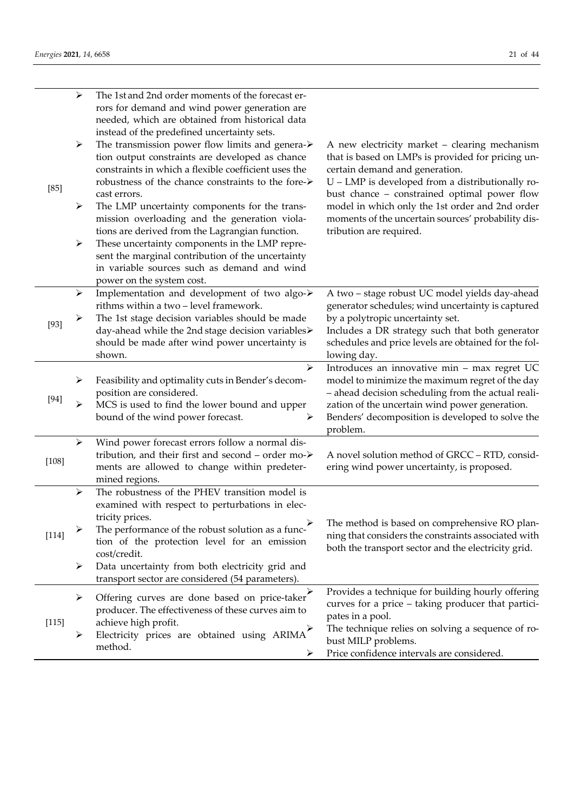| $[85]$  | ➤<br>➤<br>➤<br>≻                | The 1st and 2nd order moments of the forecast er-<br>rors for demand and wind power generation are<br>needed, which are obtained from historical data<br>instead of the predefined uncertainty sets.<br>The transmission power flow limits and genera-><br>tion output constraints are developed as chance<br>constraints in which a flexible coefficient uses the<br>robustness of the chance constraints to the fore-><br>cast errors.<br>The LMP uncertainty components for the trans-<br>mission overloading and the generation viola-<br>tions are derived from the Lagrangian function.<br>These uncertainty components in the LMP repre-<br>sent the marginal contribution of the uncertainty<br>in variable sources such as demand and wind<br>power on the system cost. | A new electricity market - clearing mechanism<br>that is based on LMPs is provided for pricing un-<br>certain demand and generation.<br>U - LMP is developed from a distributionally ro-<br>bust chance - constrained optimal power flow<br>model in which only the 1st order and 2nd order<br>moments of the uncertain sources' probability dis-<br>tribution are required. |
|---------|---------------------------------|----------------------------------------------------------------------------------------------------------------------------------------------------------------------------------------------------------------------------------------------------------------------------------------------------------------------------------------------------------------------------------------------------------------------------------------------------------------------------------------------------------------------------------------------------------------------------------------------------------------------------------------------------------------------------------------------------------------------------------------------------------------------------------|------------------------------------------------------------------------------------------------------------------------------------------------------------------------------------------------------------------------------------------------------------------------------------------------------------------------------------------------------------------------------|
| $[93]$  | ➤<br>➤                          | Implementation and development of two algo-><br>rithms within a two - level framework.<br>The 1st stage decision variables should be made<br>day-ahead while the 2nd stage decision variables><br>should be made after wind power uncertainty is<br>shown.                                                                                                                                                                                                                                                                                                                                                                                                                                                                                                                       | A two - stage robust UC model yields day-ahead<br>generator schedules; wind uncertainty is captured<br>by a polytropic uncertainty set.<br>Includes a DR strategy such that both generator<br>schedules and price levels are obtained for the fol-<br>lowing day.                                                                                                            |
| $[94]$  | ➤<br>➤                          | $\blacktriangleright$<br>Feasibility and optimality cuts in Bender's decom-<br>position are considered.<br>MCS is used to find the lower bound and upper<br>bound of the wind power forecast.<br>≻                                                                                                                                                                                                                                                                                                                                                                                                                                                                                                                                                                               | Introduces an innovative min - max regret UC<br>model to minimize the maximum regret of the day<br>- ahead decision scheduling from the actual reali-<br>zation of the uncertain wind power generation.<br>Benders' decomposition is developed to solve the<br>problem.                                                                                                      |
| $[108]$ | ➤                               | Wind power forecast errors follow a normal dis-<br>tribution, and their first and second - order mo-><br>ments are allowed to change within predeter-<br>mined regions.                                                                                                                                                                                                                                                                                                                                                                                                                                                                                                                                                                                                          | A novel solution method of GRCC - RTD, consid-<br>ering wind power uncertainty, is proposed.                                                                                                                                                                                                                                                                                 |
| $[114]$ | $\blacktriangleright$<br>➤<br>➤ | The robustness of the PHEV transition model is<br>examined with respect to perturbations in elec-<br>tricity prices.<br>The performance of the robust solution as a func-<br>tion of the protection level for an emission<br>cost/credit.<br>Data uncertainty from both electricity grid and<br>transport sector are considered (54 parameters).                                                                                                                                                                                                                                                                                                                                                                                                                                 | The method is based on comprehensive RO plan-<br>ning that considers the constraints associated with<br>both the transport sector and the electricity grid.                                                                                                                                                                                                                  |
| [115]   | ➤<br>➤                          | Offering curves are done based on price-taker<br>producer. The effectiveness of these curves aim to<br>achieve high profit.<br>Electricity prices are obtained using ARIMA<br>method.<br>➤                                                                                                                                                                                                                                                                                                                                                                                                                                                                                                                                                                                       | Provides a technique for building hourly offering<br>curves for a price - taking producer that partici-<br>pates in a pool.<br>The technique relies on solving a sequence of ro-<br>bust MILP problems.<br>Price confidence intervals are considered.                                                                                                                        |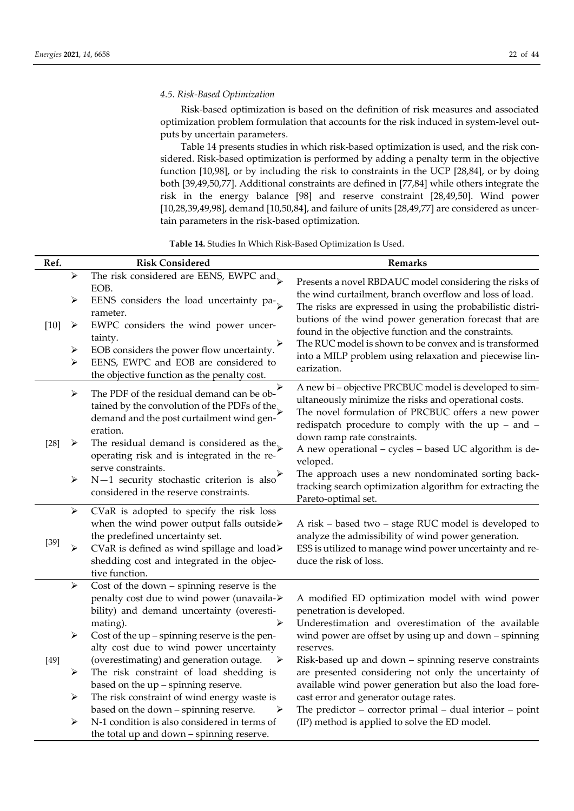## *4.5. Risk-Based Optimization*

Risk-based optimization is based on the definition of risk measures and associated optimization problem formulation that accounts for the risk induced in system-level outputs by uncertain parameters.

Table 14 presents studies in which risk-based optimization is used, and the risk considered. Risk-based optimization is performed by adding a penalty term in the objective function [10,98], or by including the risk to constraints in the UCP [28,84], or by doing both [39,49,50,77]. Additional constraints are defined in [77,84] while others integrate the risk in the energy balance [98] and reserve constraint [28,49,50]. Wind power [10,28,39,49,98], demand [10,50,84], and failure of units [28,49,77] are considered as uncertain parameters in the risk-based optimization.

**Table 14.** Studies In Which Risk-Based Optimization Is Used.

| ➤<br>≻<br>$[10]$<br>➤<br>⋗<br>➤           | The risk considered are EENS, EWPC and $\sim$<br>EOB.<br>EENS considers the load uncertainty pa-<br>rameter.<br>EWPC considers the wind power uncer-<br>tainty.<br>EOB considers the power flow uncertainty.<br>EENS, EWPC and EOB are considered to<br>the objective function as the penalty cost.<br>⋗<br>The PDF of the residual demand can be ob-                                                                                                                                                                                                                                        | Presents a novel RBDAUC model considering the risks of<br>the wind curtailment, branch overflow and loss of load.<br>The risks are expressed in using the probabilistic distri-<br>butions of the wind power generation forecast that are<br>found in the objective function and the constraints.<br>The RUC model is shown to be convex and is transformed<br>into a MILP problem using relaxation and piecewise lin-<br>earization.                                                                                                                |
|-------------------------------------------|----------------------------------------------------------------------------------------------------------------------------------------------------------------------------------------------------------------------------------------------------------------------------------------------------------------------------------------------------------------------------------------------------------------------------------------------------------------------------------------------------------------------------------------------------------------------------------------------|------------------------------------------------------------------------------------------------------------------------------------------------------------------------------------------------------------------------------------------------------------------------------------------------------------------------------------------------------------------------------------------------------------------------------------------------------------------------------------------------------------------------------------------------------|
|                                           |                                                                                                                                                                                                                                                                                                                                                                                                                                                                                                                                                                                              |                                                                                                                                                                                                                                                                                                                                                                                                                                                                                                                                                      |
| $\blacktriangleright$<br>$[28]$<br>➤<br>➤ | tained by the convolution of the PDFs of the<br>demand and the post curtailment wind gen-<br>eration.<br>The residual demand is considered as the<br>operating risk and is integrated in the re-<br>serve constraints.<br>$N-1$ security stochastic criterion is also<br>considered in the reserve constraints.                                                                                                                                                                                                                                                                              | A new bi-objective PRCBUC model is developed to sim-<br>ultaneously minimize the risks and operational costs.<br>The novel formulation of PRCBUC offers a new power<br>redispatch procedure to comply with the up - and -<br>down ramp rate constraints.<br>A new operational - cycles - based UC algorithm is de-<br>veloped.<br>The approach uses a new nondominated sorting back-<br>tracking search optimization algorithm for extracting the<br>Pareto-optimal set.                                                                             |
| $\blacktriangleright$<br>$[39]$<br>≻      | CVaR is adopted to specify the risk loss<br>when the wind power output falls outside><br>the predefined uncertainty set.<br>CVaR is defined as wind spillage and load≻<br>shedding cost and integrated in the objec-<br>tive function.                                                                                                                                                                                                                                                                                                                                                       | A risk - based two - stage RUC model is developed to<br>analyze the admissibility of wind power generation.<br>ESS is utilized to manage wind power uncertainty and re-<br>duce the risk of loss.                                                                                                                                                                                                                                                                                                                                                    |
| ➤<br>➤<br>$[49]$<br>➤<br>➤<br>≻           | Cost of the down $-$ spinning reserve is the<br>penalty cost due to wind power (unavaila-><br>bility) and demand uncertainty (overesti-<br>➤<br>mating).<br>Cost of the up – spinning reserve is the pen-<br>alty cost due to wind power uncertainty<br>(overestimating) and generation outage.<br>$\rightarrow$<br>The risk constraint of load shedding is<br>based on the up - spinning reserve.<br>The risk constraint of wind energy waste is<br>based on the down - spinning reserve.<br>➤<br>N-1 condition is also considered in terms of<br>the total up and down – spinning reserve. | A modified ED optimization model with wind power<br>penetration is developed.<br>Underestimation and overestimation of the available<br>wind power are offset by using up and down – spinning<br>reserves.<br>Risk-based up and down - spinning reserve constraints<br>are presented considering not only the uncertainty of<br>available wind power generation but also the load fore-<br>cast error and generator outage rates.<br>The predictor $-$ corrector primal $-$ dual interior $-$ point<br>(IP) method is applied to solve the ED model. |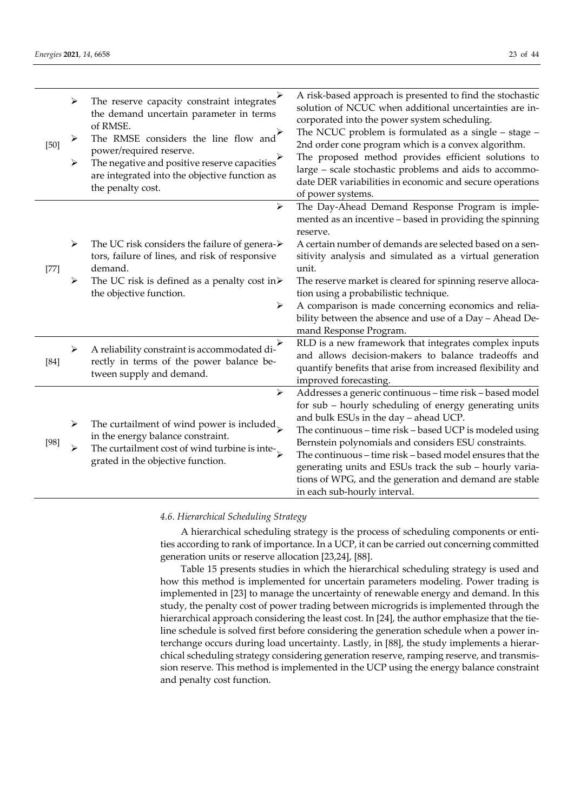| $[50]$ | ➤<br>➤<br>➤                | The reserve capacity constraint integrates<br>the demand uncertain parameter in terms<br>of RMSE.<br>The RMSE considers the line flow and<br>power/required reserve.<br>The negative and positive reserve capacities<br>are integrated into the objective function as<br>the penalty cost. | A risk-based approach is presented to find the stochastic<br>solution of NCUC when additional uncertainties are in-<br>corporated into the power system scheduling.<br>The NCUC problem is formulated as a single $-$ stage $-$<br>2nd order cone program which is a convex algorithm.<br>The proposed method provides efficient solutions to<br>large - scale stochastic problems and aids to accommo-<br>date DER variabilities in economic and secure operations<br>of power systems.                    |
|--------|----------------------------|--------------------------------------------------------------------------------------------------------------------------------------------------------------------------------------------------------------------------------------------------------------------------------------------|-------------------------------------------------------------------------------------------------------------------------------------------------------------------------------------------------------------------------------------------------------------------------------------------------------------------------------------------------------------------------------------------------------------------------------------------------------------------------------------------------------------|
| $[77]$ | $\blacktriangleright$<br>➤ | $\blacktriangleright$<br>The UC risk considers the failure of genera- $\triangleright$<br>tors, failure of lines, and risk of responsive<br>demand.<br>The UC risk is defined as a penalty cost in $\triangleright$<br>the objective function.<br>➤                                        | The Day-Ahead Demand Response Program is imple-<br>mented as an incentive - based in providing the spinning<br>reserve.<br>A certain number of demands are selected based on a sen-<br>sitivity analysis and simulated as a virtual generation<br>unit.<br>The reserve market is cleared for spinning reserve alloca-<br>tion using a probabilistic technique.<br>A comparison is made concerning economics and relia-<br>bility between the absence and use of a Day - Ahead De-<br>mand Response Program. |
| $[84]$ | ➤                          | ➤<br>A reliability constraint is accommodated di-<br>rectly in terms of the power balance be-<br>tween supply and demand.                                                                                                                                                                  | RLD is a new framework that integrates complex inputs<br>and allows decision-makers to balance tradeoffs and<br>quantify benefits that arise from increased flexibility and<br>improved forecasting.                                                                                                                                                                                                                                                                                                        |
| [98]   | ➤<br>⋗                     | $\blacktriangleright$<br>The curtailment of wind power is included,<br>in the energy balance constraint.<br>The curtailment cost of wind turbine is inte- $\mathcal{L}$<br>grated in the objective function.                                                                               | Addresses a generic continuous - time risk - based model<br>for sub - hourly scheduling of energy generating units<br>and bulk ESUs in the day - ahead UCP.<br>The continuous - time risk - based UCP is modeled using<br>Bernstein polynomials and considers ESU constraints.<br>The continuous - time risk - based model ensures that the<br>generating units and ESUs track the sub - hourly varia-<br>tions of WPG, and the generation and demand are stable<br>in each sub-hourly interval.            |

*4.6. Hierarchical Scheduling Strategy*

A hierarchical scheduling strategy is the process of scheduling components or entities according to rank of importance. In a UCP, it can be carried out concerning committed generation units or reserve allocation [23,24], [88].

Table 15 presents studies in which the hierarchical scheduling strategy is used and how this method is implemented for uncertain parameters modeling. Power trading is implemented in [23] to manage the uncertainty of renewable energy and demand. In this study, the penalty cost of power trading between microgrids is implemented through the hierarchical approach considering the least cost. In [24], the author emphasize that the tieline schedule is solved first before considering the generation schedule when a power interchange occurs during load uncertainty. Lastly, in [88], the study implements a hierarchical scheduling strategy considering generation reserve, ramping reserve, and transmission reserve. This method is implemented in the UCP using the energy balance constraint and penalty cost function.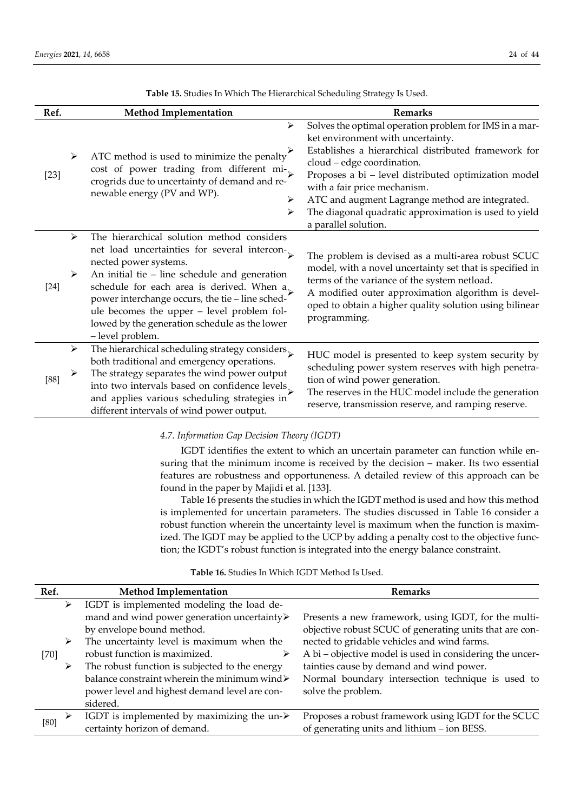| Ref.   | <b>Method Implementation</b>                                                                                                                                                                                                                                                                                                                                                                                 | <b>Remarks</b>                                                                                                                                                                                                                                                                                                                                                                                                |
|--------|--------------------------------------------------------------------------------------------------------------------------------------------------------------------------------------------------------------------------------------------------------------------------------------------------------------------------------------------------------------------------------------------------------------|---------------------------------------------------------------------------------------------------------------------------------------------------------------------------------------------------------------------------------------------------------------------------------------------------------------------------------------------------------------------------------------------------------------|
| $[23]$ | ➤<br>ATC method is used to minimize the penalty<br>➤<br>cost of power trading from different mi-<br>crogrids due to uncertainty of demand and re-<br>newable energy (PV and WP).<br>⋗<br>⋗                                                                                                                                                                                                                   | Solves the optimal operation problem for IMS in a mar-<br>ket environment with uncertainty.<br>Establishes a hierarchical distributed framework for<br>cloud - edge coordination.<br>Proposes a bi - level distributed optimization model<br>with a fair price mechanism.<br>ATC and augment Lagrange method are integrated.<br>The diagonal quadratic approximation is used to yield<br>a parallel solution. |
| $[24]$ | The hierarchical solution method considers<br>➤<br>net load uncertainties for several intercon-<br>nected power systems.<br>An initial tie $-$ line schedule and generation<br>➤<br>schedule for each area is derived. When $a_{\kappa}$<br>power interchange occurs, the tie-line sched-<br>ule becomes the upper - level problem fol-<br>lowed by the generation schedule as the lower<br>- level problem. | The problem is devised as a multi-area robust SCUC<br>model, with a novel uncertainty set that is specified in<br>terms of the variance of the system netload.<br>A modified outer approximation algorithm is devel-<br>oped to obtain a higher quality solution using bilinear<br>programming.                                                                                                               |
| [88]   | $\blacktriangleright$<br>The hierarchical scheduling strategy considers $_\searrow$<br>both traditional and emergency operations.<br>The strategy separates the wind power output<br>➤<br>into two intervals based on confidence levels<br>and applies various scheduling strategies in<br>different intervals of wind power output.                                                                         | HUC model is presented to keep system security by<br>scheduling power system reserves with high penetra-<br>tion of wind power generation.<br>The reserves in the HUC model include the generation<br>reserve, transmission reserve, and ramping reserve.                                                                                                                                                     |

**Table 15.** Studies In Which The Hierarchical Scheduling Strategy Is Used.

*4.7. Information Gap Decision Theory (IGDT)*

IGDT identifies the extent to which an uncertain parameter can function while ensuring that the minimum income is received by the decision – maker. Its two essential features are robustness and opportuneness. A detailed review of this approach can be found in the paper by Majidi et al. [133].

Table 16 presents the studies in which the IGDT method is used and how this method is implemented for uncertain parameters. The studies discussed in Table 16 consider a robust function wherein the uncertainty level is maximum when the function is maximized. The IGDT may be applied to the UCP by adding a penalty cost to the objective function; the IGDT's robust function is integrated into the energy balance constraint.

**Table 16.** Studies In Which IGDT Method Is Used.

| Ref.   | <b>Method Implementation</b>                               | <b>Remarks</b>                                           |
|--------|------------------------------------------------------------|----------------------------------------------------------|
| ➤      | IGDT is implemented modeling the load de-                  |                                                          |
|        | mand and wind power generation uncertainty>                | Presents a new framework, using IGDT, for the multi-     |
|        | by envelope bound method.                                  | objective robust SCUC of generating units that are con-  |
| ➤      | The uncertainty level is maximum when the                  | nected to gridable vehicles and wind farms.              |
| $[70]$ | robust function is maximized.                              | A bi – objective model is used in considering the uncer- |
| ➤      | The robust function is subjected to the energy             | tainties cause by demand and wind power.                 |
|        | balance constraint wherein the minimum wind>               | Normal boundary intersection technique is used to        |
|        | power level and highest demand level are con-              | solve the problem.                                       |
|        | sidered.                                                   |                                                          |
|        | IGDT is implemented by maximizing the un- $\triangleright$ | Proposes a robust framework using IGDT for the SCUC      |
| [80]   | certainty horizon of demand.                               | of generating units and lithium - ion BESS.              |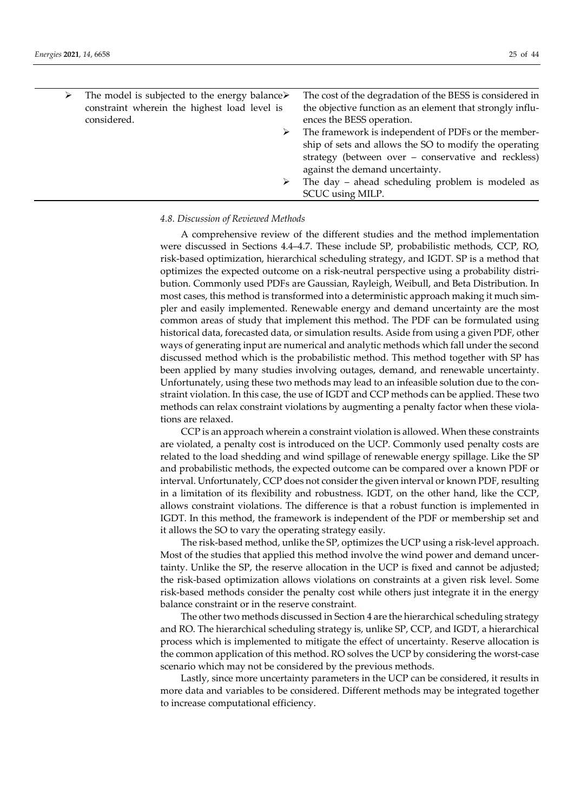| The model is subjected to the energy balance $\triangleright$ | The cost of the degradation of the BESS is considered in  |
|---------------------------------------------------------------|-----------------------------------------------------------|
| constraint wherein the highest load level is                  | the objective function as an element that strongly influ- |
| considered.                                                   | ences the BESS operation.                                 |
| ➤                                                             | The framework is independent of PDFs or the member-       |
|                                                               | ship of sets and allows the SO to modify the operating    |
|                                                               | strategy (between over - conservative and reckless)       |
|                                                               | against the demand uncertainty.                           |
|                                                               | The day - ahead scheduling problem is modeled as          |
|                                                               |                                                           |

#### *4.8. Discussion of Reviewed Methods*

A comprehensive review of the different studies and the method implementation were discussed in Sections 4.4–4.7. These include SP, probabilistic methods, CCP, RO, risk-based optimization, hierarchical scheduling strategy, and IGDT. SP is a method that optimizes the expected outcome on a risk-neutral perspective using a probability distribution. Commonly used PDFs are Gaussian, Rayleigh, Weibull, and Beta Distribution. In most cases, this method is transformed into a deterministic approach making it much simpler and easily implemented. Renewable energy and demand uncertainty are the most common areas of study that implement this method. The PDF can be formulated using historical data, forecasted data, or simulation results. Aside from using a given PDF, other ways of generating input are numerical and analytic methods which fall under the second discussed method which is the probabilistic method. This method together with SP has been applied by many studies involving outages, demand, and renewable uncertainty. Unfortunately, using these two methods may lead to an infeasible solution due to the constraint violation. In this case, the use of IGDT and CCP methods can be applied. These two methods can relax constraint violations by augmenting a penalty factor when these violations are relaxed.

SCUC using MILP.

CCP is an approach wherein a constraint violation is allowed. When these constraints are violated, a penalty cost is introduced on the UCP. Commonly used penalty costs are related to the load shedding and wind spillage of renewable energy spillage. Like the SP and probabilistic methods, the expected outcome can be compared over a known PDF or interval. Unfortunately, CCP does not consider the given interval or known PDF, resulting in a limitation of its flexibility and robustness. IGDT, on the other hand, like the CCP, allows constraint violations. The difference is that a robust function is implemented in IGDT. In this method, the framework is independent of the PDF or membership set and it allows the SO to vary the operating strategy easily.

The risk-based method, unlike the SP, optimizes the UCP using a risk-level approach. Most of the studies that applied this method involve the wind power and demand uncertainty. Unlike the SP, the reserve allocation in the UCP is fixed and cannot be adjusted; the risk-based optimization allows violations on constraints at a given risk level. Some risk-based methods consider the penalty cost while others just integrate it in the energy balance constraint or in the reserve constraint.

The other two methods discussed in Section 4 are the hierarchical scheduling strategy and RO. The hierarchical scheduling strategy is, unlike SP, CCP, and IGDT, a hierarchical process which is implemented to mitigate the effect of uncertainty. Reserve allocation is the common application of this method. RO solves the UCP by considering the worst-case scenario which may not be considered by the previous methods.

Lastly, since more uncertainty parameters in the UCP can be considered, it results in more data and variables to be considered. Different methods may be integrated together to increase computational efficiency.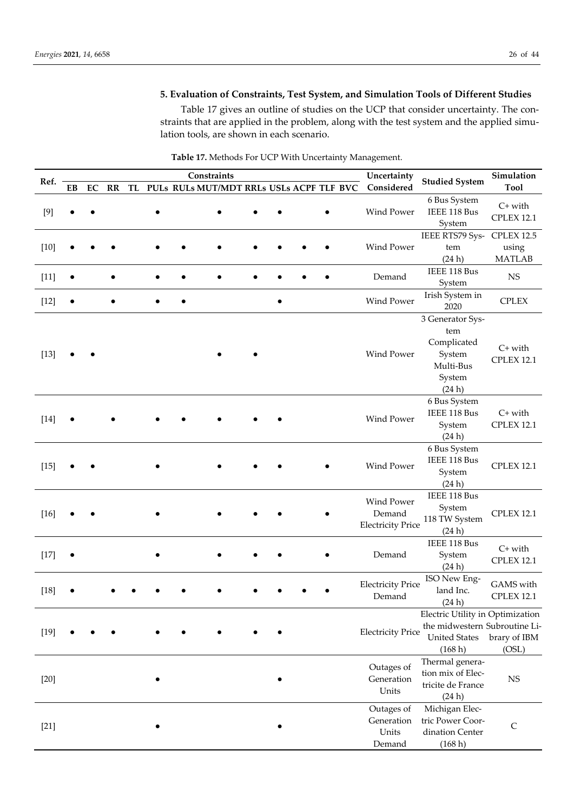# **5. Evaluation of Constraints, Test System, and Simulation Tools of Different Studies**

Table 17 gives an outline of studies on the UCP that consider uncertainty. The constraints that are applied in the problem, along with the test system and the applied simulation tools, are shown in each scenario.

|        |    |            |    |  |  | Constraints                                 |           |            | Uncertainty              |                                            | Simulation        |
|--------|----|------------|----|--|--|---------------------------------------------|-----------|------------|--------------------------|--------------------------------------------|-------------------|
| Ref.   | EB | ${\rm EC}$ | RR |  |  | TL PULs RULs MUT/MDT RRLs USLs ACPF TLF BVC |           |            | Considered               | <b>Studied System</b>                      | <b>Tool</b>       |
|        |    |            |    |  |  |                                             |           |            |                          | 6 Bus System                               | $C+$ with         |
| $[9]$  |    |            |    |  |  |                                             |           |            | Wind Power               | IEEE 118 Bus                               | <b>CPLEX 12.1</b> |
|        |    |            |    |  |  |                                             |           |            |                          | System                                     |                   |
|        |    |            |    |  |  |                                             |           |            |                          | IEEE RTS79 Sys-                            | <b>CPLEX 12.5</b> |
| $[10]$ |    |            |    |  |  |                                             |           |            | <b>Wind Power</b>        | tem                                        | using             |
|        |    |            |    |  |  |                                             |           |            |                          | (24h)<br>IEEE 118 Bus                      | <b>MATLAB</b>     |
| $[11]$ |    |            |    |  |  |                                             |           |            | Demand                   |                                            | $_{\rm NS}$       |
|        |    |            |    |  |  |                                             |           |            |                          | System<br>Irish System in                  |                   |
| $[12]$ |    |            |    |  |  |                                             | $\bullet$ |            | Wind Power               | 2020                                       | <b>CPLEX</b>      |
|        |    |            |    |  |  |                                             |           |            |                          | 3 Generator Sys-                           |                   |
|        |    |            |    |  |  |                                             |           |            |                          | tem                                        |                   |
|        |    |            |    |  |  |                                             |           |            |                          | Complicated                                | $C+$ with         |
| $[13]$ |    |            |    |  |  |                                             |           |            | Wind Power               | System                                     | <b>CPLEX 12.1</b> |
|        |    |            |    |  |  |                                             |           |            |                          | Multi-Bus                                  |                   |
|        |    |            |    |  |  |                                             |           |            |                          | System                                     |                   |
|        |    |            |    |  |  |                                             |           |            |                          | (24 h)                                     |                   |
|        |    |            |    |  |  |                                             |           |            |                          | 6 Bus System<br>IEEE 118 Bus               | $C+$ with         |
| $[14]$ |    |            |    |  |  |                                             |           |            | Wind Power               | System                                     | <b>CPLEX 12.1</b> |
|        |    |            |    |  |  |                                             |           |            |                          | (24h)                                      |                   |
|        |    |            |    |  |  |                                             |           |            |                          | 6 Bus System                               |                   |
|        |    |            |    |  |  |                                             |           |            |                          | IEEE 118 Bus                               |                   |
| $[15]$ |    |            |    |  |  |                                             |           |            | Wind Power               | System                                     | <b>CPLEX 12.1</b> |
|        |    |            |    |  |  |                                             |           |            |                          | (24 h)                                     |                   |
|        |    |            |    |  |  |                                             |           |            | Wind Power               | IEEE 118 Bus                               |                   |
| $[16]$ |    |            |    |  |  |                                             |           |            | Demand                   | System                                     | <b>CPLEX 12.1</b> |
|        |    |            |    |  |  |                                             |           |            | <b>Electricity Price</b> | 118 TW System                              |                   |
|        |    |            |    |  |  |                                             |           |            |                          | (24 h)                                     |                   |
|        |    |            |    |  |  |                                             |           |            |                          | IEEE 118 Bus                               | $C+$ with         |
| $[17]$ |    |            |    |  |  |                                             |           |            | Demand                   | System                                     | <b>CPLEX 12.1</b> |
|        |    |            |    |  |  |                                             |           |            |                          | (24 h)                                     |                   |
|        |    |            |    |  |  |                                             |           |            | <b>Electricity Price</b> | ISO New Eng-                               | GAMS with         |
| $[18]$ |    |            |    |  |  |                                             |           |            | Demand                   | land Inc.                                  | <b>CPLEX 12.1</b> |
|        |    |            |    |  |  |                                             |           |            |                          | (24 h)<br>Electric Utility in Optimization |                   |
|        |    |            |    |  |  |                                             |           |            |                          | the midwestern Subroutine Li-              |                   |
| $[19]$ |    |            |    |  |  |                                             |           |            | <b>Electricity Price</b> | <b>United States</b>                       | brary of IBM      |
|        |    |            |    |  |  |                                             |           |            |                          | (168 h)                                    | (OSL)             |
|        |    |            |    |  |  |                                             |           |            |                          | Thermal genera-                            |                   |
|        |    |            |    |  |  |                                             |           |            | Outages of               | tion mix of Elec-                          |                   |
| $[20]$ |    |            |    |  |  |                                             |           |            | Generation               | tricite de France                          | $_{\rm NS}$       |
|        |    |            |    |  |  |                                             |           |            | Units                    | (24 h)                                     |                   |
|        |    |            |    |  |  |                                             |           |            | Outages of               | Michigan Elec-                             |                   |
| $[21]$ |    |            |    |  |  |                                             |           | Generation | tric Power Coor-         | $\mathsf C$                                |                   |
|        |    |            |    |  |  |                                             |           |            | Units                    | dination Center                            |                   |
|        |    |            |    |  |  |                                             |           | Demand     | (168 h)                  |                                            |                   |

**Table 17.** Methods For UCP With Uncertainty Management.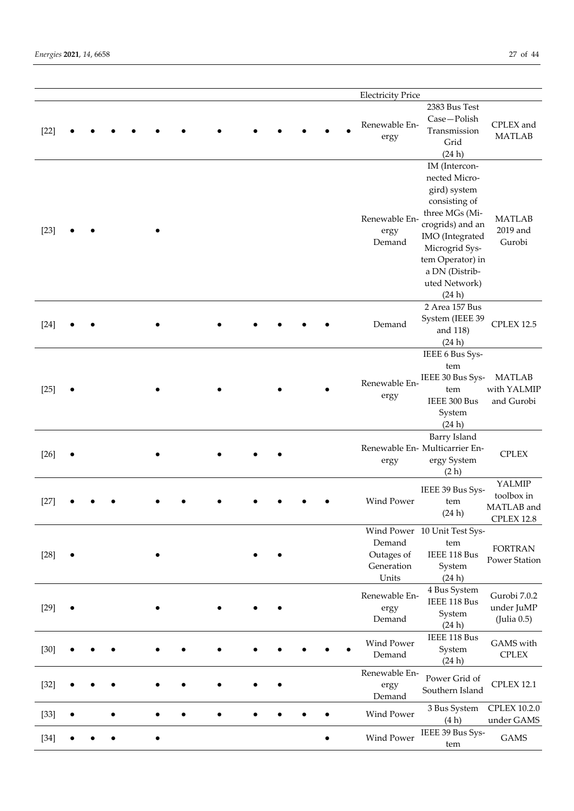|        |  |  |  |  |  | <b>Electricity Price</b>                    |                                                                                                                                                                                                             |                                                         |
|--------|--|--|--|--|--|---------------------------------------------|-------------------------------------------------------------------------------------------------------------------------------------------------------------------------------------------------------------|---------------------------------------------------------|
| $[22]$ |  |  |  |  |  | Renewable En-<br>ergy                       | 2383 Bus Test<br>Case-Polish<br>Transmission<br>Grid<br>(24h)                                                                                                                                               | CPLEX and<br><b>MATLAB</b>                              |
| $[23]$ |  |  |  |  |  | Renewable En-<br>ergy<br>Demand             | IM (Intercon-<br>nected Micro-<br>gird) system<br>consisting of<br>three MGs (Mi-<br>crogrids) and an<br>IMO (Integrated<br>Microgrid Sys-<br>tem Operator) in<br>a DN (Distrib-<br>uted Network)<br>(24 h) | <b>MATLAB</b><br>2019 and<br>Gurobi                     |
| $[24]$ |  |  |  |  |  | Demand                                      | 2 Area 157 Bus<br>System (IEEE 39<br>and 118)<br>(24h)                                                                                                                                                      | <b>CPLEX 12.5</b>                                       |
| $[25]$ |  |  |  |  |  | Renewable En-<br>ergy                       | IEEE 6 Bus Sys-<br>tem<br>IEEE 30 Bus Sys-<br>tem<br>IEEE 300 Bus<br>System<br>(24 h)                                                                                                                       | <b>MATLAB</b><br>with YALMIP<br>and Gurobi              |
| $[26]$ |  |  |  |  |  | ergy                                        | Barry Island<br>Renewable En- Multicarrier En-<br>ergy System<br>(2 h)                                                                                                                                      | <b>CPLEX</b>                                            |
| $[27]$ |  |  |  |  |  | Wind Power                                  | IEEE 39 Bus Sys-<br>tem<br>(24h)                                                                                                                                                                            | YALMIP<br>toolbox in<br>MATLAB and<br><b>CPLEX 12.8</b> |
| $[28]$ |  |  |  |  |  | Demand<br>Outages of<br>Generation<br>Units | Wind Power 10 Unit Test Sys-<br>tem<br>IEEE 118 Bus<br>System<br>(24 h)                                                                                                                                     | <b>FORTRAN</b><br>Power Station                         |
| $[29]$ |  |  |  |  |  | Renewable En-<br>ergy<br>Demand             | 4 Bus System<br>IEEE 118 Bus<br>System<br>(24 h)                                                                                                                                                            | Gurobi 7.0.2<br>under JuMP<br>(Julia 0.5)               |
| $[30]$ |  |  |  |  |  | Wind Power<br>Demand                        | IEEE 118 Bus<br>System<br>(24 h)                                                                                                                                                                            | GAMS with<br><b>CPLEX</b>                               |
| $[32]$ |  |  |  |  |  | Renewable En-<br>ergy<br>Demand             | Power Grid of<br>Southern Island                                                                                                                                                                            | <b>CPLEX 12.1</b>                                       |
| $[33]$ |  |  |  |  |  | Wind Power                                  | 3 Bus System<br>(4h)                                                                                                                                                                                        | <b>CPLEX 10.2.0</b><br>under GAMS                       |
| $[34]$ |  |  |  |  |  | Wind Power                                  | IEEE 39 Bus Sys-<br>$+ \sim$                                                                                                                                                                                | <b>GAMS</b>                                             |

tem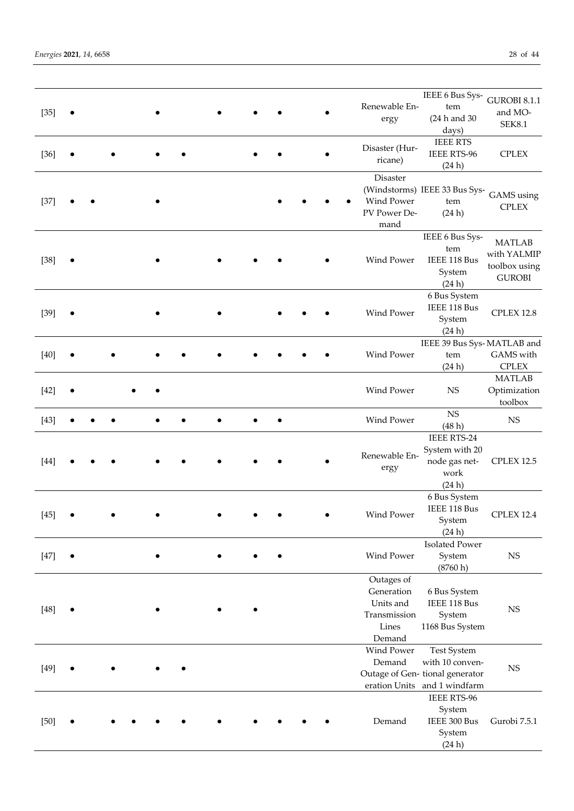| $[35]$ | $\bullet$ |  |  |  |  | Renewable En-<br>ergy                                                    | IEEE 6 Bus Sys-<br>tem<br>(24 h and 30<br>days)                                                         | <b>GUROBI 8.1.1</b><br>and MO-<br><b>SEK8.1</b>                |
|--------|-----------|--|--|--|--|--------------------------------------------------------------------------|---------------------------------------------------------------------------------------------------------|----------------------------------------------------------------|
| $[36]$ |           |  |  |  |  | Disaster (Hur-<br>ricane)                                                | <b>IEEE RTS</b><br><b>IEEE RTS-96</b><br>(24 h)                                                         | <b>CPLEX</b>                                                   |
| $[37]$ |           |  |  |  |  | <b>Disaster</b><br>Wind Power<br>PV Power De-<br>mand                    | (Windstorms) IEEE 33 Bus Sys-<br>tem<br>(24 h)                                                          | GAMS using<br><b>CPLEX</b>                                     |
| $[38]$ |           |  |  |  |  | Wind Power                                                               | IEEE 6 Bus Sys-<br>tem<br>IEEE 118 Bus<br>System<br>(24h)                                               | <b>MATLAB</b><br>with YALMIP<br>toolbox using<br><b>GUROBI</b> |
| $[39]$ |           |  |  |  |  | Wind Power                                                               | 6 Bus System<br>IEEE 118 Bus<br>System<br>(24h)                                                         | <b>CPLEX 12.8</b>                                              |
| $[40]$ |           |  |  |  |  | Wind Power                                                               | IEEE 39 Bus Sys-MATLAB and<br>tem<br>(24h)                                                              | GAMS with<br><b>CPLEX</b>                                      |
| $[42]$ |           |  |  |  |  | Wind Power                                                               | <b>NS</b>                                                                                               | <b>MATLAB</b><br>Optimization<br>toolbox                       |
| $[43]$ |           |  |  |  |  | Wind Power                                                               | NS<br>(48h)                                                                                             | <b>NS</b>                                                      |
| $[44]$ |           |  |  |  |  | Renewable En-<br>ergy                                                    | <b>IEEE RTS-24</b><br>System with 20<br>node gas net-<br>work<br>(24h)                                  | CPLEX 12.5                                                     |
| $[45]$ |           |  |  |  |  | Wind Power                                                               | 6 Bus System<br>IEEE 118 Bus<br>System<br>(24h)                                                         | <b>CPLEX 12.4</b>                                              |
| $[47]$ |           |  |  |  |  | Wind Power                                                               | <b>Isolated Power</b><br>System<br>(8760 h)                                                             | $_{\rm NS}$                                                    |
| $[48]$ |           |  |  |  |  | Outages of<br>Generation<br>Units and<br>Transmission<br>Lines<br>Demand | 6 Bus System<br>IEEE 118 Bus<br>System<br>1168 Bus System                                               | $_{\rm NS}$                                                    |
| $[49]$ |           |  |  |  |  | Wind Power<br>Demand                                                     | <b>Test System</b><br>with 10 conven-<br>Outage of Gen-tional generator<br>eration Units and 1 windfarm | <b>NS</b>                                                      |
| $[50]$ |           |  |  |  |  | Demand                                                                   | <b>IEEE RTS-96</b><br>System<br>IEEE 300 Bus<br>System<br>(24h)                                         | Gurobi 7.5.1                                                   |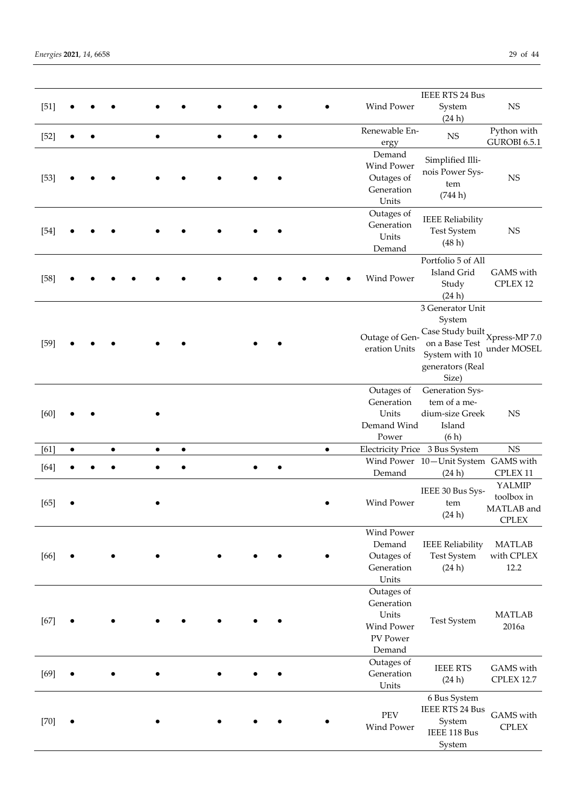| $[51]$ |           |  |           |           |           |  |  |           | Wind Power                                                            | <b>IEEE RTS 24 Bus</b><br>System<br>(24h)                                                                                        | NS                                                 |
|--------|-----------|--|-----------|-----------|-----------|--|--|-----------|-----------------------------------------------------------------------|----------------------------------------------------------------------------------------------------------------------------------|----------------------------------------------------|
| $[52]$ |           |  |           |           |           |  |  |           | Renewable En-<br>ergy                                                 | $_{\rm NS}$                                                                                                                      | Python with<br>GUROBI 6.5.1                        |
| $[53]$ |           |  |           |           |           |  |  |           | Demand<br>Wind Power<br>Outages of<br>Generation<br>Units             | Simplified Illi-<br>nois Power Sys-<br>tem<br>(744 h)                                                                            | NS                                                 |
| $[54]$ |           |  |           |           |           |  |  |           | Outages of<br>Generation<br>Units<br>Demand                           | <b>IEEE Reliability</b><br>Test System<br>(48h)                                                                                  | <b>NS</b>                                          |
| $[58]$ |           |  |           |           |           |  |  |           | <b>Wind Power</b>                                                     | Portfolio 5 of All<br>Island Grid<br>Study<br>(24 h)                                                                             | GAMS with<br>CPLEX 12                              |
| $[59]$ |           |  |           |           |           |  |  |           | Outage of Gen-<br>eration Units                                       | 3 Generator Unit<br>System<br>Case Study built $X$ press-MP 7.0<br>on a Base Test<br>System with 10<br>generators (Real<br>Size) | under MOSEL                                        |
| [60]   |           |  |           |           |           |  |  |           | Outages of<br>Generation<br>Units<br>Demand Wind<br>Power             | Generation Sys-<br>tem of a me-<br>dium-size Greek<br>Island<br>(6h)                                                             | <b>NS</b>                                          |
| [61]   | $\bullet$ |  | $\bullet$ | $\bullet$ | $\bullet$ |  |  | $\bullet$ |                                                                       | Electricity Price 3 Bus System                                                                                                   | NS                                                 |
| $[64]$ |           |  |           |           |           |  |  |           | Demand                                                                | Wind Power 10-Unit System GAMS with<br>(24h)                                                                                     | CPLEX 11                                           |
| $[65]$ |           |  |           |           |           |  |  |           | Wind Power                                                            | IEEE 30 Bus Sys-<br>tem<br>(24h)                                                                                                 | YALMIP<br>toolbox in<br>MATLAB and<br><b>CPLEX</b> |
| $[66]$ |           |  |           |           |           |  |  |           | Wind Power<br>Demand<br>Outages of<br>Generation<br>Units             | <b>IEEE Reliability</b><br><b>Test System</b><br>(24 h)                                                                          | <b>MATLAB</b><br>with CPLEX<br>12.2                |
| $[67]$ |           |  |           |           |           |  |  |           | Outages of<br>Generation<br>Units<br>Wind Power<br>PV Power<br>Demand | <b>Test System</b>                                                                                                               | <b>MATLAB</b><br>2016a                             |
| $[69]$ |           |  |           |           |           |  |  |           | Outages of<br>Generation<br>Units                                     | <b>IEEE RTS</b><br>(24 h)                                                                                                        | GAMS with<br><b>CPLEX 12.7</b>                     |
| $[70]$ |           |  |           |           |           |  |  |           | PEV<br>Wind Power                                                     | 6 Bus System<br><b>IEEE RTS 24 Bus</b><br>System<br>IEEE 118 Bus<br>System                                                       | GAMS with<br><b>CPLEX</b>                          |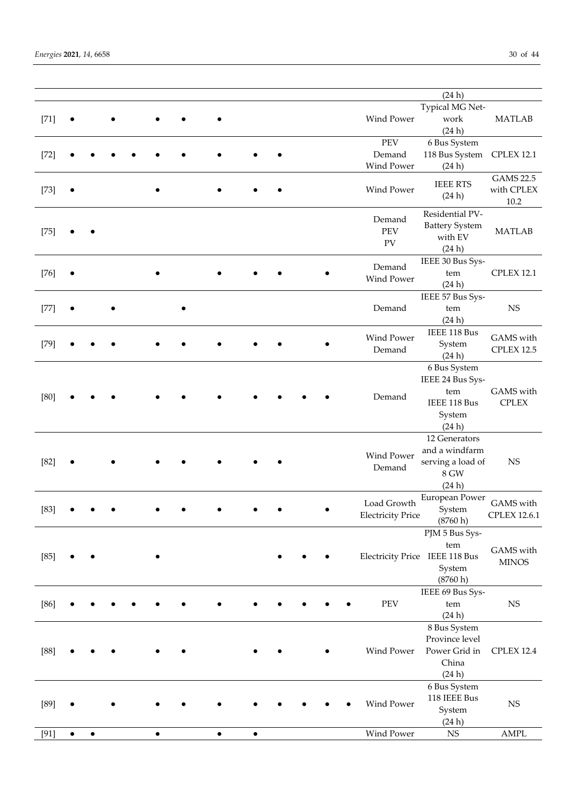|        |   |   |  |  |           |           |  |                          | (24h)                          |                     |
|--------|---|---|--|--|-----------|-----------|--|--------------------------|--------------------------------|---------------------|
|        |   |   |  |  |           |           |  |                          | Typical MG Net-                |                     |
| $[71]$ |   |   |  |  |           |           |  | Wind Power               | work                           | <b>MATLAB</b>       |
|        |   |   |  |  |           |           |  |                          | (24h)                          |                     |
|        |   |   |  |  |           |           |  | PEV                      | 6 Bus System                   |                     |
| $[72]$ |   |   |  |  |           |           |  | Demand                   | 118 Bus System                 | <b>CPLEX 12.1</b>   |
|        |   |   |  |  |           |           |  | Wind Power               | (24 h)                         |                     |
|        |   |   |  |  |           |           |  |                          |                                | <b>GAMS 22.5</b>    |
| $[73]$ |   |   |  |  |           |           |  | Wind Power               | <b>IEEE RTS</b>                | with CPLEX          |
|        |   |   |  |  |           |           |  |                          | (24h)                          | 10.2                |
|        |   |   |  |  |           |           |  |                          | Residential PV-                |                     |
|        |   |   |  |  |           |           |  | Demand                   | <b>Battery System</b>          |                     |
| $[75]$ |   |   |  |  |           |           |  | PEV                      | with EV                        | <b>MATLAB</b>       |
|        |   |   |  |  |           |           |  | ${\rm PV}$               | (24 h)                         |                     |
|        |   |   |  |  |           |           |  |                          | IEEE 30 Bus Sys-               |                     |
| $[76]$ |   |   |  |  |           |           |  | Demand                   | tem                            | <b>CPLEX 12.1</b>   |
|        |   |   |  |  |           |           |  | Wind Power               | (24 h)                         |                     |
|        |   |   |  |  |           |           |  |                          | IEEE 57 Bus Sys-               |                     |
| $[77]$ |   |   |  |  |           |           |  | Demand                   | tem                            | $_{\rm NS}$         |
|        |   |   |  |  |           |           |  |                          | (24h)                          |                     |
|        |   |   |  |  |           |           |  |                          | IEEE 118 Bus                   |                     |
| $[79]$ |   |   |  |  |           |           |  | Wind Power               | System                         | GAMS with           |
|        |   |   |  |  |           |           |  | Demand                   | (24 h)                         | <b>CPLEX 12.5</b>   |
|        |   |   |  |  |           |           |  |                          | 6 Bus System                   |                     |
|        |   |   |  |  |           |           |  |                          | IEEE 24 Bus Sys-               |                     |
|        |   |   |  |  |           |           |  |                          | tem                            | GAMS with           |
| $[80]$ |   |   |  |  |           |           |  | Demand                   | IEEE 118 Bus                   | <b>CPLEX</b>        |
|        |   |   |  |  |           |           |  |                          | System                         |                     |
|        |   |   |  |  |           |           |  |                          | (24 h)                         |                     |
|        |   |   |  |  |           |           |  |                          | 12 Generators                  |                     |
|        |   |   |  |  |           |           |  | Wind Power               | and a windfarm                 |                     |
| $[82]$ |   |   |  |  |           |           |  | Demand                   | serving a load of              | $_{\rm NS}$         |
|        |   |   |  |  |           |           |  |                          | 8 GW                           |                     |
|        |   |   |  |  |           |           |  |                          | (24 h)                         |                     |
|        |   |   |  |  |           |           |  | Load Growth              | European Power                 | GAMS with           |
| $[83]$ |   |   |  |  |           |           |  | <b>Electricity Price</b> | System                         | <b>CPLEX 12.6.1</b> |
|        |   |   |  |  |           |           |  |                          | (8760 h)                       |                     |
|        |   |   |  |  |           |           |  |                          | PJM 5 Bus Sys-                 |                     |
|        |   |   |  |  |           |           |  |                          | tem                            | GAMS with           |
| $[85]$ |   |   |  |  |           |           |  |                          | Electricity Price IEEE 118 Bus | <b>MINOS</b>        |
|        |   |   |  |  |           |           |  |                          | System                         |                     |
|        |   |   |  |  |           |           |  |                          | (8760 h)                       |                     |
|        |   |   |  |  |           |           |  |                          | IEEE 69 Bus Sys-               |                     |
| $[86]$ |   |   |  |  |           |           |  | PEV                      | ${\rm tem}$                    | $_{\rm NS}$         |
|        |   |   |  |  |           |           |  |                          | (24h)                          |                     |
|        |   |   |  |  |           |           |  |                          | 8 Bus System                   |                     |
|        |   |   |  |  |           |           |  |                          | Province level                 |                     |
| $[88]$ |   |   |  |  |           |           |  | Wind Power               | Power Grid in                  | <b>CPLEX 12.4</b>   |
|        |   |   |  |  |           |           |  |                          | China                          |                     |
|        |   |   |  |  |           |           |  |                          | (24h)                          |                     |
|        |   |   |  |  |           |           |  |                          | 6 Bus System                   |                     |
| $[89]$ |   |   |  |  |           |           |  | Wind Power               | 118 IEEE Bus                   | $_{\rm NS}$         |
|        |   |   |  |  |           |           |  |                          | System                         |                     |
|        |   |   |  |  |           |           |  |                          | (24 h)                         |                     |
| [91]   | ٠ | ٠ |  |  | $\bullet$ | $\bullet$ |  | Wind Power               | $_{\rm NS}$                    | AMPL                |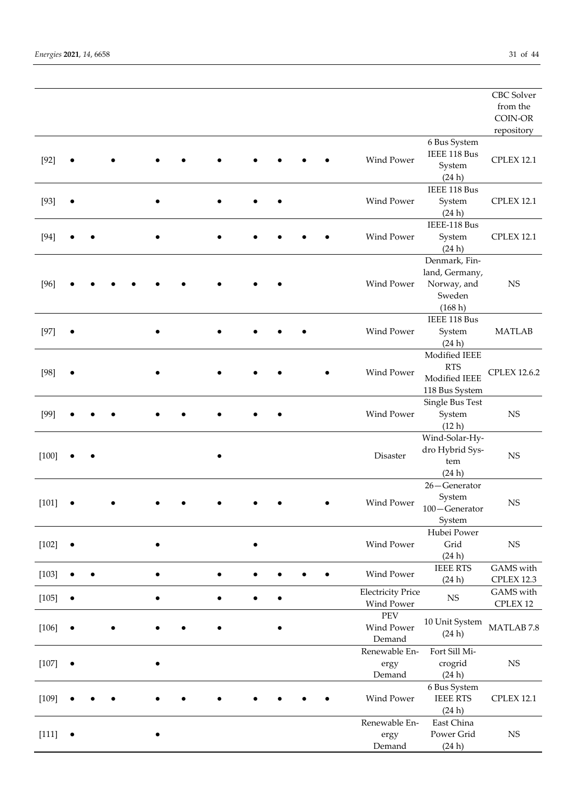|         |           |           |  |  |   |           |  |                          |                 | <b>CBC</b> Solver    |
|---------|-----------|-----------|--|--|---|-----------|--|--------------------------|-----------------|----------------------|
|         |           |           |  |  |   |           |  |                          |                 | from the             |
|         |           |           |  |  |   |           |  |                          |                 | COIN-OR              |
|         |           |           |  |  |   |           |  |                          |                 | repository           |
|         |           |           |  |  |   |           |  |                          | 6 Bus System    |                      |
| $[92]$  |           |           |  |  |   |           |  | Wind Power               | IEEE 118 Bus    | <b>CPLEX 12.1</b>    |
|         |           |           |  |  |   |           |  |                          | System          |                      |
|         |           |           |  |  |   |           |  |                          | (24h)           |                      |
|         |           |           |  |  |   |           |  |                          | IEEE 118 Bus    |                      |
| $[93]$  |           |           |  |  |   |           |  | <b>Wind Power</b>        | System          | <b>CPLEX 12.1</b>    |
|         |           |           |  |  |   |           |  |                          | (24 h)          |                      |
|         |           |           |  |  |   |           |  |                          | IEEE-118 Bus    |                      |
| $[94]$  |           |           |  |  |   |           |  | Wind Power               | System          | <b>CPLEX 12.1</b>    |
|         |           |           |  |  |   |           |  |                          | (24h)           |                      |
|         |           |           |  |  |   |           |  |                          | Denmark, Fin-   |                      |
|         |           |           |  |  |   |           |  |                          | land, Germany,  |                      |
| $[96]$  |           |           |  |  |   |           |  | Wind Power               | Norway, and     | <b>NS</b>            |
|         |           |           |  |  |   |           |  |                          | Sweden          |                      |
|         |           |           |  |  |   |           |  |                          | (168 h)         |                      |
|         |           |           |  |  |   |           |  |                          | IEEE 118 Bus    |                      |
| $[97]$  |           |           |  |  |   |           |  | Wind Power               | System          | <b>MATLAB</b>        |
|         |           |           |  |  |   |           |  |                          | (24 h)          |                      |
|         |           |           |  |  |   |           |  |                          | Modified IEEE   |                      |
| $[98]$  |           |           |  |  |   |           |  | Wind Power               | <b>RTS</b>      | <b>CPLEX 12.6.2</b>  |
|         |           |           |  |  |   |           |  |                          | Modified IEEE   |                      |
|         |           |           |  |  |   |           |  |                          | 118 Bus System  |                      |
|         |           |           |  |  |   |           |  |                          | Single Bus Test |                      |
| $[99]$  |           |           |  |  |   |           |  | Wind Power               | System          | <b>NS</b>            |
|         |           |           |  |  |   |           |  |                          | (12 h)          |                      |
|         |           |           |  |  |   |           |  |                          | Wind-Solar-Hy-  |                      |
| $[100]$ |           |           |  |  |   |           |  | Disaster                 | dro Hybrid Sys- | NS                   |
|         |           |           |  |  |   |           |  |                          | tem             |                      |
|         |           |           |  |  |   |           |  |                          | (24h)           |                      |
|         |           |           |  |  |   |           |  |                          | 26-Generator    |                      |
| $[101]$ |           |           |  |  |   |           |  | Wind Power               | System          | <b>NS</b>            |
|         |           |           |  |  |   |           |  |                          | 100-Generator   |                      |
|         |           |           |  |  |   |           |  |                          | System          |                      |
|         |           |           |  |  |   |           |  |                          | Hubei Power     |                      |
| $[102]$ | $\bullet$ |           |  |  |   | ٠         |  | Wind Power               | Grid            | <b>NS</b>            |
|         |           |           |  |  |   |           |  |                          | (24h)           |                      |
| $[103]$ |           | $\bullet$ |  |  | ٠ | $\bullet$ |  | Wind Power               | <b>IEEE RTS</b> | GAMS with            |
|         |           |           |  |  |   |           |  |                          | (24h)           | CPLEX 12.3           |
| $[105]$ | $\bullet$ |           |  |  | ٠ | $\bullet$ |  | <b>Electricity Price</b> | $_{\rm NS}$     | GAMS with            |
|         |           |           |  |  |   |           |  | Wind Power<br>PEV        |                 | CPLEX 12             |
| [106]   | $\bullet$ |           |  |  |   |           |  | Wind Power               | 10 Unit System  | $\text{MATLAB}\,7.8$ |
|         |           |           |  |  |   |           |  | Demand                   | (24h)           |                      |
|         |           |           |  |  |   |           |  | Renewable En-            | Fort Sill Mi-   |                      |
| $[107]$ |           |           |  |  |   |           |  |                          | crogrid         | <b>NS</b>            |
|         |           |           |  |  |   |           |  | ergy<br>Demand           | (24h)           |                      |
|         |           |           |  |  |   |           |  |                          | 6 Bus System    |                      |
| [109]   |           |           |  |  |   |           |  | Wind Power               | <b>IEEE RTS</b> | <b>CPLEX 12.1</b>    |
|         |           |           |  |  |   |           |  |                          | (24h)           |                      |
|         |           |           |  |  |   |           |  | Renewable En-            | East China      |                      |
| $[111]$ | $\bullet$ |           |  |  |   |           |  | ergy                     | Power Grid      | <b>NS</b>            |
|         |           |           |  |  |   |           |  | Demand                   | (24h)           |                      |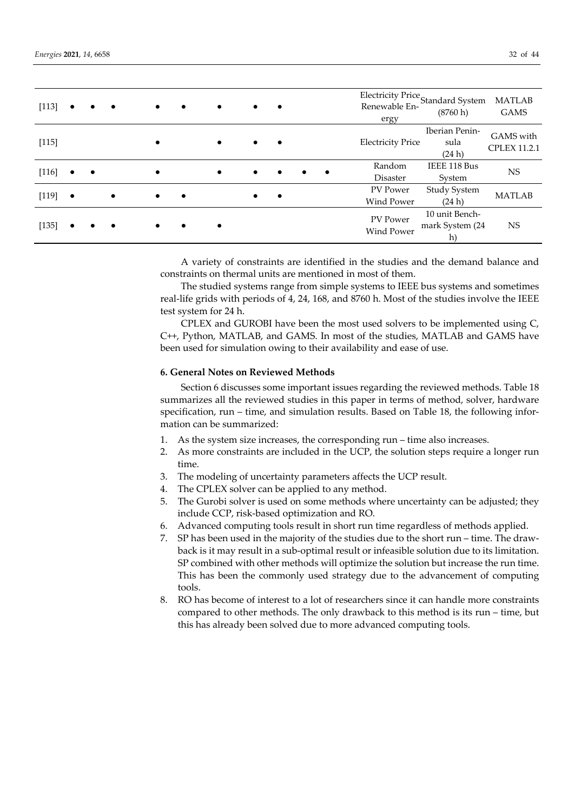| [113] |           |           |           | $\bullet$ | $\bullet$ | $\bullet$ | $\bullet$ | $\bullet$ |           |           | Renewable En-                        | Electricity Price<br>Standard System<br>(8760 h) | <b>MATLAB</b><br><b>GAMS</b>     |
|-------|-----------|-----------|-----------|-----------|-----------|-----------|-----------|-----------|-----------|-----------|--------------------------------------|--------------------------------------------------|----------------------------------|
| [115] |           |           |           |           |           | $\bullet$ | $\bullet$ | ٠         |           |           | ergy<br><b>Electricity Price</b>     | Iberian Penin-<br>sula<br>(24 h)                 | GAMS with<br><b>CPLEX 11.2.1</b> |
| [116] | $\bullet$ | $\bullet$ |           | $\bullet$ |           | $\bullet$ | $\bullet$ |           | $\bullet$ | $\bullet$ | Random<br>Disaster                   | IEEE 118 Bus<br>System                           | <b>NS</b>                        |
| [119] | $\bullet$ |           | $\bullet$ | $\bullet$ | $\bullet$ |           | $\bullet$ | $\bullet$ |           |           | PV Power<br><b>Wind Power</b>        | Study System<br>(24 h)                           | <b>MATLAB</b>                    |
| [135] |           |           |           | $\bullet$ | $\bullet$ | $\bullet$ |           |           |           |           | <b>PV</b> Power<br><b>Wind Power</b> | 10 unit Bench-<br>mark System (24<br>h)          | <b>NS</b>                        |

A variety of constraints are identified in the studies and the demand balance and constraints on thermal units are mentioned in most of them.

The studied systems range from simple systems to IEEE bus systems and sometimes real-life grids with periods of 4, 24, 168, and 8760 h. Most of the studies involve the IEEE test system for 24 h.

CPLEX and GUROBI have been the most used solvers to be implemented using C, C++, Python, MATLAB, and GAMS. In most of the studies, MATLAB and GAMS have been used for simulation owing to their availability and ease of use.

#### **6. General Notes on Reviewed Methods**

Section 6 discusses some important issues regarding the reviewed methods. Table 18 summarizes all the reviewed studies in this paper in terms of method, solver, hardware specification, run – time, and simulation results. Based on Table 18, the following information can be summarized:

- 1. As the system size increases, the corresponding run time also increases.
- 2. As more constraints are included in the UCP, the solution steps require a longer run time.
- 3. The modeling of uncertainty parameters affects the UCP result.
- 4. The CPLEX solver can be applied to any method.
- 5. The Gurobi solver is used on some methods where uncertainty can be adjusted; they include CCP, risk-based optimization and RO.
- 6. Advanced computing tools result in short run time regardless of methods applied.
- 7. SP has been used in the majority of the studies due to the short run time. The drawback is it may result in a sub-optimal result or infeasible solution due to its limitation. SP combined with other methods will optimize the solution but increase the run time. This has been the commonly used strategy due to the advancement of computing tools.
- 8. RO has become of interest to a lot of researchers since it can handle more constraints compared to other methods. The only drawback to this method is its run – time, but this has already been solved due to more advanced computing tools.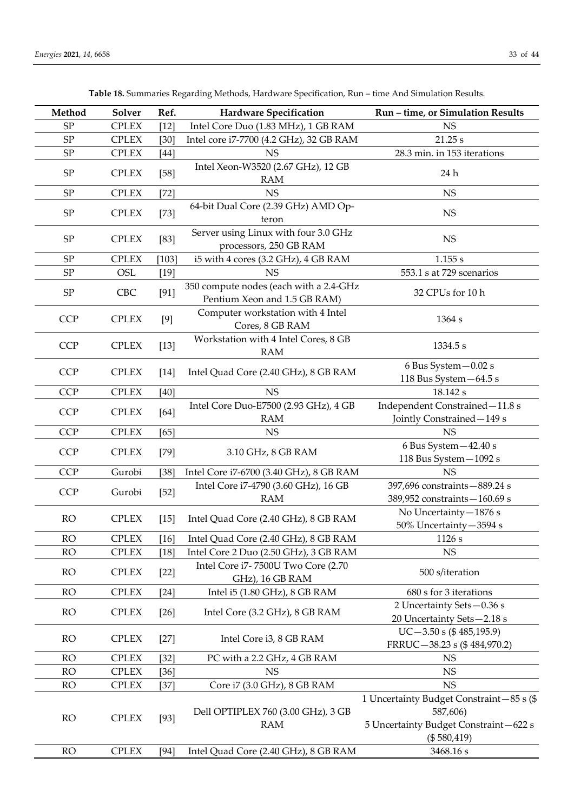| Method     | Solver       | Ref.    | <b>Hardware Specification</b>                                          | Run - time, or Simulation Results                                                                            |  |
|------------|--------------|---------|------------------------------------------------------------------------|--------------------------------------------------------------------------------------------------------------|--|
| SP         | <b>CPLEX</b> | $[12]$  | Intel Core Duo (1.83 MHz), 1 GB RAM                                    | <b>NS</b>                                                                                                    |  |
| SP         | <b>CPLEX</b> | [30]    | Intel core i7-7700 (4.2 GHz), 32 GB RAM                                | 21.25 s                                                                                                      |  |
| ${\rm SP}$ | <b>CPLEX</b> | $[44]$  | <b>NS</b>                                                              | 28.3 min. in 153 iterations                                                                                  |  |
| ${\rm SP}$ | <b>CPLEX</b> | $[58]$  | Intel Xeon-W3520 (2.67 GHz), 12 GB<br><b>RAM</b>                       | 24 h                                                                                                         |  |
| ${\rm SP}$ | <b>CPLEX</b> | $[72]$  | <b>NS</b>                                                              | <b>NS</b>                                                                                                    |  |
| ${\rm SP}$ | <b>CPLEX</b> | $[73]$  | 64-bit Dual Core (2.39 GHz) AMD Op-<br>teron                           | <b>NS</b>                                                                                                    |  |
| ${\rm SP}$ | <b>CPLEX</b> | $[83]$  | Server using Linux with four 3.0 GHz<br>processors, 250 GB RAM         | NS                                                                                                           |  |
| ${\rm SP}$ | <b>CPLEX</b> | $[103]$ | i5 with 4 cores (3.2 GHz), 4 GB RAM                                    | 1.155 s                                                                                                      |  |
| SP         | OSL          | $[19]$  | <b>NS</b>                                                              | 553.1 s at 729 scenarios                                                                                     |  |
| ${\rm SP}$ | <b>CBC</b>   | [91]    | 350 compute nodes (each with a 2.4-GHz<br>Pentium Xeon and 1.5 GB RAM) | 32 CPUs for 10 h                                                                                             |  |
| <b>CCP</b> | <b>CPLEX</b> | [9]     | Computer workstation with 4 Intel<br>Cores, 8 GB RAM                   | 1364 s                                                                                                       |  |
| <b>CCP</b> | <b>CPLEX</b> | $[13]$  | Workstation with 4 Intel Cores, 8 GB<br><b>RAM</b>                     | 1334.5 s                                                                                                     |  |
| <b>CCP</b> | <b>CPLEX</b> | $[14]$  | Intel Quad Core (2.40 GHz), 8 GB RAM                                   | 6 Bus System - 0.02 s<br>118 Bus System - 64.5 s                                                             |  |
| <b>CCP</b> | <b>CPLEX</b> | $[40]$  | <b>NS</b>                                                              | 18.142 s                                                                                                     |  |
| <b>CCP</b> | <b>CPLEX</b> | $[64]$  | Intel Core Duo-E7500 (2.93 GHz), 4 GB<br><b>RAM</b>                    | Independent Constrained-11.8 s<br>Jointly Constrained-149 s                                                  |  |
| <b>CCP</b> | <b>CPLEX</b> | [65]    | <b>NS</b>                                                              | <b>NS</b>                                                                                                    |  |
| <b>CCP</b> | <b>CPLEX</b> | $[79]$  | 3.10 GHz, 8 GB RAM                                                     | 6 Bus System - 42.40 s<br>118 Bus System - 1092 s                                                            |  |
| <b>CCP</b> | Gurobi       | $[38]$  | Intel Core i7-6700 (3.40 GHz), 8 GB RAM                                | <b>NS</b>                                                                                                    |  |
| <b>CCP</b> | Gurobi       | $[52]$  | Intel Core i7-4790 (3.60 GHz), 16 GB<br><b>RAM</b>                     | 397,696 constraints-889.24 s<br>389,952 constraints-160.69 s                                                 |  |
| <b>RO</b>  | <b>CPLEX</b> | $[15]$  | Intel Quad Core (2.40 GHz), 8 GB RAM                                   | No Uncertainty-1876 s<br>50% Uncertainty-3594 s                                                              |  |
| RO         | <b>CPLEX</b> | [16]    | Intel Quad Core (2.40 GHz), 8 GB RAM                                   | 1126 s                                                                                                       |  |
| <b>RO</b>  | <b>CPLEX</b> | $[18]$  | Intel Core 2 Duo (2.50 GHz), 3 GB RAM                                  | NS                                                                                                           |  |
| <b>RO</b>  | <b>CPLEX</b> | $[22]$  | Intel Core i7-7500U Two Core (2.70<br>GHz), 16 GB RAM                  | 500 s/iteration                                                                                              |  |
| <b>RO</b>  | <b>CPLEX</b> | $[24]$  | Intel i5 (1.80 GHz), 8 GB RAM                                          | 680 s for 3 iterations                                                                                       |  |
| <b>RO</b>  | <b>CPLEX</b> | $[26]$  | Intel Core (3.2 GHz), 8 GB RAM                                         | 2 Uncertainty Sets-0.36 s<br>20 Uncertainty Sets-2.18 s                                                      |  |
| <b>RO</b>  | <b>CPLEX</b> | $[27]$  | Intel Core i3, 8 GB RAM                                                | $UC-3.50$ s (\$485,195.9)<br>FRRUC-38.23 s (\$484,970.2)                                                     |  |
| <b>RO</b>  | <b>CPLEX</b> | $[32]$  | PC with a 2.2 GHz, 4 GB RAM                                            | <b>NS</b>                                                                                                    |  |
| <b>RO</b>  | <b>CPLEX</b> | $[36]$  | <b>NS</b>                                                              | <b>NS</b>                                                                                                    |  |
| <b>RO</b>  | <b>CPLEX</b> | $[37]$  | Core i7 (3.0 GHz), 8 GB RAM                                            | NS                                                                                                           |  |
| <b>RO</b>  | <b>CPLEX</b> | $[93]$  | Dell OPTIPLEX 760 (3.00 GHz), 3 GB<br><b>RAM</b>                       | 1 Uncertainty Budget Constraint-85 s (\$<br>587,606)<br>5 Uncertainty Budget Constraint-622 s<br>(\$580,419) |  |
| <b>RO</b>  | <b>CPLEX</b> | $[94]$  | Intel Quad Core (2.40 GHz), 8 GB RAM                                   | 3468.16 s                                                                                                    |  |

| Table 18. Summaries Regarding Methods, Hardware Specification, Run - time And Simulation Results. |  |  |  |  |  |  |  |  |  |  |
|---------------------------------------------------------------------------------------------------|--|--|--|--|--|--|--|--|--|--|
|---------------------------------------------------------------------------------------------------|--|--|--|--|--|--|--|--|--|--|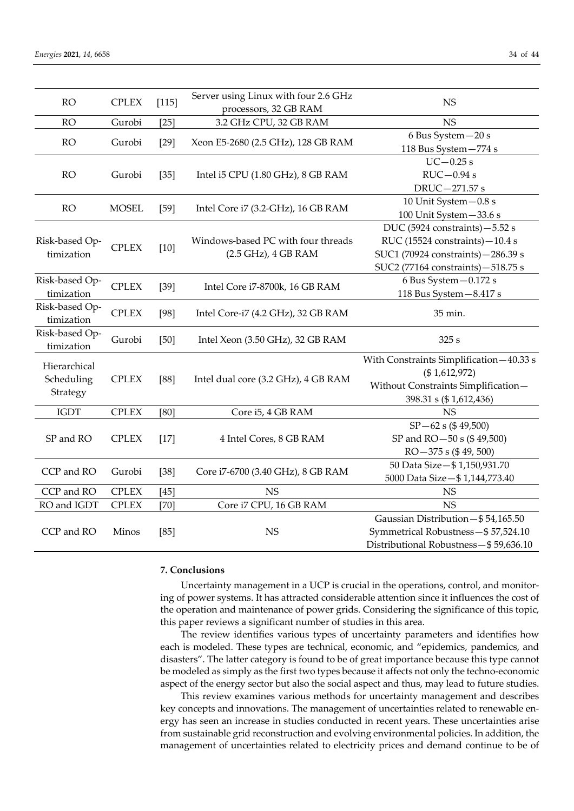| 34 of |  |
|-------|--|
|       |  |

| <b>RO</b>                              | <b>CPLEX</b><br>$[115]$ |        | Server using Linux with four 2.6 GHz<br>processors, 32 GB RAM | <b>NS</b>                                                                                                                                       |
|----------------------------------------|-------------------------|--------|---------------------------------------------------------------|-------------------------------------------------------------------------------------------------------------------------------------------------|
| <b>RO</b>                              | Gurobi                  | $[25]$ | 3.2 GHz CPU, 32 GB RAM                                        | <b>NS</b>                                                                                                                                       |
| <b>RO</b>                              | Gurobi                  | $[29]$ | Xeon E5-2680 (2.5 GHz), 128 GB RAM                            | 6 Bus System - 20 s<br>118 Bus System-774 s                                                                                                     |
| <b>RO</b>                              | Gurobi                  | $[35]$ | Intel i5 CPU (1.80 GHz), 8 GB RAM                             | $UC - 0.25$ s<br>$RUC-0.94s$<br>DRUC-271.57 s                                                                                                   |
| <b>RO</b>                              | <b>MOSEL</b>            | $[59]$ | Intel Core i7 (3.2-GHz), 16 GB RAM                            | 10 Unit System - 0.8 s<br>100 Unit System-33.6 s                                                                                                |
| Risk-based Op-<br>timization           | <b>CPLEX</b>            | $[10]$ | Windows-based PC with four threads<br>(2.5 GHz), 4 GB RAM     | DUC (5924 constraints) - 5.52 s<br>RUC (15524 constraints)-10.4 s<br>SUC1 (70924 constraints) - 286.39 s<br>SUC2 (77164 constraints) - 518.75 s |
| Risk-based Op-<br>timization           | <b>CPLEX</b>            | $[39]$ | Intel Core i7-8700k, 16 GB RAM                                | 6 Bus System - 0.172 s<br>118 Bus System - 8.417 s                                                                                              |
| Risk-based Op-<br>timization           | <b>CPLEX</b>            | $[98]$ | Intel Core-i7 (4.2 GHz), 32 GB RAM                            | 35 min.                                                                                                                                         |
| Risk-based Op-<br>timization           | Gurobi                  | [50]   | Intel Xeon (3.50 GHz), 32 GB RAM                              | 325s                                                                                                                                            |
| Hierarchical<br>Scheduling<br>Strategy | <b>CPLEX</b>            | [88]   | Intel dual core (3.2 GHz), 4 GB RAM                           | With Constraints Simplification-40.33 s<br>(\$1,612,972)<br>Without Constraints Simplification-<br>398.31 s (\$1,612,436)                       |
| <b>IGDT</b>                            | <b>CPLEX</b>            | [80]   | Core i5, 4 GB RAM                                             | <b>NS</b>                                                                                                                                       |
| SP and RO                              | <b>CPLEX</b>            | $[17]$ | 4 Intel Cores, 8 GB RAM                                       | $SP - 62 s ( $ 49,500)$<br>SP and RO-50 s (\$49,500)<br>$RO-375 s ($49,500)$                                                                    |
| CCP and RO                             | Gurobi                  | $[38]$ | Core i7-6700 (3.40 GHz), 8 GB RAM                             | 50 Data Size-\$1,150,931.70<br>5000 Data Size-\$1,144,773.40                                                                                    |
| CCP and RO                             | <b>CPLEX</b>            | $[45]$ | <b>NS</b>                                                     | <b>NS</b>                                                                                                                                       |
| RO and IGDT                            | <b>CPLEX</b>            | $[70]$ | Core i7 CPU, 16 GB RAM                                        | <b>NS</b>                                                                                                                                       |
| CCP and RO                             | Minos                   | [85]   | <b>NS</b>                                                     | Gaussian Distribution-\$54,165.50<br>Symmetrical Robustness-\$57,524.10<br>Distributional Robustness-\$59,636.10                                |

# **7. Conclusions**

Uncertainty management in a UCP is crucial in the operations, control, and monitoring of power systems. It has attracted considerable attention since it influences the cost of the operation and maintenance of power grids. Considering the significance of this topic, this paper reviews a significant number of studies in this area.

The review identifies various types of uncertainty parameters and identifies how each is modeled. These types are technical, economic, and "epidemics, pandemics, and disasters". The latter category is found to be of great importance because this type cannot be modeled as simply as the first two types because it affects not only the techno-economic aspect of the energy sector but also the social aspect and thus, may lead to future studies.

This review examines various methods for uncertainty management and describes key concepts and innovations. The management of uncertainties related to renewable energy has seen an increase in studies conducted in recent years. These uncertainties arise from sustainable grid reconstruction and evolving environmental policies. In addition, the management of uncertainties related to electricity prices and demand continue to be of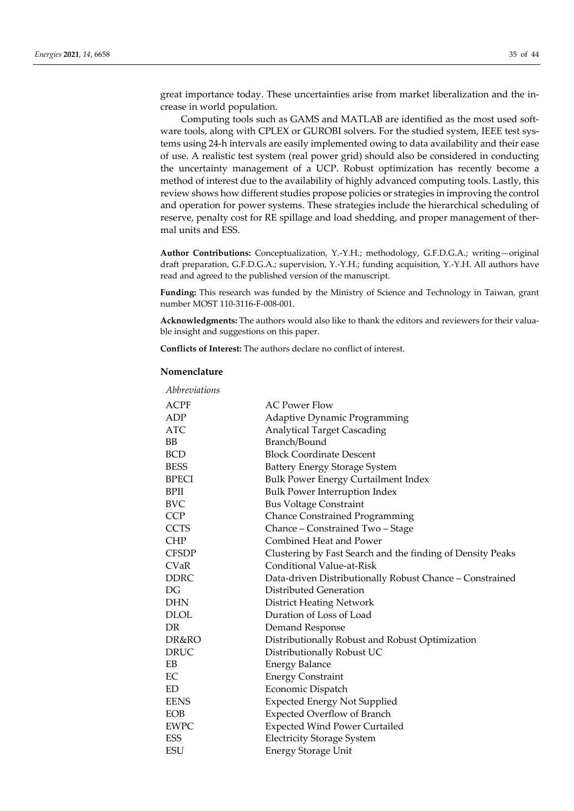great importance today. These uncertainties arise from market liberalization and the increase in world population.

Computing tools such as GAMS and MATLAB are identified as the most used software tools, along with CPLEX or GUROBI solvers. For the studied system, IEEE test systems using 24-h intervals are easily implemented owing to data availability and their ease of use. A realistic test system (real power grid) should also be considered in conducting the uncertainty management of a UCP. Robust optimization has recently become a method of interest due to the availability of highly advanced computing tools. Lastly, this review shows how different studies propose policies or strategies in improving the control and operation for power systems. These strategies include the hierarchical scheduling of reserve, penalty cost for RE spillage and load shedding, and proper management of thermal units and ESS.

**Author Contributions:** Conceptualization, Y.-Y.H.; methodology, G.F.D.G.A.; writing—original draft preparation, G.F.D.G.A.; supervision, Y.-Y.H.; funding acquisition, Y.-Y.H. All authors have read and agreed to the published version of the manuscript.

**Funding:** This research was funded by the Ministry of Science and Technology in Taiwan, grant number MOST 110-3116-F-008-001.

**Acknowledgments:** The authors would also like to thank the editors and reviewers for their valuable insight and suggestions on this paper.

**Conflicts of Interest:** The authors declare no conflict of interest.

### **Nomenclature**

| Abbreviations |                                                            |
|---------------|------------------------------------------------------------|
| <b>ACPF</b>   | <b>AC Power Flow</b>                                       |
| ADP           | <b>Adaptive Dynamic Programming</b>                        |
| <b>ATC</b>    | <b>Analytical Target Cascading</b>                         |
| <b>BB</b>     | Branch/Bound                                               |
| <b>BCD</b>    | <b>Block Coordinate Descent</b>                            |
| <b>BESS</b>   | Battery Energy Storage System                              |
| <b>BPECI</b>  | <b>Bulk Power Energy Curtailment Index</b>                 |
| <b>BPII</b>   | <b>Bulk Power Interruption Index</b>                       |
| BVC           | <b>Bus Voltage Constraint</b>                              |
| <b>CCP</b>    | <b>Chance Constrained Programming</b>                      |
| <b>CCTS</b>   | Chance - Constrained Two - Stage                           |
| <b>CHP</b>    | Combined Heat and Power                                    |
| <b>CFSDP</b>  | Clustering by Fast Search and the finding of Density Peaks |
| <b>CVaR</b>   | <b>Conditional Value-at-Risk</b>                           |
| <b>DDRC</b>   | Data-driven Distributionally Robust Chance - Constrained   |
| DG            | Distributed Generation                                     |
| <b>DHN</b>    | <b>District Heating Network</b>                            |
| <b>DLOL</b>   | Duration of Loss of Load                                   |
| DR            | Demand Response                                            |
| DR&RO         | Distributionally Robust and Robust Optimization            |
| <b>DRUC</b>   | Distributionally Robust UC                                 |
| EB            | <b>Energy Balance</b>                                      |
| EC            | <b>Energy Constraint</b>                                   |
| ED            | Economic Dispatch                                          |
| <b>EENS</b>   | <b>Expected Energy Not Supplied</b>                        |
| <b>EOB</b>    | <b>Expected Overflow of Branch</b>                         |
| <b>EWPC</b>   | <b>Expected Wind Power Curtailed</b>                       |
| ESS           | <b>Electricity Storage System</b>                          |
| <b>ESU</b>    | <b>Energy Storage Unit</b>                                 |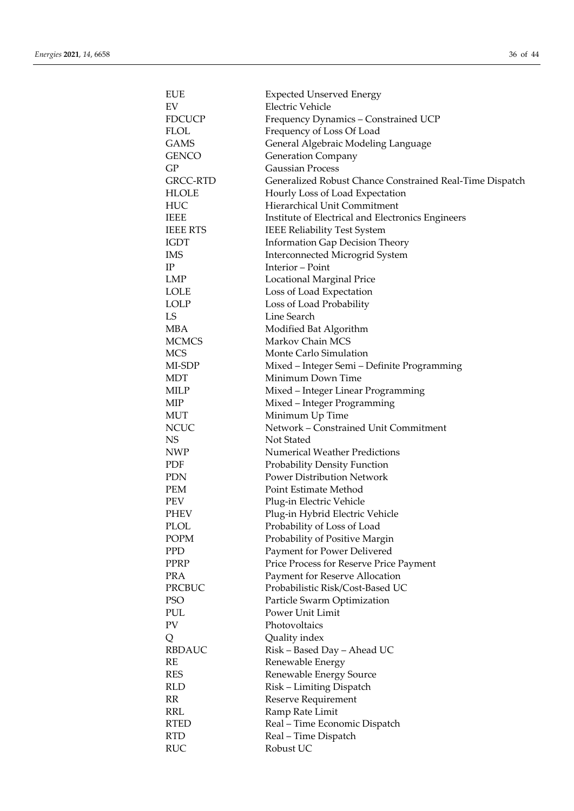| <b>EUE</b>      | <b>Expected Unserved Energy</b>                          |
|-----------------|----------------------------------------------------------|
| EV              | <b>Electric Vehicle</b>                                  |
| <b>FDCUCP</b>   | Frequency Dynamics - Constrained UCP                     |
| <b>FLOL</b>     | Frequency of Loss Of Load                                |
| <b>GAMS</b>     | General Algebraic Modeling Language                      |
| GENCO           | <b>Generation Company</b>                                |
| GP              | <b>Gaussian Process</b>                                  |
| GRCC-RTD        | Generalized Robust Chance Constrained Real-Time Dispatch |
| HLOLE           | Hourly Loss of Load Expectation                          |
| HUC             | Hierarchical Unit Commitment                             |
| <b>IEEE</b>     | Institute of Electrical and Electronics Engineers        |
| <b>IEEE RTS</b> | <b>IEEE Reliability Test System</b>                      |
| IGDT            | <b>Information Gap Decision Theory</b>                   |
| <b>IMS</b>      | Interconnected Microgrid System                          |
| $\rm IP$        | Interior - Point                                         |
| LMP             | Locational Marginal Price                                |
| <b>LOLE</b>     | Loss of Load Expectation                                 |
| <b>LOLP</b>     | Loss of Load Probability                                 |
| LS              | Line Search                                              |
| <b>MBA</b>      | Modified Bat Algorithm                                   |
| <b>MCMCS</b>    | Markov Chain MCS                                         |
| <b>MCS</b>      | Monte Carlo Simulation                                   |
| MI-SDP          | Mixed - Integer Semi - Definite Programming              |
| <b>MDT</b>      | Minimum Down Time                                        |
| MILP            | Mixed - Integer Linear Programming                       |
| MIP             | Mixed - Integer Programming                              |
| MUT             | Minimum Up Time                                          |
| <b>NCUC</b>     | Network - Constrained Unit Commitment                    |
| NS.             | Not Stated                                               |
| <b>NWP</b>      | <b>Numerical Weather Predictions</b>                     |
| PDF             | Probability Density Function                             |
| <b>PDN</b>      | <b>Power Distribution Network</b>                        |
| <b>PEM</b>      | Point Estimate Method                                    |
| PEV             | Plug-in Electric Vehicle                                 |
| PHEV            | Plug-in Hybrid Electric Vehicle                          |
| <b>PLOL</b>     | Probability of Loss of Load                              |
| <b>POPM</b>     | Probability of Positive Margin                           |
| PPD             | Payment for Power Delivered                              |
| PPRP            | Price Process for Reserve Price Payment                  |
| <b>PRA</b>      | Payment for Reserve Allocation                           |
| PRCBUC          | Probabilistic Risk/Cost-Based UC                         |
| <b>PSO</b>      | Particle Swarm Optimization                              |
| PUL             | Power Unit Limit                                         |
| PV              | Photovoltaics                                            |
| Q               | Quality index                                            |
| <b>RBDAUC</b>   | Risk - Based Day - Ahead UC                              |
| RE              | Renewable Energy                                         |
| <b>RES</b>      | Renewable Energy Source                                  |
| <b>RLD</b>      | Risk - Limiting Dispatch                                 |
| RR              | Reserve Requirement                                      |
| <b>RRL</b>      | Ramp Rate Limit                                          |
| <b>RTED</b>     |                                                          |
| <b>RTD</b>      | Real - Time Economic Dispatch                            |
|                 | Real - Time Dispatch                                     |
| <b>RUC</b>      | Robust UC                                                |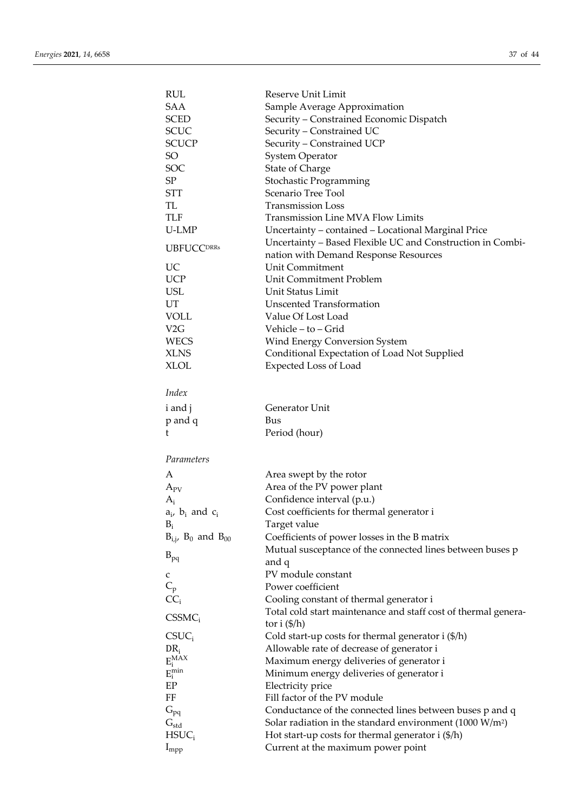| RUL                            | Reserve Unit Limit                                                                        |
|--------------------------------|-------------------------------------------------------------------------------------------|
| SAA                            | Sample Average Approximation                                                              |
| <b>SCED</b>                    | Security - Constrained Economic Dispatch                                                  |
| <b>SCUC</b>                    | Security - Constrained UC                                                                 |
| <b>SCUCP</b>                   | Security - Constrained UCP                                                                |
| SO                             | <b>System Operator</b>                                                                    |
| SOC                            | <b>State of Charge</b>                                                                    |
| SP                             |                                                                                           |
|                                | Stochastic Programming<br>Scenario Tree Tool                                              |
| <b>STT</b>                     |                                                                                           |
| TL                             | <b>Transmission Loss</b>                                                                  |
| <b>TLF</b>                     | <b>Transmission Line MVA Flow Limits</b>                                                  |
| U-LMP                          | Uncertainty - contained - Locational Marginal Price                                       |
| <b>UBFUCCDRRS</b>              | Uncertainty - Based Flexible UC and Construction in Combi-                                |
|                                | nation with Demand Response Resources                                                     |
| UC                             | Unit Commitment                                                                           |
| <b>UCP</b>                     | Unit Commitment Problem                                                                   |
| <b>USL</b>                     | Unit Status Limit                                                                         |
| UT                             | <b>Unscented Transformation</b>                                                           |
| <b>VOLL</b>                    | Value Of Lost Load                                                                        |
| V <sub>2</sub> G               | Vehicle – to – Grid                                                                       |
| <b>WECS</b>                    | Wind Energy Conversion System                                                             |
| <b>XLNS</b>                    | Conditional Expectation of Load Not Supplied                                              |
| XLOL                           | <b>Expected Loss of Load</b>                                                              |
|                                |                                                                                           |
| Index                          |                                                                                           |
|                                | Generator Unit                                                                            |
| i and j                        |                                                                                           |
| p and q                        | Bus                                                                                       |
| t                              | Period (hour)                                                                             |
| Parameters                     |                                                                                           |
| A                              | Area swept by the rotor                                                                   |
|                                |                                                                                           |
| $A_{PV}$                       | Area of the PV power plant                                                                |
| $A_i$                          | Confidence interval (p.u.)                                                                |
| $a_i$ , $b_i$ and $c_i$        | Cost coefficients for thermal generator i                                                 |
| $B_i$                          | Target value                                                                              |
| $B_{i,j}$ , $B_0$ and $B_{00}$ | Coefficients of power losses in the B matrix                                              |
| $B_{pq}$                       | Mutual susceptance of the connected lines between buses p                                 |
|                                | and q                                                                                     |
| C                              | PV module constant                                                                        |
| $C_p$                          | Power coefficient                                                                         |
| $CC_i$                         | Cooling constant of thermal generator i                                                   |
|                                | Total cold start maintenance and staff cost of thermal genera-                            |
| $CSSMC_i$                      | tor i $(\frac{5}{h})$                                                                     |
| $CSUC_i$                       | Cold start-up costs for thermal generator $i$ (\$/h)                                      |
| $\text{DR}_\text{i}$           | Allowable rate of decrease of generator i                                                 |
| $E_i^{MAX}$                    | Maximum energy deliveries of generator i                                                  |
| $E_i^{\min}$                   |                                                                                           |
|                                |                                                                                           |
|                                | Minimum energy deliveries of generator i                                                  |
| EP                             | Electricity price                                                                         |
| FF                             | Fill factor of the PV module                                                              |
| $G_{pq}$                       | Conductance of the connected lines between buses p and q                                  |
| $G_{std}$                      | Solar radiation in the standard environment $(1000 \text{ W/m}^2)$                        |
| $HSUC_i$<br>$I_{\text{mpp}}$   | Hot start-up costs for thermal generator $i$ (\$/h)<br>Current at the maximum power point |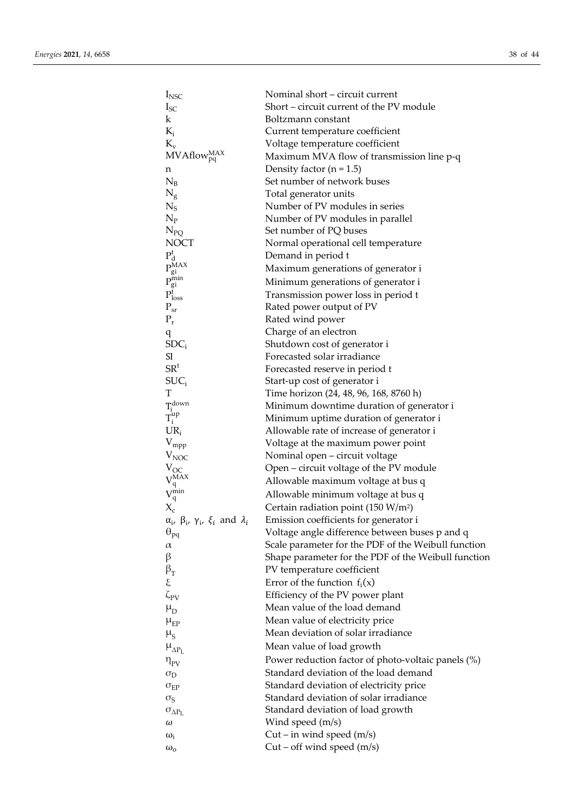| $I_{\text{NSC}}$                                                                                                         | Nominal short - circuit current                     |
|--------------------------------------------------------------------------------------------------------------------------|-----------------------------------------------------|
| $I_{SC}$                                                                                                                 | Short – circuit current of the PV module            |
| $\bf k$                                                                                                                  | Boltzmann constant                                  |
| $K_i$                                                                                                                    | Current temperature coefficient                     |
| $K_v$                                                                                                                    | Voltage temperature coefficient                     |
| $MVAflow_{pq}^{MAX}$                                                                                                     | Maximum MVA flow of transmission line p-q           |
| n                                                                                                                        | Density factor $(n = 1.5)$                          |
| $N_B$                                                                                                                    | Set number of network buses                         |
| $N_g$                                                                                                                    | Total generator units                               |
| $N_S$                                                                                                                    | Number of PV modules in series                      |
| $N_{P}$                                                                                                                  | Number of PV modules in parallel                    |
| $N_{PQ}$                                                                                                                 | Set number of PQ buses                              |
| <b>NOCT</b>                                                                                                              | Normal operational cell temperature                 |
| $\begin{array}{l} P_{\rm d}^{\rm t} \\ P_{\rm gi}^{\rm MAX} \\ P_{\rm gi}^{\rm min} \\ P_{\rm loss}^{\rm t} \end{array}$ | Demand in period t                                  |
|                                                                                                                          | Maximum generations of generator i                  |
|                                                                                                                          | Minimum generations of generator i                  |
|                                                                                                                          | Transmission power loss in period t                 |
| $P_{sr}$                                                                                                                 | Rated power output of PV                            |
| $P_r$                                                                                                                    | Rated wind power                                    |
| q                                                                                                                        | Charge of an electron                               |
| SDC <sub>i</sub>                                                                                                         | Shutdown cost of generator i                        |
| <b>SI</b>                                                                                                                | Forecasted solar irradiance                         |
| SR <sup>t</sup>                                                                                                          | Forecasted reserve in period t                      |
| $SUC_i$                                                                                                                  | Start-up cost of generator i                        |
| T                                                                                                                        | Time horizon (24, 48, 96, 168, 8760 h)              |
| $T_i^{down}$<br>$T_i^{up}$                                                                                               | Minimum downtime duration of generator i            |
|                                                                                                                          | Minimum uptime duration of generator i              |
| $UR_i$                                                                                                                   | Allowable rate of increase of generator i           |
| $V_{mpp}$                                                                                                                | Voltage at the maximum power point                  |
| $V_{NOC}$                                                                                                                | Nominal open - circuit voltage                      |
| $V_{OC}$                                                                                                                 | Open – circuit voltage of the PV module             |
| $V_q^{\widetilde{MAX}}\ V_q^{\min}$                                                                                      | Allowable maximum voltage at bus q                  |
|                                                                                                                          | Allowable minimum voltage at bus q                  |
| $X_c$                                                                                                                    | Certain radiation point (150 W/m <sup>2</sup> )     |
| $\alpha_i$ , $\beta_i$ , $\gamma_i$ , $\xi_i$ and $\lambda_i$                                                            | Emission coefficients for generator i               |
| $\Theta_{pq}$                                                                                                            | Voltage angle difference between buses p and q      |
| $\alpha$                                                                                                                 | Scale parameter for the PDF of the Weibull function |
| β                                                                                                                        | Shape parameter for the PDF of the Weibull function |
| $\beta_T$                                                                                                                | PV temperature coefficient                          |
| ξ                                                                                                                        | Error of the function $f_i(x)$                      |
| $\zeta_{\rm PV}$                                                                                                         | Efficiency of the PV power plant                    |
| $\mu_D$                                                                                                                  | Mean value of the load demand                       |
| $\mu_{EP}$                                                                                                               | Mean value of electricity price                     |
| $\mu_{\rm S}$                                                                                                            | Mean deviation of solar irradiance                  |
| $\mu_{\Delta P_L}$                                                                                                       | Mean value of load growth                           |
| $\eta_{\rm PV}$                                                                                                          | Power reduction factor of photo-voltaic panels (%)  |
| $\sigma_{D}$                                                                                                             | Standard deviation of the load demand               |
| $\sigma_{EP}$                                                                                                            | Standard deviation of electricity price             |
| $\sigma_{\rm S}$                                                                                                         | Standard deviation of solar irradiance              |
| $\sigma_{\Delta P_{L}}$                                                                                                  | Standard deviation of load growth                   |
| ω                                                                                                                        | Wind speed (m/s)                                    |
| $\omega_i$                                                                                                               | Cut – in wind speed $(m/s)$                         |
| $\omega_{\rm o}$                                                                                                         | Cut – off wind speed $(m/s)$                        |
|                                                                                                                          |                                                     |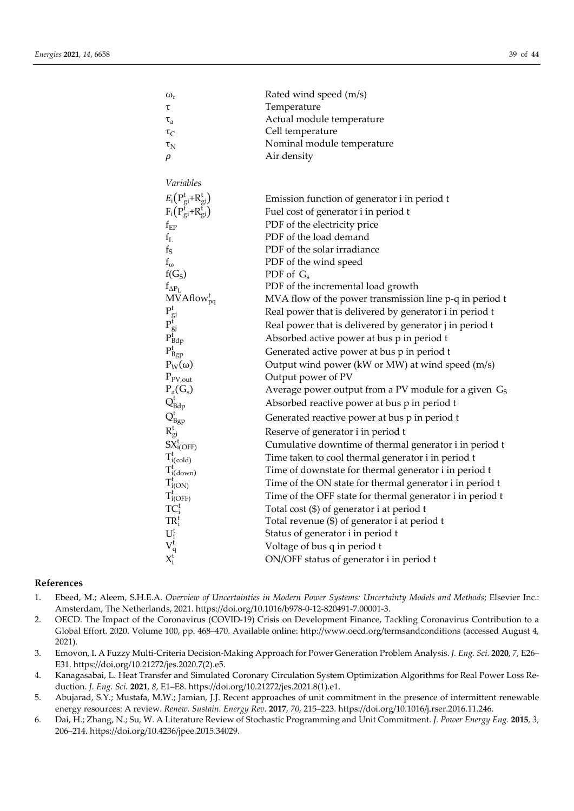| $\omega_{\rm r}$                                                                                                                                                                                                                                                                       | Rated wind speed (m/s)                                    |
|----------------------------------------------------------------------------------------------------------------------------------------------------------------------------------------------------------------------------------------------------------------------------------------|-----------------------------------------------------------|
| τ                                                                                                                                                                                                                                                                                      | Temperature                                               |
| $\tau_{\rm a}$                                                                                                                                                                                                                                                                         | Actual module temperature                                 |
| $\tau_{\rm C}$                                                                                                                                                                                                                                                                         | Cell temperature                                          |
| $\tau_{\rm N}$                                                                                                                                                                                                                                                                         | Nominal module temperature                                |
| ρ                                                                                                                                                                                                                                                                                      | Air density                                               |
| Variables                                                                                                                                                                                                                                                                              |                                                           |
| $E_i(P_{gi}^t+R_{gi}^t)$                                                                                                                                                                                                                                                               | Emission function of generator i in period t              |
| $F_i(P_{gi}^t + R_{gi}^t)$                                                                                                                                                                                                                                                             | Fuel cost of generator i in period t                      |
| $\rm{f_{EP}}$                                                                                                                                                                                                                                                                          | PDF of the electricity price                              |
| $\rm{f_{L}}$                                                                                                                                                                                                                                                                           | PDF of the load demand                                    |
| $\rm f_S$                                                                                                                                                                                                                                                                              | PDF of the solar irradiance                               |
| $f_\omega$                                                                                                                                                                                                                                                                             | PDF of the wind speed                                     |
| f(G <sub>S</sub> )                                                                                                                                                                                                                                                                     | PDF of $G_s$                                              |
| $f_{\Delta P_L}$                                                                                                                                                                                                                                                                       | PDF of the incremental load growth                        |
| $MVAflow_{pq}^t$                                                                                                                                                                                                                                                                       | MVA flow of the power transmission line p-q in period t   |
| $P_{gi}^t$<br>$P_{gj}^t$<br>$P_{Bdp}^t$                                                                                                                                                                                                                                                | Real power that is delivered by generator i in period t   |
|                                                                                                                                                                                                                                                                                        | Real power that is delivered by generator j in period t   |
|                                                                                                                                                                                                                                                                                        | Absorbed active power at bus p in period t                |
| $\mathbf{P}_{\text{Bgp}}^t$                                                                                                                                                                                                                                                            | Generated active power at bus p in period t               |
| $P_W(\omega)$                                                                                                                                                                                                                                                                          | Output wind power (kW or MW) at wind speed (m/s)          |
| $P_{PV,out}$                                                                                                                                                                                                                                                                           | Output power of PV                                        |
| $P_a(G_s)$                                                                                                                                                                                                                                                                             | Average power output from a PV module for a given $GS$    |
| $Q_{\text{Bdp}}^t$<br>$Q_{\text{Bgp}}^t$<br>$R_{gi}^t$<br>$SX_{i(OFF)}^t$                                                                                                                                                                                                              | Absorbed reactive power at bus p in period t              |
|                                                                                                                                                                                                                                                                                        | Generated reactive power at bus p in period t             |
|                                                                                                                                                                                                                                                                                        | Reserve of generator i in period t                        |
|                                                                                                                                                                                                                                                                                        | Cumulative downtime of thermal generator i in period t    |
|                                                                                                                                                                                                                                                                                        | Time taken to cool thermal generator i in period t        |
|                                                                                                                                                                                                                                                                                        | Time of downstate for thermal generator i in period t     |
|                                                                                                                                                                                                                                                                                        | Time of the ON state for thermal generator i in period t  |
|                                                                                                                                                                                                                                                                                        | Time of the OFF state for thermal generator i in period t |
|                                                                                                                                                                                                                                                                                        | Total cost (\$) of generator i at period t                |
|                                                                                                                                                                                                                                                                                        | Total revenue (\$) of generator i at period t             |
|                                                                                                                                                                                                                                                                                        | Status of generator i in period t                         |
| $\begin{array}{l} \displaystyle T_{i(cold)}^t \\ \displaystyle T_{i(down)}^t \\ \displaystyle T_{i(ON)}^t \\ \displaystyle T_{i(OFF)}^t \\ \displaystyle T_{i(cFF)}^t \\ \displaystyle T_{i}^t \\ \displaystyle U_{i}^t \\ \displaystyle V_{q}^t \\ \displaystyle X_{i}^t \end{array}$ | Voltage of bus q in period t                              |
|                                                                                                                                                                                                                                                                                        | ON/OFF status of generator i in period t                  |

# **References**

- 1. Ebeed, M.; Aleem, S.H.E.A. *Overview of Uncertainties in Modern Power Systems: Uncertainty Models and Methods*; Elsevier Inc.: Amsterdam, The Netherlands, 2021. https://doi.org/10.1016/b978-0-12-820491-7.00001-3.
- 2. OECD. The Impact of the Coronavirus (COVID-19) Crisis on Development Finance, Tackling Coronavirus Contribution to a Global Effort. 2020. Volume 100, pp. 468–470. Available online:<http://www.oecd.org/termsandconditions> (accessed August 4, 2021).
- 3. Emovon, I. A Fuzzy Multi-Criteria Decision-Making Approach for Power Generation Problem Analysis. *J. Eng. Sci.* **2020**, *7*, E26– E31. https://doi.org/10.21272/jes.2020.7(2).e5.
- 4. Kanagasabai, L. Heat Transfer and Simulated Coronary Circulation System Optimization Algorithms for Real Power Loss Reduction. *J. Eng. Sci.* **2021**, *8*, E1–E8. https://doi.org/10.21272/jes.2021.8(1).e1.
- 5. Abujarad, S.Y.; Mustafa, M.W.; Jamian, J.J. Recent approaches of unit commitment in the presence of intermittent renewable energy resources: A review. *Renew. Sustain. Energy Rev.* **2017**, *70*, 215–223. https://doi.org/10.1016/j.rser.2016.11.246.
- 6. Dai, H.; Zhang, N.; Su, W. A Literature Review of Stochastic Programming and Unit Commitment. *J. Power Energy Eng.* **2015**, *3*, 206–214. https://doi.org/10.4236/jpee.2015.34029.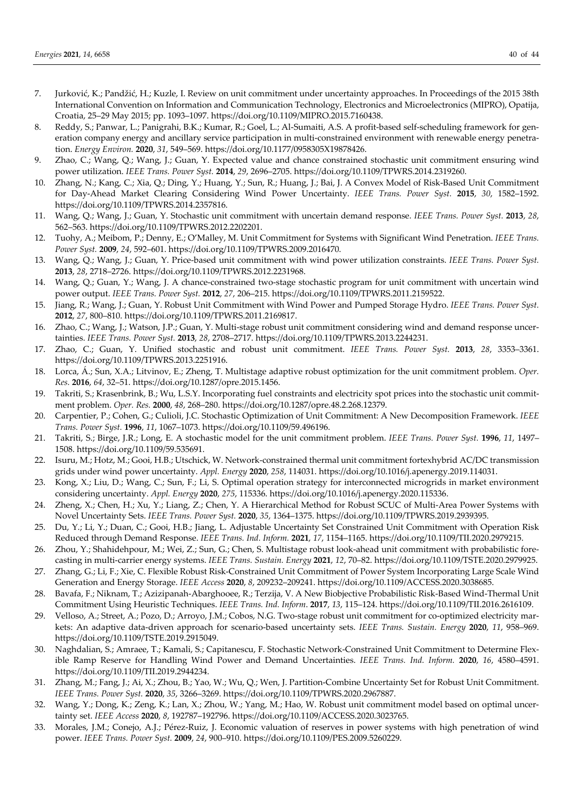- 7. Jurković, K.; Pandžić, H.; Kuzle, I. Review on unit commitment under uncertainty approaches. In Proceedings of the 2015 38th International Convention on Information and Communication Technology, Electronics and Microelectronics (MIPRO), Opatija, Croatia, 25–29 May 2015; pp. 1093–1097. https://doi.org/10.1109/MIPRO.2015.7160438.
- 8. Reddy, S.; Panwar, L.; Panigrahi, B.K.; Kumar, R.; Goel, L.; Al-Sumaiti, A.S. A profit-based self-scheduling framework for generation company energy and ancillary service participation in multi-constrained environment with renewable energy penetration. *Energy Environ.* **2020**, *31*, 549–569. https://doi.org/10.1177/0958305X19878426.
- 9. Zhao, C.; Wang, Q.; Wang, J.; Guan, Y. Expected value and chance constrained stochastic unit commitment ensuring wind power utilization. *IEEE Trans. Power Syst.* **2014**, *29*, 2696–2705. https://doi.org/10.1109/TPWRS.2014.2319260.
- 10. Zhang, N.; Kang, C.; Xia, Q.; Ding, Y.; Huang, Y.; Sun, R.; Huang, J.; Bai, J. A Convex Model of Risk-Based Unit Commitment for Day-Ahead Market Clearing Considering Wind Power Uncertainty. *IEEE Trans. Power Syst.* **2015**, *30*, 1582–1592. https://doi.org/10.1109/TPWRS.2014.2357816.
- 11. Wang, Q.; Wang, J.; Guan, Y. Stochastic unit commitment with uncertain demand response. *IEEE Trans. Power Syst.* **2013**, *28*, 562–563. https://doi.org/10.1109/TPWRS.2012.2202201.
- 12. Tuohy, A.; Meibom, P.; Denny, E.; O'Malley, M. Unit Commitment for Systems with Significant Wind Penetration. *IEEE Trans. Power Syst.* **2009**, *24*, 592–601. https://doi.org/10.1109/TPWRS.2009.2016470.
- 13. Wang, Q.; Wang, J.; Guan, Y. Price-based unit commitment with wind power utilization constraints. *IEEE Trans. Power Syst.*  **2013**, *28*, 2718–2726. https://doi.org/10.1109/TPWRS.2012.2231968.
- 14. Wang, Q.; Guan, Y.; Wang, J. A chance-constrained two-stage stochastic program for unit commitment with uncertain wind power output. *IEEE Trans. Power Syst.* **2012**, *27*, 206–215. https://doi.org/10.1109/TPWRS.2011.2159522.
- 15. Jiang, R.; Wang, J.; Guan, Y. Robust Unit Commitment with Wind Power and Pumped Storage Hydro. *IEEE Trans. Power Syst.* **2012**, *27*, 800–810. https://doi.org/10.1109/TPWRS.2011.2169817.
- 16. Zhao, C.; Wang, J.; Watson, J.P.; Guan, Y. Multi-stage robust unit commitment considering wind and demand response uncertainties. *IEEE Trans. Power Syst.* **2013**, *28*, 2708–2717. https://doi.org/10.1109/TPWRS.2013.2244231.
- 17. Zhao, C.; Guan, Y. Unified stochastic and robust unit commitment. *IEEE Trans. Power Syst.* **2013**, *28*, 3353–3361. https://doi.org/10.1109/TPWRS.2013.2251916.
- 18. Lorca, Á.; Sun, X.A.; Litvinov, E.; Zheng, T. Multistage adaptive robust optimization for the unit commitment problem. *Oper. Res.* **2016**, *64*, 32–51. https://doi.org/10.1287/opre.2015.1456.
- 19. Takriti, S.; Krasenbrink, B.; Wu, L.S.Y. Incorporating fuel constraints and electricity spot prices into the stochastic unit commitment problem. *Oper. Res.* **2000**, *48*, 268–280. https://doi.org/10.1287/opre.48.2.268.12379.
- 20. Carpentier, P.; Cohen, G.; Culioli, J.C. Stochastic Optimization of Unit Commitment: A New Decomposition Framework. *IEEE Trans. Power Syst.* **1996**, *11*, 1067–1073. https://doi.org/10.1109/59.496196.
- 21. Takriti, S.; Birge, J.R.; Long, E. A stochastic model for the unit commitment problem. *IEEE Trans. Power Syst.* **1996**, *11*, 1497– 1508. https://doi.org/10.1109/59.535691.
- 22. Isuru, M.; Hotz, M.; Gooi, H.B.; Utschick, W. Network-constrained thermal unit commitment fortexhybrid AC/DC transmission grids under wind power uncertainty. *Appl. Energy* **2020**, *258*, 114031. https://doi.org/10.1016/j.apenergy.2019.114031.
- 23. Kong, X.; Liu, D.; Wang, C.; Sun, F.; Li, S. Optimal operation strategy for interconnected microgrids in market environment considering uncertainty. *Appl. Energy* **2020**, *275*, 115336. https://doi.org/10.1016/j.apenergy.2020.115336.
- 24. Zheng, X.; Chen, H.; Xu, Y.; Liang, Z.; Chen, Y. A Hierarchical Method for Robust SCUC of Multi-Area Power Systems with Novel Uncertainty Sets. *IEEE Trans. Power Syst.* **2020**, *35*, 1364–1375. https://doi.org/10.1109/TPWRS.2019.2939395.
- 25. Du, Y.; Li, Y.; Duan, C.; Gooi, H.B.; Jiang, L. Adjustable Uncertainty Set Constrained Unit Commitment with Operation Risk Reduced through Demand Response. *IEEE Trans. Ind. Inform.* **2021**, *17*, 1154–1165. https://doi.org/10.1109/TII.2020.2979215.
- 26. Zhou, Y.; Shahidehpour, M.; Wei, Z.; Sun, G.; Chen, S. Multistage robust look-ahead unit commitment with probabilistic forecasting in multi-carrier energy systems. *IEEE Trans. Sustain. Energy* **2021**, *12*, 70–82. https://doi.org/10.1109/TSTE.2020.2979925.
- 27. Zhang, G.; Li, F.; Xie, C. Flexible Robust Risk-Constrained Unit Commitment of Power System Incorporating Large Scale Wind Generation and Energy Storage. *IEEE Access* **2020**, *8*, 209232–209241. https://doi.org/10.1109/ACCESS.2020.3038685.
- 28. Bavafa, F.; Niknam, T.; Azizipanah-Abarghooee, R.; Terzija, V. A New Biobjective Probabilistic Risk-Based Wind-Thermal Unit Commitment Using Heuristic Techniques. *IEEE Trans. Ind. Inform*. **2017**, *13*, 115–124. https://doi.org/10.1109/TII.2016.2616109.
- 29. Velloso, A.; Street, A.; Pozo, D.; Arroyo, J.M.; Cobos, N.G. Two-stage robust unit commitment for co-optimized electricity markets: An adaptive data-driven approach for scenario-based uncertainty sets. *IEEE Trans. Sustain. Energy* **2020**, *11*, 958–969. https://doi.org/10.1109/TSTE.2019.2915049.
- 30. Naghdalian, S.; Amraee, T.; Kamali, S.; Capitanescu, F. Stochastic Network-Constrained Unit Commitment to Determine Flexible Ramp Reserve for Handling Wind Power and Demand Uncertainties. *IEEE Trans. Ind. Inform.* **2020**, *16*, 4580–4591. https://doi.org/10.1109/TII.2019.2944234.
- 31. Zhang, M.; Fang, J.; Ai, X.; Zhou, B.; Yao, W.; Wu, Q.; Wen, J. Partition-Combine Uncertainty Set for Robust Unit Commitment. *IEEE Trans. Power Syst.* **2020**, *35*, 3266–3269. https://doi.org/10.1109/TPWRS.2020.2967887.
- 32. Wang, Y.; Dong, K.; Zeng, K.; Lan, X.; Zhou, W.; Yang, M.; Hao, W. Robust unit commitment model based on optimal uncertainty set. *IEEE Access* **2020**, *8*, 192787–192796. https://doi.org/10.1109/ACCESS.2020.3023765.
- 33. Morales, J.M.; Conejo, A.J.; Pérez-Ruiz, J. Economic valuation of reserves in power systems with high penetration of wind power. *IEEE Trans. Power Syst.* **2009**, *24*, 900–910. https://doi.org/10.1109/PES.2009.5260229.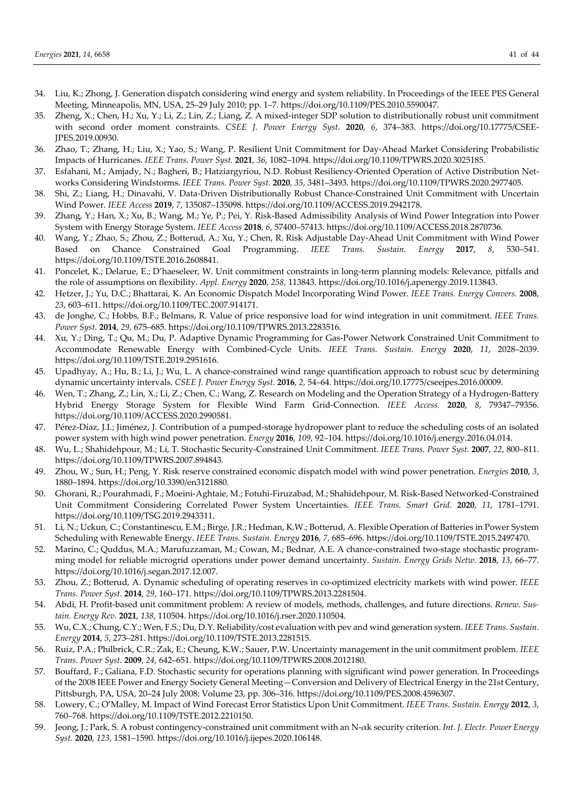- 34. Liu, K.; Zhong, J. Generation dispatch considering wind energy and system reliability. In Proceedings of the IEEE PES General Meeting, Minneapolis, MN, USA, 25–29 July 2010; pp. 1–7. https://doi.org/10.1109/PES.2010.5590047.
- 35. Zheng, X.; Chen, H.; Xu, Y.; Li, Z.; Lin, Z.; Liang, Z. A mixed-integer SDP solution to distributionally robust unit commitment with second order moment constraints. *CSEE J. Power Energy Syst.* **2020**, *6*, 374–383. https://doi.org/10.17775/CSEE-JPES.2019.00930.
- 36. Zhao, T.; Zhang, H.; Liu, X.; Yao, S.; Wang, P. Resilient Unit Commitment for Day-Ahead Market Considering Probabilistic Impacts of Hurricanes. *IEEE Trans. Power Syst.* **2021**, *36*, 1082–1094. https://doi.org/10.1109/TPWRS.2020.3025185.
- 37. Esfahani, M.; Amjady, N.; Bagheri, B.; Hatziargyriou, N.D. Robust Resiliency-Oriented Operation of Active Distribution Networks Considering Windstorms. *IEEE Trans. Power Syst.* **2020**, *35*, 3481–3493. https://doi.org/10.1109/TPWRS.2020.2977405.
- 38. Shi, Z.; Liang, H.; Dinavahi, V. Data-Driven Distributionally Robust Chance-Constrained Unit Commitment with Uncertain Wind Power. *IEEE Access* **2019**, *7*, 135087–135098. https://doi.org/10.1109/ACCESS.2019.2942178.
- 39. Zhang, Y.; Han, X.; Xu, B.; Wang, M.; Ye, P.; Pei, Y. Risk-Based Admissibility Analysis of Wind Power Integration into Power System with Energy Storage System. *IEEE Access* **2018**, *6*, 57400–57413. https://doi.org/10.1109/ACCESS.2018.2870736.
- 40. Wang, Y.; Zhao, S.; Zhou, Z.; Botterud, A.; Xu, Y.; Chen, R. Risk Adjustable Day-Ahead Unit Commitment with Wind Power Based on Chance Constrained Goal Programming. *IEEE Trans. Sustain. Energy* **2017**, *8*, 530–541. https://doi.org/10.1109/TSTE.2016.2608841.
- 41. Poncelet, K.; Delarue, E.; D'haeseleer, W. Unit commitment constraints in long-term planning models: Relevance, pitfalls and the role of assumptions on flexibility. *Appl. Energy* **2020**, *258*, 113843. https://doi.org/10.1016/j.apenergy.2019.113843.
- 42. Hetzer, J.; Yu, D.C.; Bhattarai, K. An Economic Dispatch Model Incorporating Wind Power. *IEEE Trans. Energy Convers.* **2008**, *23*, 603–611. https://doi.org/10.1109/TEC.2007.914171.
- 43. de Jonghe, C.; Hobbs, B.F.; Belmans, R. Value of price responsive load for wind integration in unit commitment. *IEEE Trans. Power Syst.* **2014**, *29*, 675–685. https://doi.org/10.1109/TPWRS.2013.2283516.
- 44. Xu, Y.; Ding, T.; Qu, M.; Du, P. Adaptive Dynamic Programming for Gas-Power Network Constrained Unit Commitment to Accommodate Renewable Energy with Combined-Cycle Units. *IEEE Trans. Sustain. Energy* **2020**, *11*, 2028–2039. https://doi.org/10.1109/TSTE.2019.2951616.
- 45. Upadhyay, A.; Hu, B.; Li, J.; Wu, L. A chance-constrained wind range quantification approach to robust scuc by determining dynamic uncertainty intervals. *CSEE J. Power Energy Syst.* **2016**, *2*, 54–64. https://doi.org/10.17775/cseejpes.2016.00009.
- 46. Wen, T.; Zhang, Z.; Lin, X.; Li, Z.; Chen, C.; Wang, Z. Research on Modeling and the Operation Strategy of a Hydrogen-Battery Hybrid Energy Storage System for Flexible Wind Farm Grid-Connection. *IEEE Access.* **2020**, *8*, 79347–79356. https://doi.org/10.1109/ACCESS.2020.2990581.
- 47. Pérez-Díaz, J.I.; Jiménez, J. Contribution of a pumped-storage hydropower plant to reduce the scheduling costs of an isolated power system with high wind power penetration. *Energy* **2016**, *109*, 92–104. https://doi.org/10.1016/j.energy.2016.04.014.
- 48. Wu, L.; Shahidehpour, M.; Li, T. Stochastic Security-Constrained Unit Commitment. *IEEE Trans. Power Syst.* **2007**, *22*, 800–811. https://doi.org/10.1109/TPWRS.2007.894843.
- 49. Zhou, W.; Sun, H.; Peng, Y. Risk reserve constrained economic dispatch model with wind power penetration. *Energies* **2010**, *3*, 1880–1894. https://doi.org/10.3390/en3121880.
- 50. Ghorani, R.; Pourahmadi, F.; Moeini-Aghtaie, M.; Fotuhi-Firuzabad, M.; Shahidehpour, M. Risk-Based Networked-Constrained Unit Commitment Considering Correlated Power System Uncertainties. *IEEE Trans. Smart Grid.* **2020**, *11*, 1781–1791. https://doi.org/10.1109/TSG.2019.2943311.
- 51. Li, N.; Uckun, C.; Constantinescu, E.M.; Birge, J.R.; Hedman, K.W.; Botterud, A. Flexible Operation of Batteries in Power System Scheduling with Renewable Energy. *IEEE Trans. Sustain. Energy* **2016**, *7*, 685–696. https://doi.org/10.1109/TSTE.2015.2497470.
- 52. Marino, C.; Quddus, M.A.; Marufuzzaman, M.; Cowan, M.; Bednar, A.E. A chance-constrained two-stage stochastic programming model for reliable microgrid operations under power demand uncertainty. *Sustain. Energy Grids Netw.* **2018**, *13*, 66–77. https://doi.org/10.1016/j.segan.2017.12.007.
- 53. Zhou, Z.; Botterud, A. Dynamic scheduling of operating reserves in co-optimized electricity markets with wind power. *IEEE Trans. Power Syst.* **2014**, *29*, 160–171. https://doi.org/10.1109/TPWRS.2013.2281504.
- 54. Abdi, H. Profit-based unit commitment problem: A review of models, methods, challenges, and future directions. *Renew. Sustain. Energy Rev.* **2021**, *138*, 110504. https://doi.org/10.1016/j.rser.2020.110504.
- 55. Wu, C.X.; Chung, C.Y.; Wen, F.S.; Du, D.Y. Reliability/cost evaluation with pev and wind generation system. *IEEE Trans. Sustain. Energy* **2014**, *5*, 273–281. https://doi.org/10.1109/TSTE.2013.2281515.
- 56. Ruiz, P.A.; Philbrick, C.R.; Zak, E.; Cheung, K.W.; Sauer, P.W. Uncertainty management in the unit commitment problem. *IEEE Trans. Power Syst.* **2009**, *24*, 642–651. https://doi.org/10.1109/TPWRS.2008.2012180.
- 57. Bouffard, F.; Galiana, F.D. Stochastic security for operations planning with significant wind power generation. In Proceedings of the 2008 IEEE Power and Energy Society General Meeting—Conversion and Delivery of Electrical Energy in the 21st Century, Pittsburgh, PA, USA, 20–24 July 2008; Volume 23, pp. 306–316. https://doi.org/10.1109/PES.2008.4596307.
- 58. Lowery, C.; O'Malley, M. Impact of Wind Forecast Error Statistics Upon Unit Commitment. *IEEE Trans. Sustain. Energy* **2012**, *3*, 760–768. https://doi.org/10.1109/TSTE.2012.2210150.
- 59. Jeong, J.; Park, S. A robust contingency-constrained unit commitment with an N-αk security criterion. *Int. J. Electr. Power Energy Syst.* **2020**, *123*, 1581–1590. https://doi.org/10.1016/j.ijepes.2020.106148.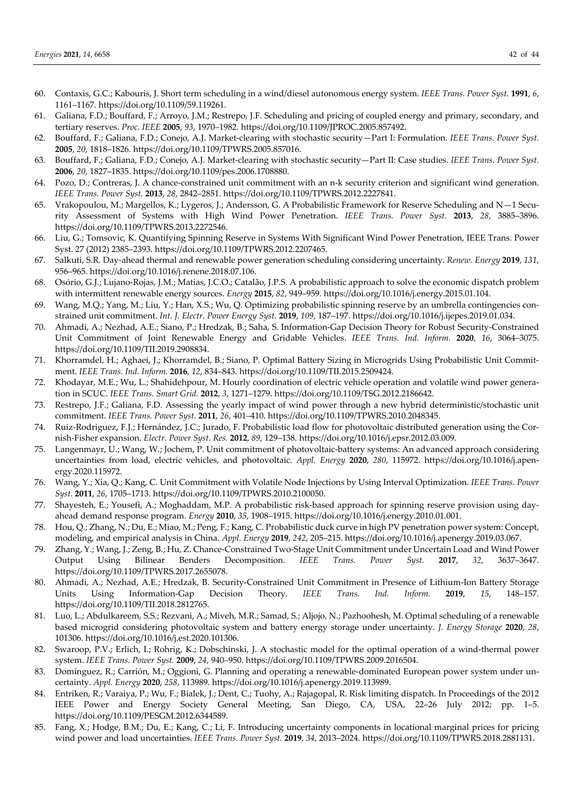- 60. Contaxis, G.C.; Kabouris, J. Short term scheduling in a wind/diesel autonomous energy system. *IEEE Trans. Power Syst.* **1991**, *6*, 1161–1167. https://doi.org/10.1109/59.119261.
- 61. Galiana, F.D.; Bouffard, F.; Arroyo, J.M.; Restrepo, J.F. Scheduling and pricing of coupled energy and primary, secondary, and tertiary reserves. *Proc. IEEE* **2005**, *93*, 1970–1982. https://doi.org/10.1109/JPROC.2005.857492.
- 62. Bouffard, F.; Galiana, F.D.; Conejo, A.J. Market-clearing with stochastic security—Part I: Formulation. *IEEE Trans. Power Syst.* **2005**, *20*, 1818–1826. https://doi.org/10.1109/TPWRS.2005.857016.
- 63. Bouffard, F.; Galiana, F.D.; Conejo, A.J. Market-clearing with stochastic security—Part II: Case studies. *IEEE Trans. Power Syst.*  **2006**, *20*, 1827–1835. https://doi.org/10.1109/pes.2006.1708880.
- 64. Pozo, D.; Contreras, J. A chance-constrained unit commitment with an n-k security criterion and significant wind generation. *IEEE Trans. Power Syst.* **2013**, *28*, 2842–2851. https://doi.org/10.1109/TPWRS.2012.2227841.
- 65. Vrakopoulou, M.; Margellos, K.; Lygeros, J.; Andersson, G. A Probabilistic Framework for Reserve Scheduling and N—1 Security Assessment of Systems with High Wind Power Penetration. *IEEE Trans. Power Syst.* **2013**, *28*, 3885–3896. https://doi.org/10.1109/TPWRS.2013.2272546.
- 66. Liu, G.; Tomsovic, K. Quantifying Spinning Reserve in Systems With Significant Wind Power Penetration, IEEE Trans. Power Syst. 27 (2012) 2385–2393. https://doi.org/10.1109/TPWRS.2012.2207465.
- 67. Salkuti, S.R. Day-ahead thermal and renewable power generation scheduling considering uncertainty. *Renew. Energy* **2019**, *131*, 956–965. https://doi.org/10.1016/j.renene.2018.07.106.
- 68. Osório, G.J.; Lujano-Rojas, J.M.; Matias, J.C.O.; Catalão, J.P.S. A probabilistic approach to solve the economic dispatch problem with intermittent renewable energy sources. *Energy* **2015**, *82*, 949–959. https://doi.org/10.1016/j.energy.2015.01.104.
- 69. Wang, M.Q.; Yang, M.; Liu, Y.; Han, X.S.; Wu, Q. Optimizing probabilistic spinning reserve by an umbrella contingencies constrained unit commitment. *Int. J. Electr. Power Energy Syst.* **2019**, *109*, 187–197. https://doi.org/10.1016/j.ijepes.2019.01.034.
- 70. Ahmadi, A.; Nezhad, A.E.; Siano, P.; Hredzak, B.; Saha, S. Information-Gap Decision Theory for Robust Security-Constrained Unit Commitment of Joint Renewable Energy and Gridable Vehicles. *IEEE Trans. Ind. Inform.* **2020**, *16*, 3064–3075. https://doi.org/10.1109/TII.2019.2908834.
- 71. Khorramdel, H.; Aghaei, J.; Khorramdel, B.; Siano, P. Optimal Battery Sizing in Microgrids Using Probabilistic Unit Commitment. *IEEE Trans. Ind. Inform.* **2016**, *12*, 834–843. https://doi.org/10.1109/TII.2015.2509424.
- 72. Khodayar, M.E.; Wu, L.; Shahidehpour, M. Hourly coordination of electric vehicle operation and volatile wind power generation in SCUC. *IEEE Trans. Smart Grid.* **2012**, *3*, 1271–1279. https://doi.org/10.1109/TSG.2012.2186642.
- 73. Restrepo, J.F.; Galiana, F.D. Assessing the yearly impact of wind power through a new hybrid deterministic/stochastic unit commitment. *IEEE Trans. Power Syst.* **2011**, *26*, 401–410. https://doi.org/10.1109/TPWRS.2010.2048345.
- 74. Ruiz-Rodriguez, F.J.; Hernández, J.C.; Jurado, F. Probabilistic load flow for photovoltaic distributed generation using the Cornish-Fisher expansion. *Electr. Power Syst. Res.* **2012**, *89*, 129–138. https://doi.org/10.1016/j.epsr.2012.03.009.
- 75. Langenmayr, U.; Wang, W.; Jochem, P. Unit commitment of photovoltaic-battery systems: An advanced approach considering uncertainties from load, electric vehicles, and photovoltaic. *Appl. Energy* **2020**, *280*, 115972. https://doi.org/10.1016/j.apenergy.2020.115972.
- 76. Wang, Y.; Xia, Q.; Kang, C. Unit Commitment with Volatile Node Injections by Using Interval Optimization. *IEEE Trans. Power Syst.* **2011**, *26*, 1705–1713. https://doi.org/10.1109/TPWRS.2010.2100050.
- 77. Shayesteh, E.; Yousefi, A.; Moghaddam, M.P. A probabilistic risk-based approach for spinning reserve provision using dayahead demand response program. *Energy* **2010**, *35*, 1908–1915. https://doi.org/10.1016/j.energy.2010.01.001.
- 78. Hou, Q.; Zhang, N.; Du, E.; Miao, M.; Peng, F.; Kang, C. Probabilistic duck curve in high PV penetration power system: Concept, modeling, and empirical analysis in China. *Appl. Energy* **2019**, *242*, 205–215. https://doi.org/10.1016/j.apenergy.2019.03.067.
- 79. Zhang, Y.; Wang, J.; Zeng, B.; Hu, Z. Chance-Constrained Two-Stage Unit Commitment under Uncertain Load and Wind Power Output Using Bilinear Benders Decomposition. *IEEE Trans. Power Syst.* **2017**, *32*, 3637–3647. https://doi.org/10.1109/TPWRS.2017.2655078.
- 80. Ahmadi, A.; Nezhad, A.E.; Hredzak, B. Security-Constrained Unit Commitment in Presence of Lithium-Ion Battery Storage Units Using Information-Gap Decision Theory. *IEEE Trans. Ind. Inform.* **2019**, *15*, 148–157. https://doi.org/10.1109/TII.2018.2812765.
- 81. Luo, L.; Abdulkareem, S.S.; Rezvani, A.; Miveh, M.R.; Samad, S.; Aljojo, N.; Pazhoohesh, M. Optimal scheduling of a renewable based microgrid considering photovoltaic system and battery energy storage under uncertainty. *J. Energy Storage* **2020**, *28*, 101306. https://doi.org/10.1016/j.est.2020.101306.
- 82. Swaroop, P.V.; Erlich, I.; Rohrig, K.; Dobschinski, J. A stochastic model for the optimal operation of a wind-thermal power system. *IEEE Trans. Power Syst.* **2009**, *24*, 940–950. https://doi.org/10.1109/TPWRS.2009.2016504.
- 83. Domínguez, R.; Carrión, M.; Oggioni, G. Planning and operating a renewable-dominated European power system under uncertainty. *Appl. Energy* **2020**, *258*, 113989. https://doi.org/10.1016/j.apenergy.2019.113989.
- 84. Entriken, R.; Varaiya, P.; Wu, F.; Bialek, J.; Dent, C.; Tuohy, A.; Rajagopal, R. Risk limiting dispatch. In Proceedings of the 2012 IEEE Power and Energy Society General Meeting, San Diego, CA, USA, 22–26 July 2012; pp. 1–5. https://doi.org/10.1109/PESGM.2012.6344589.
- 85. Fang, X.; Hodge, B.M.; Du, E.; Kang, C.; Li, F. Introducing uncertainty components in locational marginal prices for pricing wind power and load uncertainties. *IEEE Trans. Power Syst.* **2019**, *34*, 2013–2024. https://doi.org/10.1109/TPWRS.2018.2881131.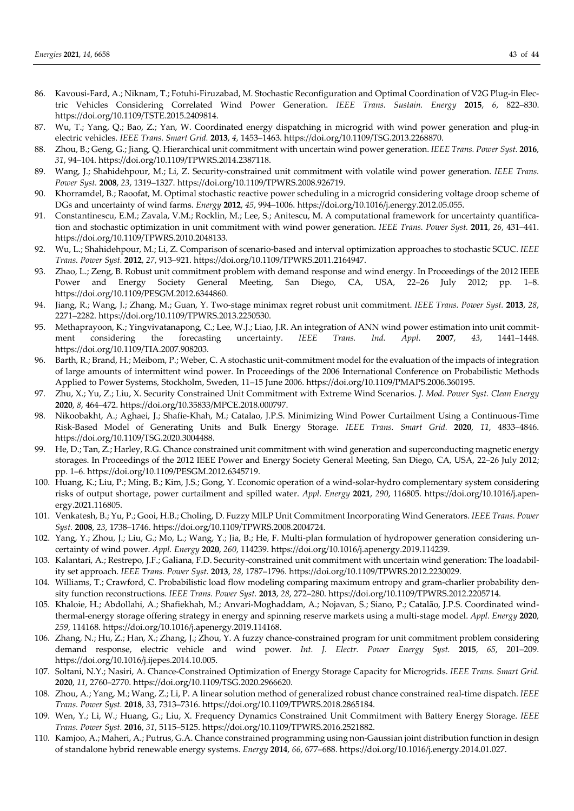- 86. Kavousi-Fard, A.; Niknam, T.; Fotuhi-Firuzabad, M. Stochastic Reconfiguration and Optimal Coordination of V2G Plug-in Electric Vehicles Considering Correlated Wind Power Generation. *IEEE Trans. Sustain. Energy* **2015**, *6*, 822–830. https://doi.org/10.1109/TSTE.2015.2409814.
- 87. Wu, T.; Yang, Q.; Bao, Z.; Yan, W. Coordinated energy dispatching in microgrid with wind power generation and plug-in electric vehicles. *IEEE Trans. Smart Grid.* **2013**, *4*, 1453–1463. https://doi.org/10.1109/TSG.2013.2268870.
- 88. Zhou, B.; Geng, G.; Jiang, Q. Hierarchical unit commitment with uncertain wind power generation. *IEEE Trans. Power Syst.* **2016**, *31*, 94–104. https://doi.org/10.1109/TPWRS.2014.2387118.
- 89. Wang, J.; Shahidehpour, M.; Li, Z. Security-constrained unit commitment with volatile wind power generation. *IEEE Trans. Power Syst.* **2008**, *23*, 1319–1327. https://doi.org/10.1109/TPWRS.2008.926719.
- 90. Khorramdel, B.; Raoofat, M. Optimal stochastic reactive power scheduling in a microgrid considering voltage droop scheme of DGs and uncertainty of wind farms. *Energy* **2012**, *45*, 994–1006. https://doi.org/10.1016/j.energy.2012.05.055.
- 91. Constantinescu, E.M.; Zavala, V.M.; Rocklin, M.; Lee, S.; Anitescu, M. A computational framework for uncertainty quantification and stochastic optimization in unit commitment with wind power generation. *IEEE Trans. Power Syst.* **2011**, *26*, 431–441. https://doi.org/10.1109/TPWRS.2010.2048133.
- 92. Wu, L.; Shahidehpour, M.; Li, Z. Comparison of scenario-based and interval optimization approaches to stochastic SCUC. *IEEE Trans. Power Syst.* **2012**, *27*, 913–921. https://doi.org/10.1109/TPWRS.2011.2164947.
- 93. Zhao, L.; Zeng, B. Robust unit commitment problem with demand response and wind energy. In Proceedings of the 2012 IEEE Power and Energy Society General Meeting, San Diego, CA, USA, 22–26 July 2012; pp. 1–8. https://doi.org/10.1109/PESGM.2012.6344860.
- 94. Jiang, R.; Wang, J.; Zhang, M.; Guan, Y. Two-stage minimax regret robust unit commitment. *IEEE Trans. Power Syst.* **2013**, *28*, 2271–2282. https://doi.org/10.1109/TPWRS.2013.2250530.
- 95. Methaprayoon, K.; Yingvivatanapong, C.; Lee, W.J.; Liao, J.R. An integration of ANN wind power estimation into unit commitment considering the forecasting uncertainty. *IEEE Trans. Ind. Appl.* **2007**, *43*, 1441–1448. https://doi.org/10.1109/TIA.2007.908203.
- 96. Barth, R.; Brand, H.; Meibom, P.; Weber, C. A stochastic unit-commitment model for the evaluation of the impacts of integration of large amounts of intermittent wind power. In Proceedings of the 2006 International Conference on Probabilistic Methods Applied to Power Systems, Stockholm, Sweden, 11–15 June 2006. https://doi.org/10.1109/PMAPS.2006.360195.
- 97. Zhu, X.; Yu, Z.; Liu, X. Security Constrained Unit Commitment with Extreme Wind Scenarios. *J. Mod. Power Syst. Clean Energy* **2020**, *8*, 464–472. https://doi.org/10.35833/MPCE.2018.000797.
- 98. Nikoobakht, A.; Aghaei, J.; Shafie-Khah, M.; Catalao, J.P.S. Minimizing Wind Power Curtailment Using a Continuous-Time Risk-Based Model of Generating Units and Bulk Energy Storage. *IEEE Trans. Smart Grid.* **2020**, *11*, 4833–4846. https://doi.org/10.1109/TSG.2020.3004488.
- 99. He, D.; Tan, Z.; Harley, R.G. Chance constrained unit commitment with wind generation and superconducting magnetic energy storages. In Proceedings of the 2012 IEEE Power and Energy Society General Meeting, San Diego, CA, USA, 22–26 July 2012; pp. 1–6. https://doi.org/10.1109/PESGM.2012.6345719.
- 100. Huang, K.; Liu, P.; Ming, B.; Kim, J.S.; Gong, Y. Economic operation of a wind-solar-hydro complementary system considering risks of output shortage, power curtailment and spilled water. *Appl. Energy* **2021**, *290*, 116805. https://doi.org/10.1016/j.apenergy.2021.116805.
- 101. Venkatesh, B.; Yu, P.; Gooi, H.B.; Choling, D. Fuzzy MILP Unit Commitment Incorporating Wind Generators. *IEEE Trans. Power Syst.* **2008**, *23*, 1738–1746. https://doi.org/10.1109/TPWRS.2008.2004724.
- 102. Yang, Y.; Zhou, J.; Liu, G.; Mo, L.; Wang, Y.; Jia, B.; He, F. Multi-plan formulation of hydropower generation considering uncertainty of wind power. *Appl. Energy* **2020**, *260*, 114239. https://doi.org/10.1016/j.apenergy.2019.114239.
- 103. Kalantari, A.; Restrepo, J.F.; Galiana, F.D. Security-constrained unit commitment with uncertain wind generation: The loadability set approach. *IEEE Trans. Power Syst.* **2013**, *28*, 1787–1796. https://doi.org/10.1109/TPWRS.2012.2230029.
- 104. Williams, T.; Crawford, C. Probabilistic load flow modeling comparing maximum entropy and gram-charlier probability density function reconstructions. *IEEE Trans. Power Syst.* **2013**, *28*, 272–280. https://doi.org/10.1109/TPWRS.2012.2205714.
- 105. Khaloie, H.; Abdollahi, A.; Shafiekhah, M.; Anvari-Moghaddam, A.; Nojavan, S.; Siano, P.; Catalão, J.P.S. Coordinated windthermal-energy storage offering strategy in energy and spinning reserve markets using a multi-stage model. *Appl. Energy* **2020**, *259*, 114168. https://doi.org/10.1016/j.apenergy.2019.114168.
- 106. Zhang, N.; Hu, Z.; Han, X.; Zhang, J.; Zhou, Y. A fuzzy chance-constrained program for unit commitment problem considering demand response, electric vehicle and wind power. *Int. J. Electr. Power Energy Syst.* **2015**, *65*, 201–209. https://doi.org/10.1016/j.ijepes.2014.10.005.
- 107. Soltani, N.Y.; Nasiri, A. Chance-Constrained Optimization of Energy Storage Capacity for Microgrids. *IEEE Trans. Smart Grid.* **2020**, *11*, 2760–2770. https://doi.org/10.1109/TSG.2020.2966620.
- 108. Zhou, A.; Yang, M.; Wang, Z.; Li, P. A linear solution method of generalized robust chance constrained real-time dispatch. *IEEE Trans. Power Syst.* **2018**, *33*, 7313–7316. https://doi.org/10.1109/TPWRS.2018.2865184.
- 109. Wen, Y.; Li, W.; Huang, G.; Liu, X. Frequency Dynamics Constrained Unit Commitment with Battery Energy Storage. *IEEE Trans. Power Syst.* **2016**, *31*, 5115–5125. https://doi.org/10.1109/TPWRS.2016.2521882.
- 110. Kamjoo, A.; Maheri, A.; Putrus, G.A. Chance constrained programming using non-Gaussian joint distribution function in design of standalone hybrid renewable energy systems. *Energy* **2014**, *66*, 677–688. https://doi.org/10.1016/j.energy.2014.01.027.